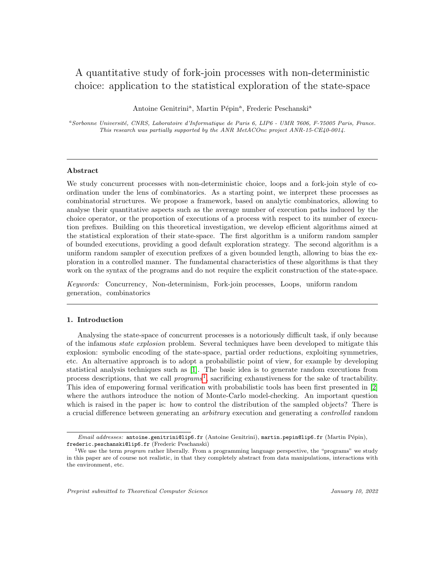# A quantitative study of fork-join processes with non-deterministic choice: application to the statistical exploration of the state-space

Antoine Genitrini<sup>a</sup>, Martin Pépin<sup>a</sup>, Frederic Peschanski<sup>a</sup>

<sup>a</sup>Sorbonne Université, CNRS, Laboratoire d'Informatique de Paris 6, LIP6 - UMR 7606, F-75005 Paris, France. This research was partially supported by the ANR MetACOnc project ANR-15-CE40-0014.

# Abstract

We study concurrent processes with non-deterministic choice, loops and a fork-join style of coordination under the lens of combinatorics. As a starting point, we interpret these processes as combinatorial structures. We propose a framework, based on analytic combinatorics, allowing to analyse their quantitative aspects such as the average number of execution paths induced by the choice operator, or the proportion of executions of a process with respect to its number of execution prefixes. Building on this theoretical investigation, we develop efficient algorithms aimed at the statistical exploration of their state-space. The first algorithm is a uniform random sampler of bounded executions, providing a good default exploration strategy. The second algorithm is a uniform random sampler of execution prefixes of a given bounded length, allowing to bias the exploration in a controlled manner. The fundamental characteristics of these algorithms is that they work on the syntax of the programs and do not require the explicit construction of the state-space.

Keywords: Concurrency, Non-determinism, Fork-join processes, Loops, uniform random generation, combinatorics

## 1. Introduction

Analysing the state-space of concurrent processes is a notoriously difficult task, if only because of the infamous state explosion problem. Several techniques have been developed to mitigate this explosion: symbolic encoding of the state-space, partial order reductions, exploiting symmetries, etc. An alternative approach is to adopt a probabilistic point of view, for example by developing statistical analysis techniques such as [\[1\]](#page-46-0). The basic idea is to generate random executions from process descriptions, that we call  $programs<sup>1</sup>$  $programs<sup>1</sup>$  $programs<sup>1</sup>$ , sacrificing exhaustiveness for the sake of tractability. This idea of empowering formal verification with probabilistic tools has been first presented in [\[2\]](#page-46-1) where the authors introduce the notion of Monte-Carlo model-checking. An important question which is raised in the paper is: how to control the distribution of the sampled objects? There is a crucial difference between generating an arbitrary execution and generating a controlled random

Email addresses: antoine.genitrini@lip6.fr (Antoine Genitrini), martin.pepin@lip6.fr (Martin Pépin), frederic.peschanski@lip6.fr (Frederic Peschanski)

<span id="page-0-0"></span><sup>&</sup>lt;sup>1</sup>We use the term *program* rather liberally. From a programming language perspective, the "programs" we study in this paper are of course not realistic, in that they completely abstract from data manipulations, interactions with the environment, etc.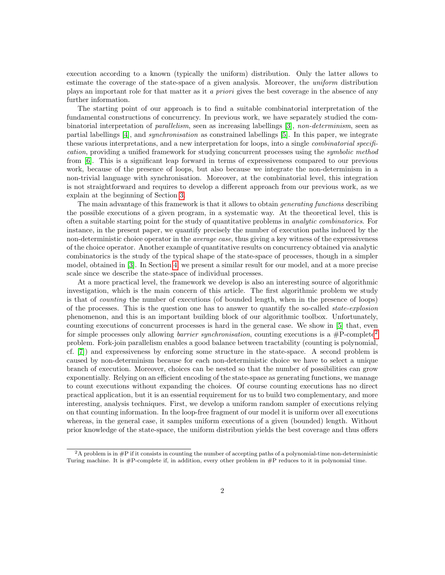execution according to a known (typically the uniform) distribution. Only the latter allows to estimate the coverage of the state-space of a given analysis. Moreover, the uniform distribution plays an important role for that matter as it a priori gives the best coverage in the absence of any further information.

The starting point of our approach is to find a suitable combinatorial interpretation of the fundamental constructions of concurrency. In previous work, we have separately studied the combinatorial interpretation of parallelism, seen as increasing labellings [\[3\]](#page-46-2), non-determinism, seen as partial labellings [\[4\]](#page-46-3), and synchronisation as constrained labellings [\[5\]](#page-46-4). In this paper, we integrate these various interpretations, and a new interpretation for loops, into a single combinatorial specification, providing a unified framework for studying concurrent processes using the symbolic method from [\[6\]](#page-46-5). This is a significant leap forward in terms of expressiveness compared to our previous work, because of the presence of loops, but also because we integrate the non-determinism in a non-trivial language with synchronisation. Moreover, at the combinatorial level, this integration is not straightforward and requires to develop a different approach from our previous work, as we explain at the beginning of Section [3.](#page-23-0)

The main advantage of this framework is that it allows to obtain *generating functions* describing the possible executions of a given program, in a systematic way. At the theoretical level, this is often a suitable starting point for the study of quantitative problems in analytic combinatorics. For instance, in the present paper, we quantify precisely the number of execution paths induced by the non-deterministic choice operator in the *average case*, thus giving a key witness of the expressiveness of the choice operator. Another example of quantitative results on concurrency obtained via analytic combinatorics is the study of the typical shape of the state-space of processes, though in a simpler model, obtained in [\[3\]](#page-46-2). In Section [4,](#page-36-0) we present a similar result for our model, and at a more precise scale since we describe the state-space of individual processes.

At a more practical level, the framework we develop is also an interesting source of algorithmic investigation, which is the main concern of this article. The first algorithmic problem we study is that of counting the number of executions (of bounded length, when in the presence of loops) of the processes. This is the question one has to answer to quantify the so-called state-explosion phenomenon, and this is an important building block of our algorithmic toolbox. Unfortunately, counting executions of concurrent processes is hard in the general case. We show in [\[5\]](#page-46-4) that, even for simple processes only allowing *barrier synchronisation*, counting executions is a  $\#P$ -complete<sup>[2](#page-1-0)</sup> problem. Fork-join parallelism enables a good balance between tractability (counting is polynomial, cf. [\[7\]](#page-46-6)) and expressiveness by enforcing some structure in the state-space. A second problem is caused by non-determinism because for each non-deterministic choice we have to select a unique branch of execution. Moreover, choices can be nested so that the number of possibilities can grow exponentially. Relying on an efficient encoding of the state-space as generating functions, we manage to count executions without expanding the choices. Of course counting executions has no direct practical application, but it is an essential requirement for us to build two complementary, and more interesting, analysis techniques. First, we develop a uniform random sampler of executions relying on that counting information. In the loop-free fragment of our model it is uniform over all executions whereas, in the general case, it samples uniform executions of a given (bounded) length. Without prior knowledge of the state-space, the uniform distribution yields the best coverage and thus offers

<span id="page-1-0"></span><sup>2</sup>A problem is in #P if it consists in counting the number of accepting paths of a polynomial-time non-deterministic Turing machine. It is #P-complete if, in addition, every other problem in #P reduces to it in polynomial time.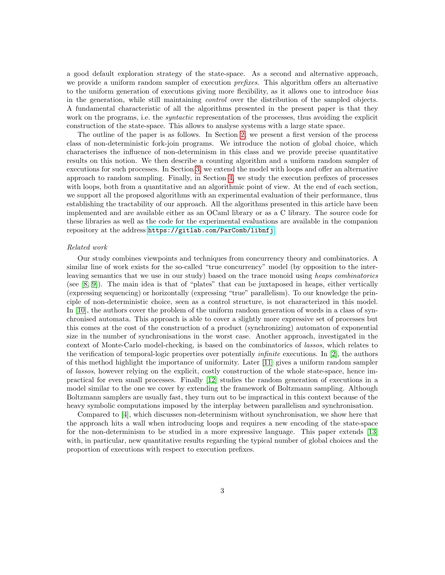a good default exploration strategy of the state-space. As a second and alternative approach, we provide a uniform random sampler of execution *prefixes*. This algorithm offers an alternative to the uniform generation of executions giving more flexibility, as it allows one to introduce bias in the generation, while still maintaining control over the distribution of the sampled objects. A fundamental characteristic of all the algorithms presented in the present paper is that they work on the programs, i.e. the *syntactic* representation of the processes, thus avoiding the explicit construction of the state-space. This allows to analyse systems with a large state space.

The outline of the paper is as follows. In Section [2,](#page-3-0) we present a first version of the process class of non-deterministic fork-join programs. We introduce the notion of global choice, which characterises the influence of non-determinism in this class and we provide precise quantitative results on this notion. We then describe a counting algorithm and a uniform random sampler of executions for such processes. In Section [3,](#page-23-0) we extend the model with loops and offer an alternative approach to random sampling. Finally, in Section [4,](#page-36-0) we study the execution prefixes of processes with loops, both from a quantitative and an algorithmic point of view. At the end of each section, we support all the proposed algorithms with an experimental evaluation of their performance, thus establishing the tractability of our approach. All the algorithms presented in this article have been implemented and are available either as an OCaml library or as a C library. The source code for these libraries as well as the code for the experimental evaluations are available in the companion repository at the address <https://gitlab.com/ParComb/libnfj>.

## Related work

Our study combines viewpoints and techniques from concurrency theory and combinatorics. A similar line of work exists for the so-called "true concurrency" model (by opposition to the interleaving semantics that we use in our study) based on the trace monoid using heaps combinatorics (see [\[8,](#page-46-7) [9\]](#page-46-8)). The main idea is that of "plates" that can be juxtaposed in heaps, either vertically (expressing sequencing) or horizontally (expressing "true" parallelism). To our knowledge the principle of non-deterministic choice, seen as a control structure, is not characterized in this model. In [\[10\]](#page-46-9), the authors cover the problem of the uniform random generation of words in a class of synchronised automata. This approach is able to cover a slightly more expressive set of processes but this comes at the cost of the construction of a product (synchronizing) automaton of exponential size in the number of synchronisations in the worst case. Another approach, investigated in the context of Monte-Carlo model-checking, is based on the combinatorics of lassos, which relates to the verification of temporal-logic properties over potentially *infinite* executions. In [\[2\]](#page-46-1), the authors of this method highlight the importance of uniformity. Later [\[11\]](#page-46-10) gives a uniform random sampler of lassos, however relying on the explicit, costly construction of the whole state-space, hence impractical for even small processes. Finally [\[12\]](#page-46-11) studies the random generation of executions in a model similar to the one we cover by extending the framework of Boltzmann sampling. Although Boltzmann samplers are usually fast, they turn out to be impractical in this context because of the heavy symbolic computations imposed by the interplay between parallelism and synchronisation.

Compared to [\[4\]](#page-46-3), which discusses non-determinism without synchronisation, we show here that the approach hits a wall when introducing loops and requires a new encoding of the state-space for the non-determinism to be studied in a more expressive language. This paper extends [\[13\]](#page-47-0) with, in particular, new quantitative results regarding the typical number of global choices and the proportion of executions with respect to execution prefixes.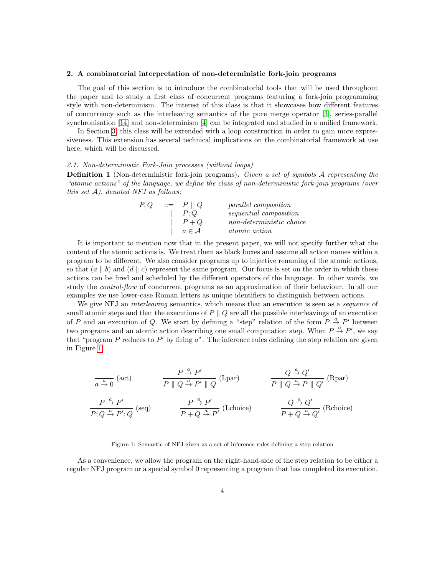#### <span id="page-3-0"></span>2. A combinatorial interpretation of non-deterministic fork-join programs

The goal of this section is to introduce the combinatorial tools that will be used throughout the paper and to study a first class of concurrent programs featuring a fork-join programming style with non-determinism. The interest of this class is that it showcases how different features of concurrency such as the interleaving semantics of the pure merge operator [\[3\]](#page-46-2), series-parallel synchronisation [\[14\]](#page-47-1) and non-determinism [\[4\]](#page-46-3) can be integrated and studied in a unified framework.

In Section [3,](#page-23-0) this class will be extended with a loop construction in order to gain more expressiveness. This extension has several technical implications on the combinatorial framework at use here, which will be discussed.

## 2.1. Non-deterministic Fork-Join processes (without loops)

**Definition 1** (Non-deterministic fork-join programs). Given a set of symbols  $A$  representing the "atomic actions" of the language, we define the class of non-deterministic fork-join programs (over this set  $A$ ), denoted NFJ as follows:

| P,Q | $\therefore = P \parallel Q$ | <i>parallel composition</i> |  |  |  |
|-----|------------------------------|-----------------------------|--|--|--|
|     | P:Q                          | sequential composition      |  |  |  |
|     | $P+Q$                        | non-deterministic choice    |  |  |  |
|     | $a \in \mathcal{A}$          | <i>atomic action</i>        |  |  |  |

It is important to mention now that in the present paper, we will not specify further what the content of the atomic actions is. We treat them as black boxes and assume all action names within a program to be different. We also consider programs up to injective renaming of the atomic actions, so that  $(a \mid b)$  and  $(d \mid c)$  represent the same program. Our focus is set on the order in which these actions can be fired and scheduled by the different operators of the language. In other words, we study the *control-flow* of concurrent programs as an approximation of their behaviour. In all our examples we use lower-case Roman letters as unique identifiers to distinguish between actions.

We give NFJ an *interleaving* semantics, which means that an execution is seen as a *sequence* of small atomic steps and that the executions of  $P \parallel Q$  are all the possible interleavings of an execution of P and an execution of Q. We start by defining a "step" relation of the form  $P \stackrel{a}{\rightarrow} P'$  between two programs and an atomic action describing one small computation step. When  $P \stackrel{a}{\rightarrow} P'$ , we say that "program  $P$  reduces to  $P'$  by firing  $a$ ". The inference rules defining the step relation are given in Figure [1.](#page-3-1)

$$
\frac{P \stackrel{a}{\rightarrow} P'}{P \parallel Q \stackrel{a}{\rightarrow} P' \parallel Q} \text{ (Lpar)} \qquad \qquad \frac{Q \stackrel{a}{\rightarrow} Q'}{P \parallel Q \stackrel{a}{\rightarrow} P' \parallel Q'} \text{ (Rpar)}
$$
\n
$$
\frac{P \stackrel{a}{\rightarrow} P'}{P; Q \stackrel{a}{\rightarrow} P'; Q} \text{ (seq)} \qquad \qquad \frac{P \stackrel{a}{\rightarrow} P'}{P + Q \stackrel{a}{\rightarrow} P'} \text{ (Lchoice)} \qquad \qquad \frac{Q \stackrel{a}{\rightarrow} Q'}{P + Q \stackrel{a}{\rightarrow} Q'} \text{ (Rchoice)}
$$

#### Figure 1: Semantic of NFJ given as a set of inference rules defining a step relation

<span id="page-3-1"></span>As a convenience, we allow the program on the right-hand-side of the step relation to be either a regular NFJ program or a special symbol 0 representing a program that has completed its execution.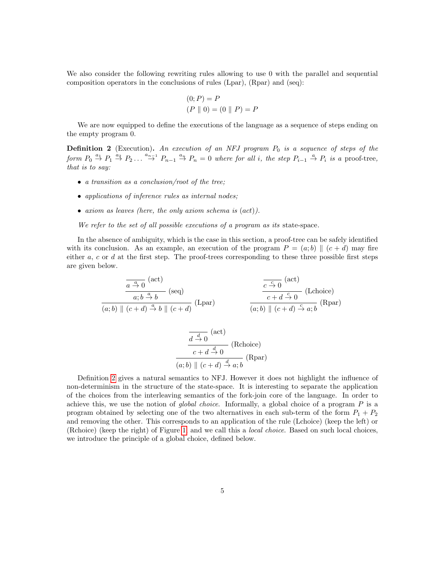We also consider the following rewriting rules allowing to use 0 with the parallel and sequential composition operators in the conclusions of rules (Lpar), (Rpar) and (seq):

$$
(0; P) = P
$$
  
(P || 0) = (0 || P) = P

We are now equipped to define the executions of the language as a sequence of steps ending on the empty program 0.

<span id="page-4-0"></span>**Definition 2** (Execution). An execution of an NFJ program  $P_0$  is a sequence of steps of the form  $P_0 \stackrel{a_1}{\rightarrow} P_1 \stackrel{a_2}{\rightarrow} P_2 \ldots \stackrel{a_{n-1}}{\rightarrow} P_{n-1} \stackrel{a_n}{\rightarrow} P_n = 0$  where for all i, the step  $P_{i-1} \stackrel{a}{\rightarrow} P_i$  is a proof-tree, that is to say:

- a transition as a conclusion/root of the tree;
- applications of inference rules as internal nodes;
- axiom as leaves (here, the only axiom schema is (act)).

We refer to the set of all possible executions of a program as its state-space.

In the absence of ambiguity, which is the case in this section, a proof-tree can be safely identified with its conclusion. As an example, an execution of the program  $P = (a, b) || (c + d)$  may fire either  $a, c$  or  $d$  at the first step. The proof-trees corresponding to these three possible first steps are given below.

$$
\frac{\overline{a \stackrel{a}{\rightarrow} 0}^{(act)}}{(a;b) \parallel (c+d) \stackrel{a}{\rightarrow} b}^{(sect)} (seq)
$$
\n
$$
\frac{\overline{c \stackrel{c}{\rightarrow} 0}^{(act)}}{(a;b) \parallel (c+d) \stackrel{a}{\rightarrow} b \parallel (c+d)}^{(Ref)}
$$
\n
$$
(Lpar)
$$
\n
$$
\frac{\overline{c \stackrel{c}{\rightarrow} 0}^{(act)}}{(a;b) \parallel (c+d) \stackrel{c}{\rightarrow} a;b}^{(act)}
$$
\n
$$
(Lphor)
$$

$$
\frac{\overline{d \stackrel{d}{\to} 0}^{(\text{act})}}{c + d \stackrel{d}{\to} 0} (\text{Rchoice})
$$
\n
$$
\frac{c + d \stackrel{d}{\to} 0}{(a; b) \parallel (c + d) \stackrel{d}{\to} a; b} (\text{Rpar})
$$

Definition [2](#page-4-0) gives a natural semantics to NFJ. However it does not highlight the influence of non-determinism in the structure of the state-space. It is interesting to separate the application of the choices from the interleaving semantics of the fork-join core of the language. In order to achieve this, we use the notion of *global choice*. Informally, a global choice of a program  $P$  is a program obtained by selecting one of the two alternatives in each sub-term of the form  $P_1 + P_2$ and removing the other. This corresponds to an application of the rule (Lchoice) (keep the left) or (Rchoice) (keep the right) of Figure [1,](#page-3-1) and we call this a local choice. Based on such local choices, we introduce the principle of a global choice, defined below.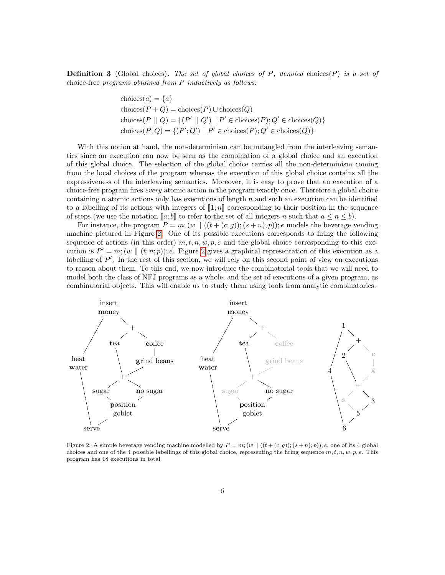**Definition 3** (Global choices). The set of global choices of P, denoted choices  $(P)$  is a set of choice-free programs obtained from P inductively as follows:

$$
choices(a) = \{a\}
$$
  
choices( $P + Q$ ) = choices( $P$ )  $\cup$  choices( $Q$ )  
choices( $P \parallel Q$ ) = {( $P' \parallel Q'$ ) |  $P' \in$  choices( $P$ );  $Q' \in$  choices( $Q$ )}  
choices( $P$ ;  $Q$ ) = {( $P'$ ;  $Q'$ ) |  $P' \in$  choices( $P$ );  $Q' \in$  choices( $Q$ )}

With this notion at hand, the non-determinism can be untangled from the interleaving semantics since an execution can now be seen as the combination of a global choice and an execution of this global choice. The selection of the global choice carries all the non-determinism coming from the local choices of the program whereas the execution of this global choice contains all the expressiveness of the interleaving semantics. Moreover, it is easy to prove that an execution of a choice-free program fires every atomic action in the program exactly once. Therefore a global choice containing n atomic actions only has executions of length  $n$  and such an execution can be identified to a labelling of its actions with integers of  $[[1; n]]$  corresponding to their position in the sequence of steps (we use the notation  $[a; b]$  to refer to the set of all integers n such that  $a \leq n \leq b$ ).

For instance, the program  $P = m$ ;  $(w \mid ((t + (c; g))$ ;  $(s + n); p)$ ); e models the beverage vending machine pictured in Figure [2.](#page-5-0) One of its possible executions corresponds to firing the following sequence of actions (in this order)  $m, t, n, w, p, e$  and the global choice corresponding to this execution is  $P' = m$ ;  $(w \parallel (t; n; p))$ ; e. Figure [2](#page-5-0) gives a graphical representation of this execution as a labelling of  $P'$ . In the rest of this section, we will rely on this second point of view on executions to reason about them. To this end, we now introduce the combinatorial tools that we will need to model both the class of NFJ programs as a whole, and the set of executions of a given program, as combinatorial objects. This will enable us to study them using tools from analytic combinatorics.



<span id="page-5-0"></span>Figure 2: A simple beverage vending machine modelled by  $P = m$ ;  $(w \mid ((t + (c; g))$ ;  $(s + n); p))$ ; e, one of its 4 global choices and one of the 4 possible labellings of this global choice, representing the firing sequence  $m, t, n, w, p, e$ . This program has 18 executions in total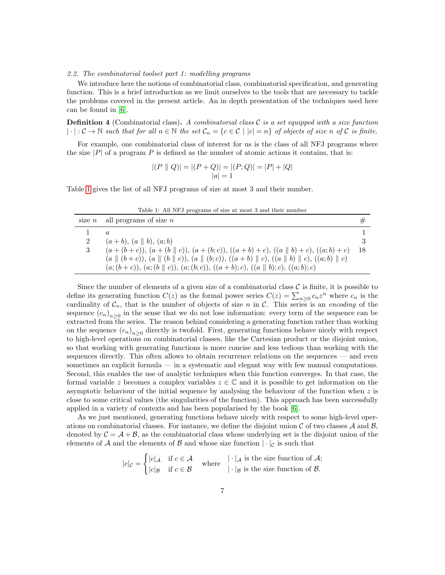#### 2.2. The combinatorial toolset part 1: modelling programs

We introduce here the notions of combinatorial class, combinatorial specification, and generating function. This is a brief introduction as we limit ourselves to the tools that are necessary to tackle the problems covered in the present article. An in depth presentation of the techniques used here can be found in [\[6\]](#page-46-5).

**Definition 4** (Combinatorial class). A combinatorial class  $\mathcal{C}$  is a set equipped with a size function  $|\cdot|:\mathcal{C}\to\mathbb{N}$  such that for all  $n\in\mathbb{N}$  the set  $\mathcal{C}_n = \{c\in\mathcal{C} \mid |c|=n\}$  of objects of size n of  $\mathcal{C}$  is finite.

For example, one combinatorial class of interest for us is the class of all NFJ programs where the size  $|P|$  of a program P is defined as the number of atomic actions it contains, that is:

$$
|(P || Q)| = |(P + Q)| = |(P; Q)| = |P| + |Q|
$$
  

$$
|a| = 1
$$

<span id="page-6-0"></span>Table [1](#page-6-0) gives the list of all NFJ programs of size at most 3 and their number.

Table 1: All NFJ programs of size at most 3 and their number

|   | size $n$ all programs of size $n$                                                                                                                  |    |
|---|----------------------------------------------------------------------------------------------------------------------------------------------------|----|
|   |                                                                                                                                                    |    |
| 2 | $(a + b), (a    b), (a;b)$                                                                                                                         |    |
| 3 | $(a+(b+c)), (a+(b\parallel c)), (a+(b;c)), ((a+b)+c), ((a\parallel b)+c), ((a;b)+c)$                                                               | 18 |
|   | $(a \parallel (b+c)), (a \parallel (b \parallel c)), (a \parallel (b;c)), ((a+b) \parallel c), ((a \parallel b) \parallel c), ((a;b) \parallel c)$ |    |
|   | $(a; (b+c)), (a; (b \parallel c)), (a; (b;c)), ((a+b); c), ((a \parallel b); c), ((a;b); c)$                                                       |    |

Since the number of elements of a given size of a combinatorial class  $\mathcal C$  is finite, it is possible to define its generating function  $C(z)$  as the formal power series  $C(z) = \sum_{n\geq 0} c_n z^n$  where  $c_n$  is the cardinality of  $C_n$ , that is the number of objects of size n in C. This series is an encoding of the sequence  $(c_n)_{n\geq 0}$  in the sense that we do not lose information: every term of the sequence can be extracted from the series. The reason behind considering a generating function rather than working on the sequence  $(c_n)_{n\geq 0}$  directly is twofold. First, generating functions behave nicely with respect to high-level operations on combinatorial classes, like the Cartesian product or the disjoint union, so that working with generating functions is more concise and less tedious than working with the sequences directly. This often allows to obtain recurrence relations on the sequences — and even sometimes an explicit formula — in a systematic and elegant way with few manual computations. Second, this enables the use of analytic techniques when this function converges. In that case, the formal variable z becomes a complex variables  $z \in \mathbb{C}$  and it is possible to get information on the asymptotic behaviour of the initial sequence by analysing the behaviour of the function when  $z$  is close to some critical values (the singularities of the function). This approach has been successfully applied in a variety of contexts and has been popularised by the book [\[6\]](#page-46-5).

As we just mentioned, generating functions behave nicely with respect to some high-level operations on combinatorial classes. For instance, we define the disjoint union  $\mathcal C$  of two classes  $\mathcal A$  and  $\mathcal B$ , denoted by  $\mathcal{C} = \mathcal{A} + \mathcal{B}$ , as the combinatorial class whose underlying set is the disjoint union of the elements of A and the elements of B and whose size function  $|\cdot|_c$  is such that

$$
|c|_{\mathcal{C}} = \begin{cases} |c|_{\mathcal{A}} & \text{if } c \in \mathcal{A} \\ |c|_{\mathcal{B}} & \text{if } c \in \mathcal{B} \end{cases} \text{ where } \begin{array}{|c|_{\mathcal{A}}} \text{ is the size function of } \mathcal{A}; \\ | \cdot |_{\mathcal{B}} \text{ is the size function of } \mathcal{B}. \end{array}
$$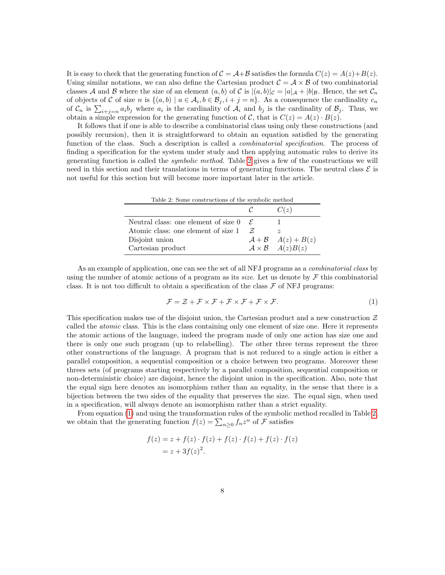It is easy to check that the generating function of  $C = A+B$  satisfies the formula  $C(z) = A(z)+B(z)$ . Using similar notations, we can also define the Cartesian product  $C = A \times B$  of two combinatorial classes A and B where the size of an element  $(a, b)$  of C is  $|(a, b)|_{\mathcal{C}} = |a|_{\mathcal{A}} + |b|_{\mathcal{B}}$ . Hence, the set  $\mathcal{C}_n$ of objects of C of size n is  $\{(a, b) \mid a \in \mathcal{A}_i, b \in \mathcal{B}_j, i+j=n\}$ . As a consequence the cardinality  $c_n$ of  $\mathcal{C}_n$  is  $\sum_{i+j=n} a_i b_j$  where  $a_i$  is the cardinality of  $\mathcal{A}_i$  and  $b_j$  is the cardinality of  $\mathcal{B}_j$ . Thus, we obtain a simple expression for the generating function of C, that is  $C(z) = A(z) \cdot B(z)$ .

It follows that if one is able to describe a combinatorial class using only these constructions (and possibly recursion), then it is straightforward to obtain an equation satisfied by the generating function of the class. Such a description is called a *combinatorial specification*. The process of finding a specification for the system under study and then applying automatic rules to derive its generating function is called the symbolic method. Table [2](#page-7-0) gives a few of the constructions we will need in this section and their translations in terms of generating functions. The neutral class  $\mathcal{E}$  is not useful for this section but will become more important later in the article.

<span id="page-7-0"></span>

| Table 2: Some constructions of the symbolic method     |                             |                         |  |  |  |  |
|--------------------------------------------------------|-----------------------------|-------------------------|--|--|--|--|
|                                                        | $\mathcal{C}$               | C(z)                    |  |  |  |  |
| Neutral class: one element of size $0 \in \mathcal{E}$ |                             |                         |  |  |  |  |
| Atomic class: one element of size 1                    | $\mathcal{F}_{\mathcal{L}}$ |                         |  |  |  |  |
| Disjoint union                                         |                             | $A+B \quad A(z)+B(z)$   |  |  |  |  |
| Cartesian product                                      |                             | $A \times B$ $A(z)B(z)$ |  |  |  |  |

As an example of application, one can see the set of all NFJ programs as a combinatorial class by using the number of atomic actions of a program as its size. Let us denote by  $\mathcal F$  this combinatorial class. It is not too difficult to obtain a specification of the class  $\mathcal F$  of NFJ programs:

<span id="page-7-1"></span>
$$
\mathcal{F} = \mathcal{Z} + \mathcal{F} \times \mathcal{F} + \mathcal{F} \times \mathcal{F} + \mathcal{F} \times \mathcal{F}.
$$
\n<sup>(1)</sup>

This specification makes use of the disjoint union, the Cartesian product and a new construction  $\mathcal Z$ called the atomic class. This is the class containing only one element of size one. Here it represents the atomic actions of the language, indeed the program made of only one action has size one and there is only one such program (up to relabelling). The other three terms represent the three other constructions of the language. A program that is not reduced to a single action is either a parallel composition, a sequential composition or a choice between two programs. Moreover these threes sets (of programs starting respectively by a parallel composition, sequential composition or non-deterministic choice) are disjoint, hence the disjoint union in the specification. Also, note that the equal sign here denotes an isomorphism rather than an equality, in the sense that there is a bijection between the two sides of the equality that preserves the size. The equal sign, when used in a specification, will always denote an isomorphism rather than a strict equality.

From equation [\(1\)](#page-7-1) and using the transformation rules of the symbolic method recalled in Table [2,](#page-7-0) we obtain that the generating function  $f(z) = \sum_{n\geq 0} f_n z^n$  of  $\mathcal F$  satisfies

$$
f(z) = z + f(z) \cdot f(z) + f(z) \cdot f(z) + f(z) \cdot f(z)
$$
  
=  $z + 3f(z)^{2}$ .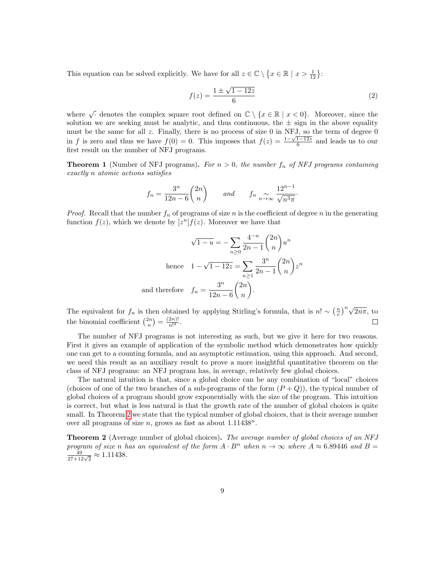This equation can be solved explicitly. We have for all  $z \in \mathbb{C} \setminus \{x \in \mathbb{R} \mid x > \frac{1}{12}\}$ :

$$
f(z) = \frac{1 \pm \sqrt{1 - 12z}}{6}
$$
 (2)

where  $\sqrt{\cdot}$  denotes the complex square root defined on  $\mathbb{C} \setminus \{x \in \mathbb{R} \mid x < 0\}$ . Moreover, since the solution we are seeking must be analytic, and thus continuous, the  $\pm$  sign in the above equality must be the same for all z. Finally, there is no process of size 0 in NFJ, so the term of degree 0 in f is zero and thus we have  $f(0) = 0$ . This imposes that  $f(z) = \frac{1-\sqrt{1-12z}}{6}$  and leads us to our first result on the number of NFJ programs.

<span id="page-8-1"></span>**Theorem 1** (Number of NFJ programs). For  $n > 0$ , the number  $f_n$  of NFJ programs containing exactly n atomic actions satisfies

$$
f_n = \frac{3^n}{12n - 6} \binom{2n}{n} \qquad \text{and} \qquad f_n \underset{n \to \infty}{\sim} \frac{12^{n-1}}{\sqrt{n^3 \pi}}.
$$

*Proof.* Recall that the number  $f_n$  of programs of size n is the coefficient of degree n in the generating function  $f(z)$ , which we denote by  $[z^n]f(z)$ . Moreover we have that

$$
\sqrt{1-u} = -\sum_{n\geq 0} \frac{4^{-n}}{2n-1} {2n \choose n} u^n
$$
  
hence 
$$
1 - \sqrt{1-12z} = \sum_{n\geq 1} \frac{3^n}{2n-1} {2n \choose n} z^n
$$
  
and therefore 
$$
f_n = \frac{3^n}{12n-6} {2n \choose n}.
$$

The equivalent for  $f_n$  is then obtained by applying Stirling's formula, that is  $n! \sim \left(\frac{n}{e}\right)^n \sqrt{2n\pi}$ , to the binomial coefficient  $\binom{2n}{n} = \frac{(2n)!}{n!^2}$  $\frac{2n)!}{n!^2}$ .  $\Box$ 

The number of NFJ programs is not interesting as such, but we give it here for two reasons. First it gives an example of application of the symbolic method which demonstrates how quickly one can get to a counting formula, and an asymptotic estimation, using this approach. And second, we need this result as an auxiliary result to prove a more insightful quantitative theorem on the class of NFJ programs: an NFJ program has, in average, relatively few global choices.

The natural intuition is that, since a global choice can be any combination of "local" choices (choices of one of the two branches of a sub-programs of the form  $(P+Q)$ ), the typical number of global choices of a program should grow exponentially with the size of the program. This intuition is correct, but what is less natural is that the growth rate of the number of global choices is quite small. In Theorem [2](#page-8-0) we state that the typical number of global choices, that is their average number over all programs of size  $n$ , grows as fast as about  $1.11438^n$ .

<span id="page-8-0"></span>**Theorem 2** (Average number of global choices). The average number of global choices of an NFJ program of size n has an equivalent of the form  $A \cdot B^n$  when  $n \to \infty$  where  $A \approx 6.89446$  and  $B =$  $\frac{49}{27+12\sqrt{2}} \approx 1.11438.$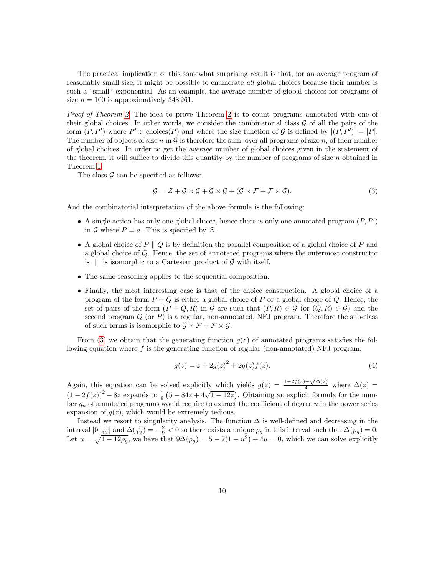The practical implication of this somewhat surprising result is that, for an average program of reasonably small size, it might be possible to enumerate all global choices because their number is such a "small" exponential. As an example, the average number of global choices for programs of size  $n = 100$  is approximatively 348 261.

Proof of Theorem [2.](#page-8-0) The idea to prove Theorem [2](#page-8-0) is to count programs annotated with one of their global choices. In other words, we consider the combinatorial class  $\mathcal G$  of all the pairs of the form  $(P, P')$  where  $P' \in \text{choices}(P)$  and where the size function of G is defined by  $|(P, P')| = |P|$ . The number of objects of size n in  $G$  is therefore the sum, over all programs of size n, of their number of global choices. In order to get the average number of global choices given in the statement of the theorem, it will suffice to divide this quantity by the number of programs of size  $n$  obtained in Theorem [1.](#page-8-1)

The class  $\mathcal G$  can be specified as follows:

<span id="page-9-0"></span>
$$
\mathcal{G} = \mathcal{Z} + \mathcal{G} \times \mathcal{G} + \mathcal{G} \times \mathcal{G} + (\mathcal{G} \times \mathcal{F} + \mathcal{F} \times \mathcal{G}).
$$
\n(3)

And the combinatorial interpretation of the above formula is the following:

- A single action has only one global choice, hence there is only one annotated program  $(P, P')$ in G where  $P = a$ . This is specified by Z.
- A global choice of  $P \parallel Q$  is by definition the parallel composition of a global choice of P and a global choice of Q. Hence, the set of annotated programs where the outermost constructor is  $\parallel$  is isomorphic to a Cartesian product of  $\mathcal G$  with itself.
- The same reasoning applies to the sequential composition.
- Finally, the most interesting case is that of the choice construction. A global choice of a program of the form  $P + Q$  is either a global choice of P or a global choice of Q. Hence, the set of pairs of the form  $(P+Q, R)$  in G are such that  $(P, R) \in \mathcal{G}$  (or  $(Q, R) \in \mathcal{G}$ ) and the second program  $Q$  (or  $P$ ) is a regular, non-annotated, NFJ program. Therefore the sub-class of such terms is isomorphic to  $\mathcal{G} \times \mathcal{F} + \mathcal{F} \times \mathcal{G}$ .

From [\(3\)](#page-9-0) we obtain that the generating function  $q(z)$  of annotated programs satisfies the following equation where  $f$  is the generating function of regular (non-annotated) NFJ program:

$$
g(z) = z + 2g(z)^{2} + 2g(z)f(z).
$$
 (4)

Again, this equation can be solved explicitly which yields  $g(z) = \frac{1-2f(z)-1}{4}$  $\frac{(-\sqrt{\Delta(z)}}{4}$  where  $\Delta(z)$  = (1 − 2 $f(z)$ )<sup>2</sup> − 8z expands to  $\frac{1}{9}$  (5 − 84z + 4 $\sqrt{1-12z}$ ). Obtaining an explicit formula for the number  $q_n$  of annotated programs would require to extract the coefficient of degree n in the power series expansion of  $g(z)$ , which would be extremely tedious.

Instead we resort to singularity analysis. The function  $\Delta$  is well-defined and decreasing in the interval  $[0; \frac{1}{12}]$  and  $\Delta(\frac{1}{12}) = -\frac{2}{9} < 0$  so there exists a unique  $\rho_g$  in this interval such that  $\Delta(\rho_g) = 0$ . Let  $u = \sqrt{1 - 12\rho_g}$ , we have that  $9\Delta(\rho_g) = 5 - 7(1 - u^2) + 4u = 0$ , which we can solve explicitly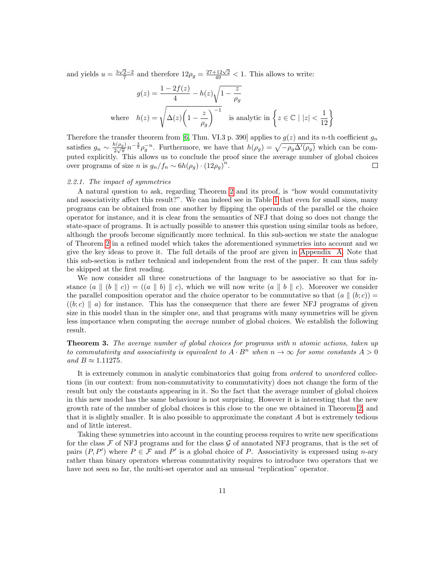and yields  $u = \frac{3\sqrt{2}-2}{7}$  and therefore  $12\rho_g = \frac{27+12\sqrt{2}}{49} < 1$ . This allows to write:

$$
g(z) = \frac{1 - 2f(z)}{4} - h(z)\sqrt{1 - \frac{z}{\rho_g}}
$$
  
where  $h(z) = \sqrt{\Delta(z)\left(1 - \frac{z}{\rho_g}\right)^{-1}}$  is analytic in  $\left\{z \in \mathbb{C} \mid |z| < \frac{1}{12}\right\}$ 

Therefore the transfer theorem from [\[6,](#page-46-5) Thm. VI.3 p. 390] applies to  $g(z)$  and its n-th coefficient  $g_n$ satisfies  $g_n \sim \frac{h(\rho_g)}{2\sqrt{\pi}}$  $\frac{\hbar(\rho_g)}{2\sqrt{\pi}}n^{-\frac{3}{2}}\rho_g^{-n}$ . Furthermore, we have that  $h(\rho_g) = \sqrt{-\rho_g\Delta'(\rho_g)}$  which can be computed explicitly. This allows us to conclude the proof since the average number of global choices over programs of size *n* is  $g_n/f_n \sim 6h(\rho_g) \cdot (12\rho_g)^n$ .  $\Box$ 

#### 2.2.1. The impact of symmetries

A natural question to ask, regarding Theorem [2](#page-8-0) and its proof, is "how would commutativity and associativity affect this result?". We can indeed see in Table [1](#page-6-0) that even for small sizes, many programs can be obtained from one another by flipping the operands of the parallel or the choice operator for instance, and it is clear from the semantics of NFJ that doing so does not change the state-space of programs. It is actually possible to answer this question using similar tools as before, although the proofs become significantly more technical. In this sub-section we state the analogue of Theorem [2](#page-8-0) in a refined model which takes the aforementioned symmetries into account and we give the key ideas to prove it. The full details of the proof are given in [Appendix A.](#page-48-0) Note that this sub-section is rather technical and independent from the rest of the paper. It can thus safely be skipped at the first reading.

We now consider all three constructions of the language to be associative so that for instance  $(a \parallel (b \parallel c)) = ((a \parallel b) \parallel c)$ , which we will now write  $(a \parallel b \parallel c)$ . Moreover we consider the parallel composition operator and the choice operator to be commutative so that  $(a \parallel (b; c))$  $((b;c) \parallel a)$  for instance. This has the consequence that there are fewer NFJ programs of given size in this model than in the simpler one, and that programs with many symmetries will be given less importance when computing the average number of global choices. We establish the following result.

<span id="page-10-0"></span>**Theorem 3.** The average number of global choices for programs with n atomic actions, taken up to commutativity and associativity is equivalent to  $A \cdot B^n$  when  $n \to \infty$  for some constants  $A > 0$ and  $B \approx 1.11275$ .

It is extremely common in analytic combinatorics that going from *ordered* to unordered collections (in our context: from non-commutativity to commutativity) does not change the form of the result but only the constants appearing in it. So the fact that the average number of global choices in this new model has the same behaviour is not surprising. However it is interesting that the new growth rate of the number of global choices is this close to the one we obtained in Theorem [2,](#page-8-0) and that it is slightly smaller. It is also possible to approximate the constant A but is extremely tedious and of little interest.

Taking these symmetries into account in the counting process requires to write new specifications for the class  $\mathcal F$  of NFJ programs and for the class  $\mathcal G$  of annotated NFJ programs, that is the set of pairs  $(P, P')$  where  $P \in \mathcal{F}$  and  $P'$  is a global choice of P. Associativity is expressed using n-ary rather than binary operators whereas commutativity requires to introduce two operators that we have not seen so far, the multi-set operator and an unusual "replication" operator.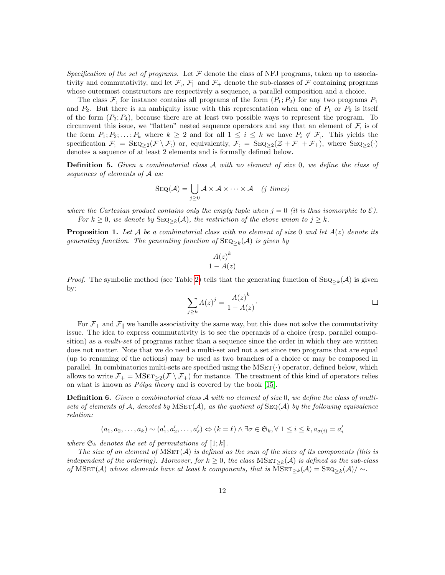Specification of the set of programs. Let  $\mathcal F$  denote the class of NFJ programs, taken up to associativity and commutativity, and let  $\mathcal{F}_i$ ,  $\mathcal{F}_{\parallel}$  and  $\mathcal{F}_+$  denote the sub-classes of  $\mathcal F$  containing programs whose outermost constructors are respectively a sequence, a parallel composition and a choice.

The class  $\mathcal{F}_1$  for instance contains all programs of the form  $(P_1; P_2)$  for any two programs  $P_1$ and  $P_2$ . But there is an ambiguity issue with this representation when one of  $P_1$  or  $P_2$  is itself of the form  $(P_3; P_4)$ , because there are at least two possible ways to represent the program. To circumvent this issue, we "flatten" nested sequence operators and say that an element of  $\mathcal{F}_i$  is of the form  $P_1; P_2; \ldots; P_k$  where  $k \geq 2$  and for all  $1 \leq i \leq k$  we have  $P_i \notin \mathcal{F}_i$ . This yields the specification  $\mathcal{F}_i = \text{SEQ}_{\geq 2}(\mathcal{F} \setminus \mathcal{F}_i)$  or, equivalently,  $\mathcal{F}_i = \text{SEQ}_{\geq 2}(\mathcal{Z} + \mathcal{F}_{\parallel} + \mathcal{F}_{+})$ , where  $\text{SEQ}_{\geq 2}(\cdot)$ denotes a sequence of at least 2 elements and is formally defined below.

**Definition 5.** Given a combinatorial class A with no element of size 0, we define the class of sequences of elements of A as:

$$
SEQ(\mathcal{A}) = \bigcup_{j \geq 0} \mathcal{A} \times \mathcal{A} \times \cdots \times \mathcal{A} \quad (j \ \text{times})
$$

where the Cartesian product contains only the empty tuple when  $j = 0$  (it is thus isomorphic to  $\mathcal{E}$ ). For  $k \geq 0$ , we denote by  $\text{SEQ}_{\geq k}(\mathcal{A})$ , the restriction of the above union to  $j \geq k$ .

**Proposition 1.** Let A be a combinatorial class with no element of size 0 and let  $A(z)$  denote its generating function. The generating function of  $\text{SEQ}_{\geq k}(\mathcal{A})$  is given by

$$
\frac{A(z)^k}{1 - A(z)}
$$

*Proof.* The symbolic method (see Table [2\)](#page-7-0) tells that the generating function of  $\text{SEQ}_{\geq k}(\mathcal{A})$  is given by:

$$
\sum_{j\geq k} A(z)^j = \frac{A(z)^k}{1 - A(z)}.
$$

For  $\mathcal{F}_+$  and  $\mathcal{F}_{\parallel}$  we handle associativity the same way, but this does not solve the commutativity issue. The idea to express commutativity is to see the operands of a choice (resp. parallel composition) as a *multi-set* of programs rather than a sequence since the order in which they are written does not matter. Note that we do need a multi-set and not a set since two programs that are equal (up to renaming of the actions) may be used as two branches of a choice or may be composed in parallel. In combinatorics multi-sets are specified using the  $MSET(\cdot)$  operator, defined below, which allows to write  $\mathcal{F}_+ = \text{MSET}_{\geq 2}(\mathcal{F} \setminus \mathcal{F}_+)$  for instance. The treatment of this kind of operators relies on what is known as  $P\'olya$  theory and is covered by the book [\[15\]](#page-47-2).

**Definition 6.** Given a combinatorial class  $\mathcal{A}$  with no element of size 0, we define the class of multisets of elements of A, denoted by  $MSET(\mathcal{A})$ , as the quotient of  $SEQ(\mathcal{A})$  by the following equivalence relation:

$$
(a_1, a_2, \dots, a_k) \sim (a'_1, a'_2, \dots, a'_\ell) \Leftrightarrow (k = \ell) \land \exists \sigma \in \mathfrak{S}_k, \forall 1 \leq i \leq k, a_{\sigma(i)} = a'_i
$$

where  $\mathfrak{S}_k$  denotes the set of permutations of  $\llbracket 1; k \rrbracket$ .

The size of an element of  $MSET(\mathcal{A})$  is defined as the sum of the sizes of its components (this is independent of the ordering). Moreover, for  $k \geq 0$ , the class  $MSET_{\geq k}(\mathcal{A})$  is defined as the sub-class of MSET(A) whose elements have at least k components, that is MSET<sub>≥k</sub>(A) = SEQ<sub>≥k</sub>(A)/ ∼.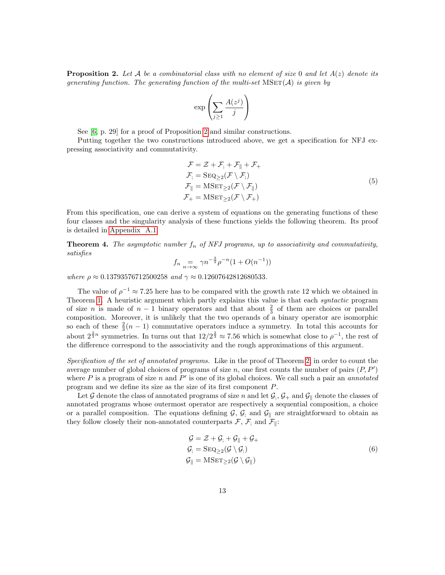<span id="page-12-0"></span>**Proposition 2.** Let A be a combinatorial class with no element of size 0 and let  $A(z)$  denote its generating function. The generating function of the multi-set  $MSET(\mathcal{A})$  is given by

$$
\exp\left(\sum_{j\geq 1}\frac{A(z^j)}{j}\right)
$$

See [\[6,](#page-46-5) p. 29] for a proof of Proposition [2](#page-12-0) and similar constructions.

Putting together the two constructions introduced above, we get a specification for NFJ expressing associativity and commutativity.

<span id="page-12-1"></span>
$$
\mathcal{F} = \mathcal{Z} + \mathcal{F}_1 + \mathcal{F}_{\parallel} + \mathcal{F}_+
$$
\n
$$
\mathcal{F}_1 = \text{SEQ}_{\geq 2}(\mathcal{F} \setminus \mathcal{F}_1)
$$
\n
$$
\mathcal{F}_{\parallel} = \text{MSET}_{\geq 2}(\mathcal{F} \setminus \mathcal{F}_{\parallel})
$$
\n
$$
\mathcal{F}_+ = \text{MSET}_{\geq 2}(\mathcal{F} \setminus \mathcal{F}_+)
$$
\n(5)

From this specification, one can derive a system of equations on the generating functions of these four classes and the singularity analysis of these functions yields the following theorem. Its proof is detailed in [Appendix A.1.](#page-48-1)

<span id="page-12-3"></span>**Theorem 4.** The asymptotic number  $f_n$  of NFJ programs, up to associativity and commutativity, satisfies

$$
f_n = \sum_{n \to \infty} \gamma n^{-\frac{3}{2}} \rho^{-n} (1 + O(n^{-1}))
$$

where  $\rho \approx 0.13793576712500258$  and  $\gamma \approx 0.12607642812680533$ .

The value of  $\rho^{-1} \approx 7.25$  here has to be compared with the growth rate 12 which we obtained in Theorem [1.](#page-8-1) A heuristic argument which partly explains this value is that each *syntactic* program of size *n* is made of  $n-1$  binary operators and that about  $\frac{2}{3}$  of them are choices or parallel composition. Moreover, it is unlikely that the two operands of a binary operator are isomorphic so each of these  $\frac{2}{3}(n-1)$  commutative operators induce a symmetry. In total this accounts for about  $2^{\frac{2}{3}n}$  symmetries. In turns out that  $12/2^{\frac{2}{3}} \approx 7.56$  which is somewhat close to  $\rho^{-1}$ , the rest of the difference correspond to the associativity and the rough approximations of this argument.

Specification of the set of annotated programs. Like in the proof of Theorem [2,](#page-8-0) in order to count the average number of global choices of programs of size  $n$ , one first counts the number of pairs  $(P, P')$ where  $P$  is a program of size n and  $P'$  is one of its global choices. We call such a pair an annotated program and we define its size as the size of its first component P.

Let G denote the class of annotated programs of size n and let  $\mathcal{G}_j$ ,  $\mathcal{G}_+$  and  $\mathcal{G}_{\parallel}$  denote the classes of annotated programs whose outermost operator are respectively a sequential composition, a choice or a parallel composition. The equations defining  $\mathcal{G}, \mathcal{G}$  and  $\mathcal{G}_{\parallel}$  are straightforward to obtain as they follow closely their non-annotated counterparts  $\mathcal{F}, \mathcal{F}_i$  and  $\mathcal{F}_{\parallel}$ :

<span id="page-12-2"></span>
$$
G = Z + G1 + G|| + G+
$$
  
\n
$$
G1 = \text{SEQ}_{\geq 2}(G \setminus G1)
$$
  
\n
$$
G|| = \text{MSET}_{\geq 2}(G \setminus G||)
$$
\n(6)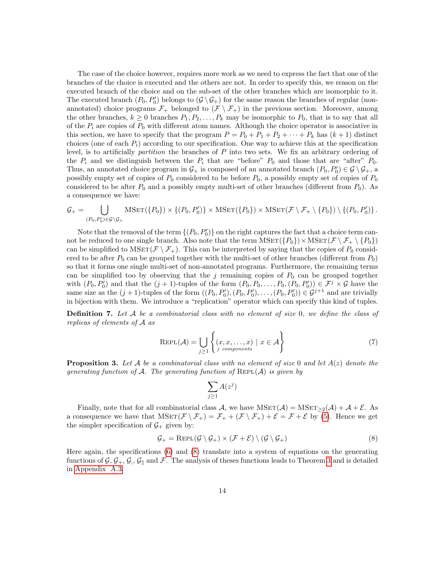The case of the choice however, requires more work as we need to express the fact that one of the branches of the choice is executed and the others are not. In order to specify this, we reason on the executed branch of the choice and on the sub-set of the other branches which are isomorphic to it. The executed branch  $(P_0, P'_0)$  belongs to  $(\mathcal{G} \setminus \mathcal{G}_+)$  for the same reason the branches of regular (nonannotated) choice programs  $\mathcal{F}_+$  belonged to  $(\mathcal{F} \setminus \mathcal{F}_+)$  in the previous section. Moreover, among the other branches,  $k \geq 0$  branches  $P_1, P_2, \ldots, P_k$  may be isomorphic to  $P_0$ , that is to say that all of the  $P_i$  are copies of  $P_0$  with different atom names. Although the choice operator is associative in this section, we have to specify that the program  $P = P_0 + P_1 + P_2 + \cdots + P_k$  has  $(k+1)$  distinct choices (one of each  $P_i$ ) according to our specification. One way to achieve this at the specification level, is to artificially partition the branches of P into two sets. We fix an arbitrary ordering of the  $P_i$  and we distinguish between the  $P_i$  that are "before"  $P_0$  and those that are "after"  $P_0$ . Thus, an annotated choice program in  $\mathcal{G}_+$  is composed of an annotated branch  $(P_0, P'_0) \in \mathcal{G} \setminus \mathcal{G}_+$ , a possibly empty set of copies of  $P_0$  considered to be before  $P_0$ , a possibly empty set of copies of  $P_0$ considered to be after  $P_0$  and a possibly empty multi-set of other branches (different from  $P_0$ ). As a consequence we have:

$$
\mathcal{G}_+ = \bigcup_{(P_0, P'_0) \in \mathcal{G} \backslash \mathcal{G}_+} \text{MSET}(\{P_0\}) \times \{(P_0, P'_0)\} \times \text{MSET}(\{P_0\}) \times \text{MSET}(\mathcal{F} \setminus \mathcal{F}_+ \setminus \{P_0\}) \setminus \{(P_0, P'_0)\}.
$$

Note that the removal of the term  $\{(P_0, P'_0)\}$  on the right captures the fact that a choice term cannot be reduced to one single branch. Also note that the term  $MSET({P_0}) \times MSET(\mathcal{F} \setminus \mathcal{F}_+ \setminus {P_0})$ can be simplified to  $MSET(\mathcal{F} \setminus \mathcal{F}_+)$ . This can be interpreted by saying that the copies of  $P_0$  considered to be after  $P_0$  can be grouped together with the multi-set of other branches (different from  $P_0$ ) so that it forms one single multi-set of non-annotated programs. Furthermore, the remaining terms can be simplified too by observing that the  $j$  remaining copies of  $P_0$  can be grouped together with  $(P_0, P'_0)$  and that the  $(j + 1)$ -tuples of the form  $(P_0, P_0, \ldots, P_0, (P_0, P'_0)) \in \mathcal{F}^j \times \mathcal{G}$  have the same size as the  $(j + 1)$ -tuples of the form  $((P_0, P'_0), (P_0, P'_0), \ldots, (P_0, P'_0)) \in \mathcal{G}^{j+1}$  and are trivially in bijection with them. We introduce a "replication" operator which can specify this kind of tuples.

**Definition 7.** Let A be a combinatorial class with no element of size  $0$ , we define the class of replicas of elements of A as

$$
REPL(\mathcal{A}) = \bigcup_{j \ge 1} \left\{ (x, x, \dots, x) \mid x \in \mathcal{A} \right\}
$$
 (7)

**Proposition 3.** Let A be a combinatorial class with no element of size 0 and let  $A(z)$  denote the generating function of A. The generating function of  $REPL(A)$  is given by

<span id="page-13-0"></span>
$$
\sum_{j\geq 1} A(z^j)
$$

Finally, note that for all combinatorial class A, we have  $MSET(\mathcal{A}) = MSET_2(\mathcal{A}) + \mathcal{A} + \mathcal{E}$ . As a consequence we have that  $MSET(\mathcal{F} \setminus \mathcal{F}_+) = \mathcal{F}_+ + (\mathcal{F} \setminus \mathcal{F}_+) + \mathcal{E} = \mathcal{F} + \mathcal{E}$  by [\(5\)](#page-12-1). Hence we get the simpler specification of  $\mathcal{G}_+$  given by:

$$
\mathcal{G}_{+} = \text{RePL}(\mathcal{G} \setminus \mathcal{G}_{+}) \times (\mathcal{F} + \mathcal{E}) \setminus (\mathcal{G} \setminus \mathcal{G}_{+})
$$
\n(8)

Here again, the specifications [\(6\)](#page-12-2) and [\(8\)](#page-13-0) translate into a system of equations on the generating functions of  $\mathcal{G}, \mathcal{G}_+, \mathcal{G}_\parallel$  and  $\mathcal{F}$ . The analysis of theses functions leads to Theorem [3](#page-10-0) and is detailed in [Appendix A.3.](#page-50-0)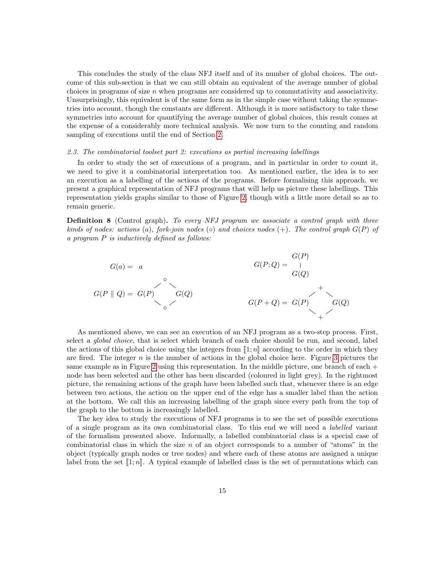This concludes the study of the class NFJ itself and of its number of global choices. The outcome of this sub-section is that we can still obtain an equivalent of the average number of global choices in programs of size  $n$  when programs are considered up to commutativity and associativity. Unsurprisingly, this equivalent is of the same form as in the simple case without taking the symmetries into account, though the constants are different. Although it is more satisfactory to take these symmetries into account for quantifying the average number of global choices, this result comes at the expense of a considerably more technical analysis. We now turn to the counting and random sampling of executions until the end of Section [2.](#page-3-0)

## 2.3. The combinatorial toolset part 2: executions as partial increasing labellings

In order to study the set of executions of a program, and in particular in order to count it, we need to give it a combinatorial interpretation too. As mentioned earlier, the idea is to see an execution as a labelling of the actions of the programs. Before formalising this approach, we present a graphical representation of NFJ programs that will help us picture these labellings. This representation yields graphs similar to those of Figure [2,](#page-5-0) though with a little more detail so as to remain generic.

**Definition 8** (Control graph). To every NFJ program we associate a control graph with three kinds of nodes: actions (a), fork-join nodes ( $\circ$ ) and choices nodes (+). The control graph  $G(P)$  of a program P is inductively defined as follows:



As mentioned above, we can see an execution of an NFJ program as a two-step process. First, select a *global choice*, that is select which branch of each choice should be run, and second, label the actions of this global choice using the integers from  $\llbracket 1; n \rrbracket$  according to the order in which they are fired. The integer  $n$  is the number of actions in the global choice here. Figure [3](#page-15-0) pictures the same example as in Figure [2](#page-5-0) using this representation. In the middle picture, one branch of each + node has been selected and the other has been discarded (coloured in light grey). In the rightmost picture, the remaining actions of the graph have been labelled such that, whenever there is an edge between two actions, the action on the upper end of the edge has a smaller label than the action at the bottom. We call this an increasing labelling of the graph since every path from the top of the graph to the bottom is increasingly labelled.

The key idea to study the executions of NFJ programs is to see the set of possible executions of a single program as its own combinatorial class. To this end we will need a labelled variant of the formalism presented above. Informally, a labelled combinatorial class is a special case of combinatorial class in which the size  $n$  of an object corresponds to a number of "atoms" in the object (typically graph nodes or tree nodes) and where each of these atoms are assigned a unique label from the set  $[1; n]$ . A typical example of labelled class is the set of permutations which can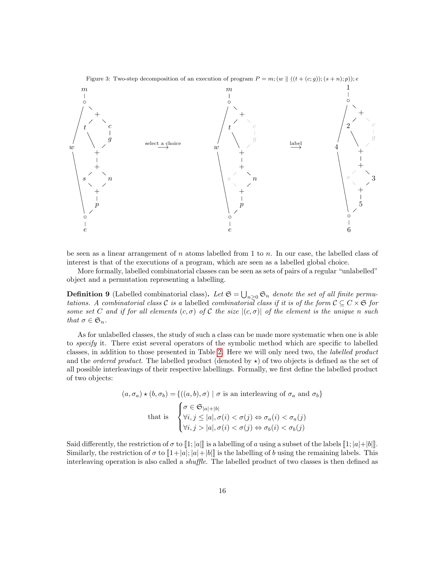Figure 3: Two-step decomposition of an execution of program  $P = m$ ;  $(w || ((t + (c; g))$ ;  $(s + n); p))$ ; e

<span id="page-15-0"></span>

be seen as a linear arrangement of  $n$  atoms labelled from 1 to  $n$ . In our case, the labelled class of interest is that of the executions of a program, which are seen as a labelled global choice.

More formally, labelled combinatorial classes can be seen as sets of pairs of a regular "unlabelled" object and a permutation representing a labelling.

**Definition 9** (Labelled combinatorial class). Let  $\mathfrak{S} = \bigcup_{n\geq 0} \mathfrak{S}_n$  denote the set of all finite permutations. A combinatorial class C is a labelled combinatorial class if it is of the form  $C \subseteq C \times \mathfrak{S}$  for some set C and if for all elements  $(c, \sigma)$  of C the size  $|(c, \sigma)|$  of the element is the unique n such that  $\sigma \in \mathfrak{S}_n$ .

As for unlabelled classes, the study of such a class can be made more systematic when one is able to specify it. There exist several operators of the symbolic method which are specific to labelled classes, in addition to those presented in Table [2.](#page-7-0) Here we will only need two, the labelled product and the *ordered product*. The labelled product (denoted by  $\star$ ) of two objects is defined as the set of all possible interleavings of their respective labellings. Formally, we first define the labelled product of two objects:

$$
(a, \sigma_a) \star (b, \sigma_b) = \{((a, b), \sigma) \mid \sigma \text{ is an interleaving of } \sigma_a \text{ and } \sigma_b\}
$$
  
that is 
$$
\begin{cases} \sigma \in \mathfrak{S}_{|a|+|b|} \\ \forall i, j \le |a|, \sigma(i) < \sigma(j) \Leftrightarrow \sigma_a(i) < \sigma_a(j) \\ \forall i, j > |a|, \sigma(i) < \sigma(j) \Leftrightarrow \sigma_b(i) < \sigma_b(j) \end{cases}
$$

Said differently, the restriction of  $\sigma$  to  $\llbracket 1; |a|\rrbracket$  is a labelling of a using a subset of the labels  $\llbracket 1; |a|+|b|\rrbracket$ . Similarly, the restriction of  $\sigma$  to  $[1+|a|; |a|+|b|]$  is the labelling of b using the remaining labels. This interleaving operation is also called a shuffle. The labelled product of two classes is then defined as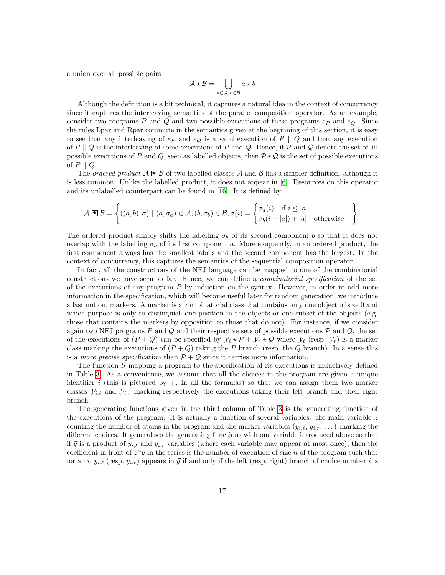a union over all possible pairs:

$$
\mathcal{A} \star \mathcal{B} = \bigcup_{a \in \mathcal{A}, b \in \mathcal{B}} a \star b
$$

Although the definition is a bit technical, it captures a natural idea in the context of concurrency since it captures the interleaving semantics of the parallel composition operator. As an example, consider two programs P and Q and two possible executions of these programs  $e_P$  and  $e_Q$ . Since the rules Lpar and Rpar commute in the semantics given at the beginning of this section, it is easy to see that any interleaving of  $e_P$  and  $e_Q$  is a valid execution of P  $\parallel$  Q and that any execution of P  $\parallel Q$  is the interleaving of some executions of P and Q. Hence, if P and Q denote the set of all possible executions of P and Q, seen as labelled objects, then  $\mathcal{P} \star \mathcal{Q}$  is the set of possible executions of  $P \parallel Q$ .

The *ordered product*  $A \times B$  of two labelled classes A and B has a simpler definition, although it is less common. Unlike the labelled product, it does not appear in [\[6\]](#page-46-5). Resources on this operator and its unlabelled counterpart can be found in [\[16\]](#page-47-3). It is defined by

$$
\mathcal{A} \boxtimes \mathcal{B} = \left\{ ((a, b), \sigma) \mid (a, \sigma_a) \in \mathcal{A}, (b, \sigma_b) \in \mathcal{B}, \sigma(i) = \begin{cases} \sigma_a(i) & \text{if } i \leq |a| \\ \sigma_b(i - |a|) + |a| & \text{otherwise} \end{cases} \right\}
$$

.

The ordered product simply shifts the labelling  $\sigma_b$  of its second component b so that it does not overlap with the labelling  $\sigma_a$  of its first component a. More eloquently, in an ordered product, the first component always has the smallest labels and the second component has the largest. In the context of concurrency, this captures the semantics of the sequential composition operator.

In fact, all the constructions of the NFJ language can be mapped to one of the combinatorial constructions we have seen so far. Hence, we can define a combinatorial specification of the set of the executions of any program P by induction on the syntax. However, in order to add more information in the specification, which will become useful later for random generation, we introduce a last notion, markers. A marker is a combinatorial class that contains only one object of size 0 and which purpose is only to distinguish one position in the objects or one subset of the objects (e.g. those that contains the markers by opposition to those that do not). For instance, if we consider again two NFJ programs P and Q and their respective sets of possible executions  $P$  and  $Q$ , the set of the executions of  $(P+Q)$  can be specified by  $\mathcal{Y}_\ell \star \mathcal{P} + \mathcal{Y}_r \star \mathcal{Q}$  where  $\mathcal{Y}_\ell$  (resp.  $\mathcal{Y}_r$ ) is a marker class marking the executions of  $(P+Q)$  taking the P branch (resp. the Q branch). In a sense this is a *more precise* specification than  $P + Q$  since it carries more information.

The function S mapping a program to the specification of its executions is inductively defined in Table [3.](#page-17-0) As a convenience, we assume that all the choices in the program are given a unique identifier i (this is pictured by  $+_i$  in all the formulas) so that we can assign them two marker classes  $\mathcal{Y}_{i,\ell}$  and  $\mathcal{Y}_{i,r}$  marking respectively the executions taking their left branch and their right branch.

The generating functions given in the third column of Table [3](#page-17-0) is the generating function of the executions of the program. It is actually a function of several variables: the main variable  $z$ counting the number of atoms in the program and the marker variables  $(y_{i,\ell}, y_{i,r}, \dots)$  marking the different choices. It generalises the generating functions with one variable introduced above so that if  $\vec{y}$  is a product of  $y_{i,\ell}$  and  $y_{i,r}$  variables (where each variable may appear at most once), then the coefficient in front of  $z^n \vec{y}$  in the series is the number of execution of size n of the program such that for all i,  $y_{i,\ell}$  (resp.  $y_{i,r}$ ) appears in  $\vec{y}$  if and only if the left (resp. right) branch of choice number i is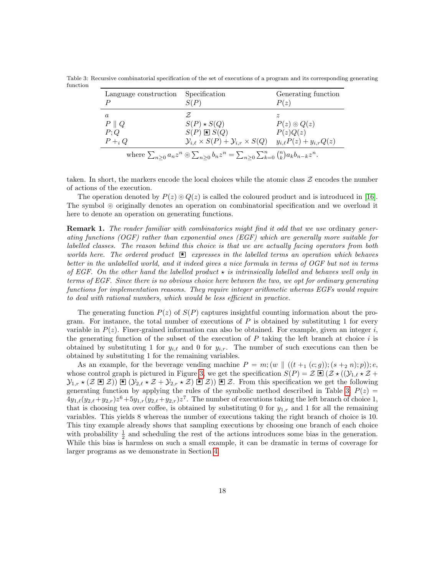<span id="page-17-0"></span>Table 3: Recursive combinatorial specification of the set of executions of a program and its corresponding generating function

| Language construction<br>D                                                                                                       | Specification<br>S(P)                                              | Generating function<br>P(z)    |  |  |  |
|----------------------------------------------------------------------------------------------------------------------------------|--------------------------------------------------------------------|--------------------------------|--|--|--|
| $\alpha$                                                                                                                         |                                                                    |                                |  |  |  |
| $P \parallel Q$                                                                                                                  | $S(P) * S(Q)$                                                      | $P(z) \odot Q(z)$              |  |  |  |
| P;Q                                                                                                                              | $S(P) \boxtimes S(Q)$                                              | P(z)Q(z)                       |  |  |  |
| $P+_i Q$                                                                                                                         | $\mathcal{Y}_{i.\ell} \times S(P) + \mathcal{Y}_{i,r} \times S(Q)$ | $y_{i,\ell}P(z) + y_{i,r}Q(z)$ |  |  |  |
| where $\sum_{n\geq 0} a_n z^n \circledcirc \sum_{n\geq 0} b_n z^n = \sum_{n\geq 0} \sum_{k=0}^n {n \choose k} a_k b_{n-k} z^n$ . |                                                                    |                                |  |  |  |

taken. In short, the markers encode the local choices while the atomic class  $\mathcal Z$  encodes the number of actions of the execution.

The operation denoted by  $P(z) \odot Q(z)$  is called the coloured product and is introduced in [\[16\]](#page-47-3). The symbol  $\circ$  originally denotes an operation on combinatorial specification and we overload it here to denote an operation on generating functions.

**Remark 1.** The reader familiar with combinatorics might find it odd that we use ordinary generating functions (OGF) rather than exponential ones (EGF) which are generally more suitable for labelled classes. The reason behind this choice is that we are actually facing operators from both worlds here. The ordered product  $\mathbb{E}$  expresses in the labelled terms an operation which behaves better in the unlabelled world, and it indeed gives a nice formula in terms of OGF but not in terms of EGF. On the other hand the labelled product  $\star$  is intrinsically labelled and behaves well only in terms of EGF. Since there is no obvious choice here between the two, we opt for ordinary generating functions for implementation reasons. They require integer arithmetic whereas EGFs would require to deal with rational numbers, which would be less efficient in practice.

The generating function  $P(z)$  of  $S(P)$  captures insightful counting information about the program. For instance, the total number of executions of  $P$  is obtained by substituting 1 for every variable in  $P(z)$ . Finer-grained information can also be obtained. For example, given an integer i, the generating function of the subset of the execution of  $P$  taking the left branch at choice  $i$  is obtained by substituting 1 for  $y_{i,\ell}$  and 0 for  $y_{i,r}$ . The number of such executions can then be obtained by substituting 1 for the remaining variables.

As an example, for the beverage vending machine  $P = m$ ;  $(w \parallel ((t + 1 (c; g))$ ;  $(s + 2 n); p)$ ); e, whose control graph is pictured in Figure [3,](#page-15-0) we get the specification  $S(P) = \mathcal{Z} \boxtimes (\mathcal{Y}_{1,\ell} \star \mathcal{Z} + \mathcal{Z}_{2,\ell})$  $\mathcal{Y}_{1,r}$   $\star$  ( $\mathcal{Z} \boxtimes \mathcal{Z}$ )  $\boxtimes$  ( $\mathcal{Y}_{2,\ell}$   $\star$   $\mathcal{Z}$ )  $\boxtimes$   $\mathcal{Z}$ )  $\boxtimes$   $\mathcal{Z}$ . From this specification we get the following generating function by applying the rules of the symbolic method described in Table [3:](#page-17-0)  $P(z)$  =  $4y_{1,\ell}(y_{2,\ell}+y_{2,r})z^6+5y_{1,r}(y_{2,\ell}+y_{2,r})z^7$ . The number of executions taking the left branch of choice 1, that is choosing tea over coffee, is obtained by substituting 0 for  $y_{1,r}$  and 1 for all the remaining variables. This yields 8 whereas the number of executions taking the right branch of choice is 10. This tiny example already shows that sampling executions by choosing one branch of each choice with probability  $\frac{1}{2}$  and scheduling the rest of the actions introduces some bias in the generation. While this bias is harmless on such a small example, it can be dramatic in terms of coverage for larger programs as we demonstrate in Section [4.](#page-36-0)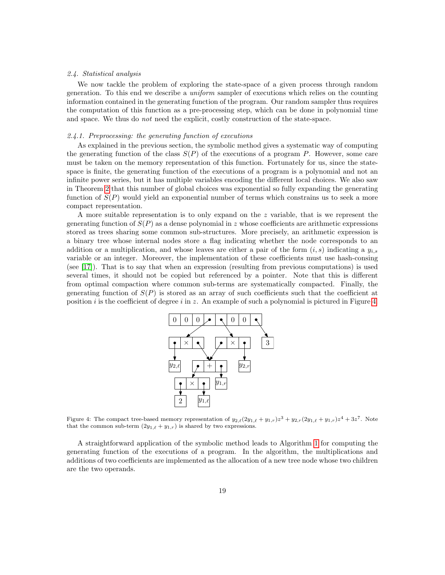#### 2.4. Statistical analysis

We now tackle the problem of exploring the state-space of a given process through random generation. To this end we describe a uniform sampler of executions which relies on the counting information contained in the generating function of the program. Our random sampler thus requires the computation of this function as a pre-processing step, which can be done in polynomial time and space. We thus do *not* need the explicit, costly construction of the state-space.

# 2.4.1. Preprocessing: the generating function of executions

As explained in the previous section, the symbolic method gives a systematic way of computing the generating function of the class  $S(P)$  of the executions of a program P. However, some care must be taken on the memory representation of this function. Fortunately for us, since the statespace is finite, the generating function of the executions of a program is a polynomial and not an infinite power series, but it has multiple variables encoding the different local choices. We also saw in Theorem [2](#page-8-0) that this number of global choices was exponential so fully expanding the generating function of  $S(P)$  would yield an exponential number of terms which constrains us to seek a more compact representation.

A more suitable representation is to only expand on the z variable, that is we represent the generating function of  $S(P)$  as a dense polynomial in z whose coefficients are arithmetic expressions stored as trees sharing some common sub-structures. More precisely, an arithmetic expression is a binary tree whose internal nodes store a flag indicating whether the node corresponds to an addition or a multiplication, and whose leaves are either a pair of the form  $(i, s)$  indicating a  $y_{i,s}$ variable or an integer. Moreover, the implementation of these coefficients must use hash-consing (see [\[17\]](#page-47-4)). That is to say that when an expression (resulting from previous computations) is used several times, it should not be copied but referenced by a pointer. Note that this is different from optimal compaction where common sub-terms are systematically compacted. Finally, the generating function of  $S(P)$  is stored as an array of such coefficients such that the coefficient at position i is the coefficient of degree i in z. An example of such a polynomial is pictured in Figure [4.](#page-18-0)

<span id="page-18-0"></span>

Figure 4: The compact tree-based memory representation of  $y_{2,\ell}(2y_{1,\ell} + y_{1,r})z^3 + y_{2,r}(2y_{1,\ell} + y_{1,r})z^4 + 3z^7$ . Note that the common sub-term  $(2y_{1,\ell} + y_{1,r})$  is shared by two expressions.

A straightforward application of the symbolic method leads to Algorithm [1](#page-19-0) for computing the generating function of the executions of a program. In the algorithm, the multiplications and additions of two coefficients are implemented as the allocation of a new tree node whose two children are the two operands.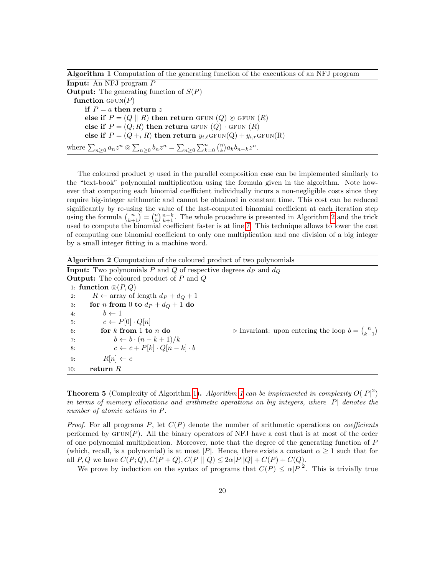Algorithm 1 Computation of the generating function of the executions of an NFJ program

<span id="page-19-0"></span>Input: An NFJ program P **Output:** The generating function of  $S(P)$ function  $GFUN(P)$ if  $P = a$  then return z else if  $P = (Q \parallel R)$  then return GFUN  $(Q) \odot$  GFUN  $(R)$ else if  $P = (Q; R)$  then return GFUN  $(Q)$  · GFUN  $(R)$ else if  $P = (Q +_i R)$  then return  $y_{i,\ell}GFUN(Q) + y_{i,r}GFUN(R)$ where  $\sum_{n\geq 0} a_n z^n \circledcirc \sum_{n\geq 0} b_n z^n = \sum_{n\geq 0} \sum_{k=0}^n {n \choose k} a_k b_{n-k} z^n$ .

The coloured product  $\odot$  used in the parallel composition case can be implemented similarly to the "text-book" polynomial multiplication using the formula given in the algorithm. Note however that computing each binomial coefficient individually incurs a non-negligible costs since they require big-integer arithmetic and cannot be obtained in constant time. This cost can be reduced significantly by re-using the value of the last-computed binomial coefficient at each iteration step using the formula  $\binom{n}{k+1} = \binom{n}{k} \frac{n-k}{k+1}$ . The whole procedure is presented in Algorithm [2](#page-19-1) and the trick used to compute the binomial coefficient faster is at line [7.](#page-19-1) This technique allows to lower the cost of computing one binomial coefficient to only one multiplication and one division of a big integer by a small integer fitting in a machine word.

<span id="page-19-1"></span>Algorithm 2 Computation of the coloured product of two polynomials **Input:** Two polynomials P and Q of respective degrees  $d_P$  and  $d_Q$ Output: The coloured product of P and Q 1: function  $\odot (P, Q)$ 2:  $R \leftarrow \text{array of length } d_P + d_Q + 1$ 3: for *n* from 0 to  $d_P + d_Q + 1$  do 4:  $b \leftarrow 1$ 5:  $c \leftarrow P[0] \cdot Q[n]$ 6: **for** k from 1 to n do  $\triangleright$  Invariant: upon entering the loop  $b = \binom{n}{k-1}$ 7:  $b \leftarrow b \cdot (n - k + 1)/k$ 8:  $c \leftarrow c + P[k] \cdot Q[n-k] \cdot b$ 9:  $R[n] \leftarrow c$ 10: return  $R$ 

<span id="page-19-2"></span>**Theorem 5** (Complexity of Algorithm [1\)](#page-19-0). Algorithm [1](#page-19-0) can be implemented in complexity  $O(|P|^2)$ in terms of memory allocations and arithmetic operations on big integers, where  $|P|$  denotes the number of atomic actions in P.

*Proof.* For all programs P, let  $C(P)$  denote the number of arithmetic operations on *coefficients* performed by  $GFUN(P)$ . All the binary operators of NFJ have a cost that is at most of the order of one polynomial multiplication. Moreover, note that the degree of the generating function of P (which, recall, is a polynomial) is at most |P|. Hence, there exists a constant  $\alpha \geq 1$  such that for all P, Q we have  $C(P; Q)$ ,  $C(P + Q)$ ,  $C(P || Q) \leq 2\alpha |P||Q| + C(P) + C(Q)$ .

We prove by induction on the syntax of programs that  $C(P) \leq \alpha |P|^2$ . This is trivially true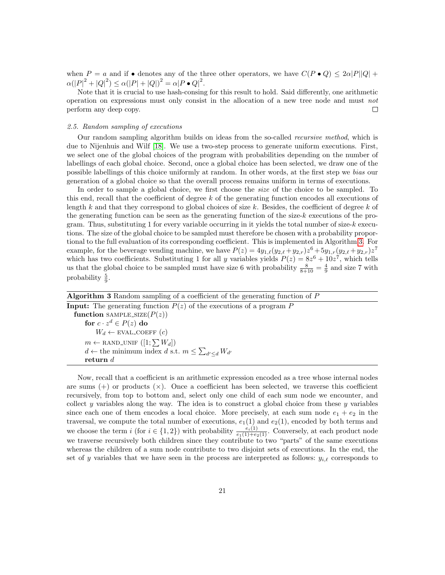when  $P = a$  and if • denotes any of the three other operators, we have  $C(P \cdot Q) \leq 2\alpha |P||Q| +$  $\alpha(|P|^2 + |Q|^2) \le \alpha(|P| + |Q|)^2 = \alpha|P \bullet Q|^2.$ 

Note that it is crucial to use hash-consing for this result to hold. Said differently, one arithmetic operation on expressions must only consist in the allocation of a new tree node and must not perform any deep copy.  $\Box$ 

# 2.5. Random sampling of executions

Our random sampling algorithm builds on ideas from the so-called recursive method, which is due to Nijenhuis and Wilf [\[18\]](#page-47-5). We use a two-step process to generate uniform executions. First, we select one of the global choices of the program with probabilities depending on the number of labellings of each global choice. Second, once a global choice has been selected, we draw one of the possible labellings of this choice uniformly at random. In other words, at the first step we bias our generation of a global choice so that the overall process remains uniform in terms of executions.

In order to sample a global choice, we first choose the size of the choice to be sampled. To this end, recall that the coefficient of degree  $k$  of the generating function encodes all executions of length k and that they correspond to global choices of size  $k$ . Besides, the coefficient of degree  $k$  of the generating function can be seen as the generating function of the size- $k$  executions of the program. Thus, substituting 1 for every variable occurring in it yields the total number of size- $k$  executions. The size of the global choice to be sampled must therefore be chosen with a probability proportional to the full evaluation of its corresponding coefficient. This is implemented in Algorithm [3.](#page-20-0) For example, for the beverage vending machine, we have  $P(z) = 4y_{1,\ell}(y_{2,\ell} + y_{2,r})z^6 + 5y_{1,r}(y_{2,\ell} + y_{2,r})z^7$ which has two coefficients. Substituting 1 for all y variables yields  $P(z) = 8z^6 + 10z^7$ , which tells us that the global choice to be sampled must have size 6 with probability  $\frac{8}{8+10} = \frac{4}{9}$  and size 7 with probability  $\frac{5}{9}$ .

<span id="page-20-0"></span>

| <b>Algorithm 3</b> Random sampling of a coefficient of the generating function of P |
|-------------------------------------------------------------------------------------|
| <b>Input:</b> The generating function $P(z)$ of the executions of a program P       |
| function SAMPLE_SIZE $(P(z))$                                                       |
| for $c \cdot z^d \in P(z)$ do                                                       |
| $W_d \leftarrow$ EVAL_COEFF $(c)$                                                   |
| $m \leftarrow$ RAND_UNIF $([1; \sum W_d])$                                          |
| $d \leftarrow$ the minimum index d s.t. $m \leq \sum_{d' \leq d} W_{d'}$            |
| return $d$                                                                          |

Now, recall that a coefficient is an arithmetic expression encoded as a tree whose internal nodes are sums  $(+)$  or products  $(\times)$ . Once a coefficient has been selected, we traverse this coefficient recursively, from top to bottom and, select only one child of each sum node we encounter, and collect y variables along the way. The idea is to construct a global choice from these y variables since each one of them encodes a local choice. More precisely, at each sum node  $e_1 + e_2$  in the traversal, we compute the total number of executions,  $e_1(1)$  and  $e_2(1)$ , encoded by both terms and we choose the term  $i$  (for  $i \in \{1,2\}$ ) with probability  $\frac{e_i(1)}{e_1(1)+e_2(1)}$ . Conversely, at each product node we traverse recursively both children since they contribute to two "parts" of the same executions whereas the children of a sum node contribute to two disjoint sets of executions. In the end, the set of y variables that we have seen in the process are interpreted as follows:  $y_{i,\ell}$  corresponds to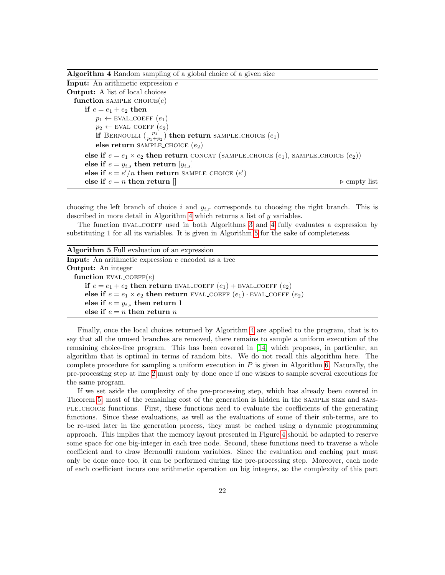| Algorithm 4 Random sampling of a global choice of a given size |  |  |  |  |  |  |  |  |
|----------------------------------------------------------------|--|--|--|--|--|--|--|--|
|----------------------------------------------------------------|--|--|--|--|--|--|--|--|

<span id="page-21-0"></span>Input: An arithmetic expression e Output: A list of local choices function SAMPLE\_CHOICE $(e)$ if  $e = e_1 + e_2$  then  $p_1 \leftarrow$  EVAL\_COEFF  $(e_1)$  $p_2 \leftarrow \text{EVAL\_COEFF}(e_2)$ if BERNOULLI  $\left(\frac{p_1}{p_1+p_2}\right)$  then return sample choice  $(e_1)$ else return SAMPLE\_CHOICE  $(e_2)$ else if  $e = e_1 \times e_2$  then return CONCAT (SAMPLE\_CHOICE  $(e_1)$ , SAMPLE\_CHOICE  $(e_2)$ ) else if  $e = y_{i,s}$  then return  $[y_{i,s}]$ else if  $e = e'/n$  then return SAMPLE CHOICE  $(e')$ else if  $e = n$  then return  $\parallel$  . Example 1 and  $\triangleright$  empty list

choosing the left branch of choice i and  $y_{i,r}$  corresponds to choosing the right branch. This is described in more detail in Algorithm [4](#page-21-0) which returns a list of y variables.

The function EVAL COEFF used in both Algorithms [3](#page-20-0) and [4](#page-21-0) fully evaluates a expression by substituting 1 for all its variables. It is given in Algorithm [5](#page-21-1) for the sake of completeness.

<span id="page-21-1"></span>

| <b>Algorithm 5</b> Full evaluation of an expression                            |
|--------------------------------------------------------------------------------|
| Input: An arithmetic expression e encoded as a tree                            |
| <b>Output:</b> An integer                                                      |
| function EVAL_COEFF $(e)$                                                      |
| if $e = e_1 + e_2$ then return EVAL COEFF $(e_1)$ + EVAL COEFF $(e_2)$         |
| else if $e = e_1 \times e_2$ then return EVAL COEFF $(e_1)$ EVAL COEFF $(e_2)$ |
| else if $e = y_{i,s}$ then return 1                                            |
| else if $e = n$ then return n                                                  |

Finally, once the local choices returned by Algorithm [4](#page-21-0) are applied to the program, that is to say that all the unused branches are removed, there remains to sample a uniform execution of the remaining choice-free program. This has been covered in [\[14\]](#page-47-1) which proposes, in particular, an algorithm that is optimal in terms of random bits. We do not recall this algorithm here. The complete procedure for sampling a uniform execution in  $P$  is given in Algorithm [6.](#page-22-0) Naturally, the pre-processing step at line [2](#page-22-0) must only by done once if one wishes to sample several executions for the same program.

If we set aside the complexity of the pre-processing step, which has already been covered in Theorem [5,](#page-19-2) most of the remaining cost of the generation is hidden in the SAMPLE\_SIZE and SAMple choice functions. First, these functions need to evaluate the coefficients of the generating functions. Since these evaluations, as well as the evaluations of some of their sub-terms, are to be re-used later in the generation process, they must be cached using a dynamic programming approach. This implies that the memory layout presented in Figure [4](#page-18-0) should be adapted to reserve some space for one big-integer in each tree node. Second, these functions need to traverse a whole coefficient and to draw Bernoulli random variables. Since the evaluation and caching part must only be done once too, it can be performed during the pre-processing step. Moreover, each node of each coefficient incurs one arithmetic operation on big integers, so the complexity of this part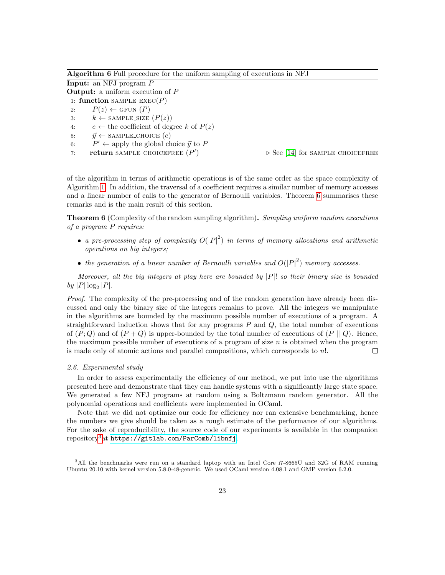<span id="page-22-0"></span>

|    | <b>Algorithm 6</b> Full procedure for the uniform sampling of executions in NFJ |                                                 |
|----|---------------------------------------------------------------------------------|-------------------------------------------------|
|    | <b>Input:</b> an NFJ program $P$                                                |                                                 |
|    | <b>Output:</b> a uniform execution of $P$                                       |                                                 |
|    | 1: function SAMPLE_EXEC(P)                                                      |                                                 |
| 2: | $P(z) \leftarrow$ GFUN $(P)$                                                    |                                                 |
| 3: | $k \leftarrow$ SAMPLE_SIZE $(P(z))$                                             |                                                 |
| 4: | $e \leftarrow$ the coefficient of degree k of $P(z)$                            |                                                 |
| 5: | $\vec{y} \leftarrow$ SAMPLE_CHOICE $(e)$                                        |                                                 |
| 6: | $P' \leftarrow$ apply the global choice $\vec{y}$ to P                          |                                                 |
| 7: | return SAMPLE_CHOICEFREE $(P')$                                                 | $\triangleright$ See [14] for SAMPLE_CHOICEFREE |

of the algorithm in terms of arithmetic operations is of the same order as the space complexity of Algorithm [1.](#page-19-0) In addition, the traversal of a coefficient requires a similar number of memory accesses and a linear number of calls to the generator of Bernoulli variables. Theorem [6](#page-22-1) summarises these remarks and is the main result of this section.

<span id="page-22-1"></span>**Theorem 6** (Complexity of the random sampling algorithm). Sampling uniform random executions of a program P requires:

- a pre-processing step of complexity  $O(|P|^2)$  in terms of memory allocations and arithmetic operations on big integers;
- the generation of a linear number of Bernoulli variables and  $O(|P|^2)$  memory accesses.

Moreover, all the big integers at play here are bounded by  $|P|$ ! so their binary size is bounded by  $|P| \log_2 |P|$ .

Proof. The complexity of the pre-processing and of the random generation have already been discussed and only the binary size of the integers remains to prove. All the integers we manipulate in the algorithms are bounded by the maximum possible number of executions of a program. A straightforward induction shows that for any programs  $P$  and  $Q$ , the total number of executions of  $(P, Q)$  and of  $(P + Q)$  is upper-bounded by the total number of executions of  $(P || Q)$ . Hence, the maximum possible number of executions of a program of size  $n$  is obtained when the program is made only of atomic actions and parallel compositions, which corresponds to n!.  $\Box$ 

## 2.6. Experimental study

In order to assess experimentally the efficiency of our method, we put into use the algorithms presented here and demonstrate that they can handle systems with a significantly large state space. We generated a few NFJ programs at random using a Boltzmann random generator. All the polynomial operations and coefficients were implemented in OCaml.

Note that we did not optimize our code for efficiency nor ran extensive benchmarking, hence the numbers we give should be taken as a rough estimate of the performance of our algorithms. For the sake of reproducibility, the source code of our experiments is available in the companion repository[3](#page-22-2)at <https://gitlab.com/ParComb/libnfj>.

<span id="page-22-2"></span><sup>3</sup>All the benchmarks were run on a standard laptop with an Intel Core i7-8665U and 32G of RAM running Ubuntu 20.10 with kernel version 5.8.0-48-generic. We used OCaml version 4.08.1 and GMP version 6.2.0.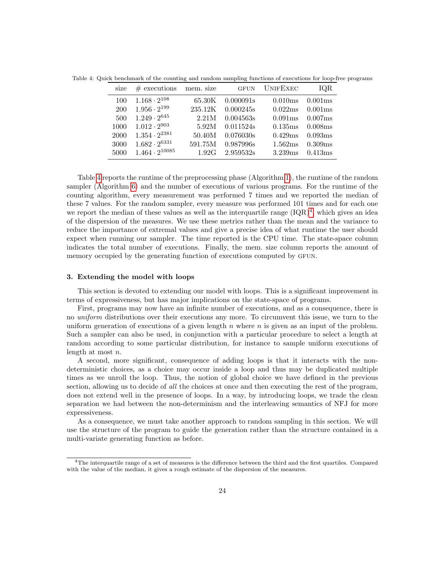<span id="page-23-1"></span>Table 4: Quick benchmark of the counting and random sampling functions of executions for loop-free programs

| size       | $#$ executions          | mem. size | <b>GFUN</b> | UNIFEXEC            | IOR     |
|------------|-------------------------|-----------|-------------|---------------------|---------|
| 100        | $1.168 \cdot 2^{108}$   | 65.30K    | 0.000091s   | 0.010ms             | 0.001ms |
| <b>200</b> | $1.956 \cdot 2^{199}$   | 235.12K   | 0.000245s   | 0.022ms             | 0.001ms |
| 500        | $1.249 \cdot 2^{645}$   | 2.21M     | 0.004563s   | 0.091ms             | 0.007ms |
| 1000       | $1.012 \cdot 2^{903}$   | 5.92M     | 0.011524s   | 0.135ms             | 0.008ms |
| 2000       | $1.354 \cdot 2^{2381}$  | 50.40M    | 0.076030s   | 0.429ms             | 0.093ms |
| 3000       | $1.682 \cdot 2^{6331}$  | 591.75M   | 0.987996s   | 1.562ms             | 0.309ms |
| 5000       | $1.464 \cdot 2^{10085}$ | 1.92G     | 2.959532s   | 3.239 <sub>ms</sub> | 0.413ms |

Table [4](#page-23-1) reports the runtime of the preprocessing phase (Algorithm [1\)](#page-19-0), the runtime of the random sampler (Algorithm [6\)](#page-22-0) and the number of executions of various programs. For the runtime of the counting algorithm, every measurement was performed 7 times and we reported the median of these 7 values. For the random sampler, every measure was performed 101 times and for each one we report the median of these values as well as the interquartile range  $(IQR)<sup>4</sup>$  $(IQR)<sup>4</sup>$  $(IQR)<sup>4</sup>$ , which gives an idea of the dispersion of the measures. We use these metrics rather than the mean and the variance to reduce the importance of extremal values and give a precise idea of what runtime the user should expect when running our sampler. The time reported is the CPU time. The state-space column indicates the total number of executions. Finally, the mem. size column reports the amount of memory occupied by the generating function of executions computed by GFUN.

#### <span id="page-23-0"></span>3. Extending the model with loops

This section is devoted to extending our model with loops. This is a significant improvement in terms of expressiveness, but has major implications on the state-space of programs.

First, programs may now have an infinite number of executions, and as a consequence, there is no *uniform* distributions over their executions any more. To circumvent this issue, we turn to the uniform generation of executions of a given length  $n$  where  $n$  is given as an input of the problem. Such a sampler can also be used, in conjunction with a particular procedure to select a length at random according to some particular distribution, for instance to sample uniform executions of length at most  $n$ .

A second, more significant, consequence of adding loops is that it interacts with the nondeterministic choices, as a choice may occur inside a loop and thus may be duplicated multiple times as we unroll the loop. Thus, the notion of global choice we have defined in the previous section, allowing us to decide of all the choices at once and then executing the rest of the program, does not extend well in the presence of loops. In a way, by introducing loops, we trade the clean separation we had between the non-determinism and the interleaving semantics of NFJ for more expressiveness.

As a consequence, we must take another approach to random sampling in this section. We will use the structure of the program to guide the generation rather than the structure contained in a multi-variate generating function as before.

<span id="page-23-2"></span><sup>4</sup>The interquartile range of a set of measures is the difference between the third and the first quartiles. Compared with the value of the median, it gives a rough estimate of the dispersion of the measures.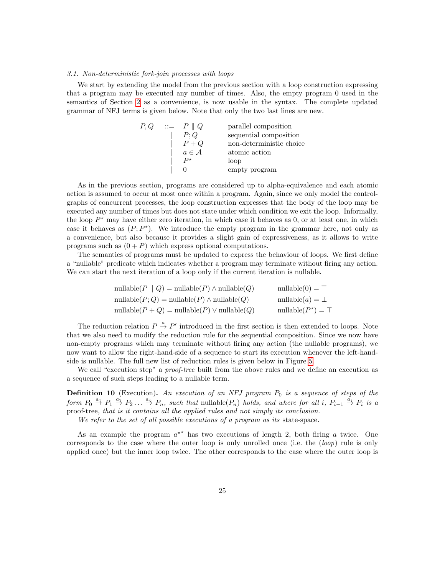#### 3.1. Non-deterministic fork-join processes with loops

We start by extending the model from the previous section with a loop construction expressing that a program may be executed any number of times. Also, the empty program 0 used in the semantics of Section [2](#page-3-0) as a convenience, is now usable in the syntax. The complete updated grammar of NFJ terms is given below. Note that only the two last lines are new.

|  | $P, Q \quad ::= \quad P \parallel Q$ | parallel composition     |
|--|--------------------------------------|--------------------------|
|  | P:Q                                  | sequential composition   |
|  | $P+Q$                                | non-deterministic choice |
|  | $a \in \mathcal{A}$                  | atomic action            |
|  | $P^{\star}$                          | loop                     |
|  |                                      | empty program            |

As in the previous section, programs are considered up to alpha-equivalence and each atomic action is assumed to occur at most once within a program. Again, since we only model the controlgraphs of concurrent processes, the loop construction expresses that the body of the loop may be executed any number of times but does not state under which condition we exit the loop. Informally, the loop  $P^*$  may have either zero iteration, in which case it behaves as 0, or at least one, in which case it behaves as  $(P; P^*)$ . We introduce the empty program in the grammar here, not only as a convenience, but also because it provides a slight gain of expressiveness, as it allows to write programs such as  $(0 + P)$  which express optional computations.

The semantics of programs must be updated to express the behaviour of loops. We first define a "nullable" predicate which indicates whether a program may terminate without firing any action. We can start the next iteration of a loop only if the current iteration is nullable.

$$
\text{nullable}(P \parallel Q) = \text{nullable}(P) \land \text{nullable}(Q) \qquad \text{nullable}(0) = \top
$$
\n
$$
\text{nullable}(P; Q) = \text{nullable}(P) \land \text{nullable}(Q) \qquad \text{nullable}(a) = \bot
$$
\n
$$
\text{nullable}(P + Q) = \text{nullable}(P) \lor \text{nullable}(Q) \qquad \text{nullable}(P^*) = \top
$$

The reduction relation  $P \stackrel{a}{\rightarrow} P'$  introduced in the first section is then extended to loops. Note that we also need to modify the reduction rule for the sequential composition. Since we now have non-empty programs which may terminate without firing any action (the nullable programs), we now want to allow the right-hand-side of a sequence to start its execution whenever the left-handside is nullable. The full new list of reduction rules is given below in Figure [5.](#page-25-0)

We call "execution step" a *proof-tree* built from the above rules and we define an execution as a sequence of such steps leading to a nullable term.

**Definition 10** (Execution). An execution of an NFJ program  $P_0$  is a sequence of steps of the form  $P_0 \stackrel{a_1}{\rightarrow} P_1 \stackrel{a_2}{\rightarrow} P_2 \ldots \stackrel{a_n}{\rightarrow} P_n$ , such that nullable $(P_n)$  holds, and where for all i,  $P_{i-1} \stackrel{a_i}{\rightarrow} P_i$  is a proof-tree, that is it contains all the applied rules and not simply its conclusion.

We refer to the set of all possible executions of a program as its state-space.

As an example the program  $a^{**}$  has two executions of length 2, both firing a twice. One corresponds to the case where the outer loop is only unrolled once (i.e. the (loop) rule is only applied once) but the inner loop twice. The other corresponds to the case where the outer loop is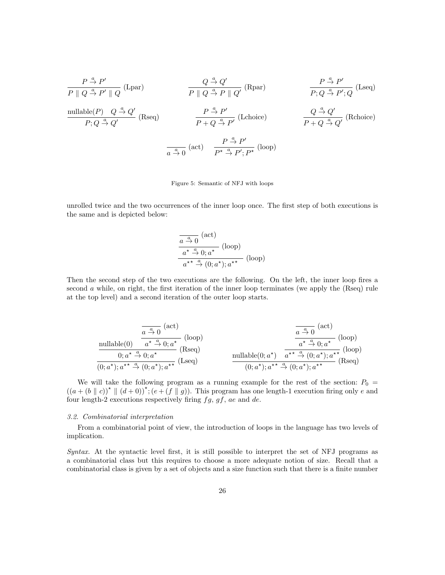| $P \xrightarrow{a} P'$                        | $Q \xrightarrow{a} Q'$ | $Q \xrightarrow{a} Q'$ | $P \parallel Q \xrightarrow{a} P' \parallel Q$ | $P \xrightarrow{a} P'$ | $Q \xrightarrow{a} P'$ | $Q \xrightarrow{a} P' \parallel Q'$ | $P \wedge Q \xrightarrow{a} P'$ | $P \wedge Q \xrightarrow{a} P'$ | $Q \wedge Q'$ |
|-----------------------------------------------|------------------------|------------------------|------------------------------------------------|------------------------|------------------------|-------------------------------------|---------------------------------|---------------------------------|---------------|
| nullable( $P$ ) $Q \xrightarrow{a} Q'$ (Rseq) | $P \xrightarrow{a} P'$ | Lechoice)              | $Q \xrightarrow{a} Q'$                         | $Q \xrightarrow{a} Q'$ | Revoicel               |                                     |                                 |                                 |               |
| $P; Q \xrightarrow{a} Q'$                     | Revoj                  | $P \xrightarrow{a} P'$ | Lechoice)                                      | $Q \xrightarrow{a} Q'$ | Revoj                  |                                     |                                 |                                 |               |
| $Q \xrightarrow{a} Q'$                        | Revoj                  | $Q \xrightarrow{a} Q'$ | Lechoice)                                      |                        |                        |                                     |                                 |                                 |               |
| $Q \xrightarrow{a} Q'$                        | Revoj                  | $Q \xrightarrow{a} Q'$ | Lechoice)                                      |                        |                        |                                     |                                 |                                 |               |
| $Q \xrightarrow{a} Q'$                        | Revoj                  | $Q \xrightarrow{a} Q'$ | Lechoice)                                      |                        |                        |                                     |                                 |                                 |               |
| $Q \xrightarrow{a} Q'$                        | Revoj                  | $Q \xrightarrow{a} Q'$ | Lechoice)                                      |                        |                        |                                     |                                 |                                 |               |
| $Q \xrightarrow{a} Q'$                        | Revoj                  | $Q \xrightarrow{a} Q'$ | Lechoice)                                      |                        |                        |                                     |                                 |                                 |               |
| $Q \xrightarrow{a} Q'$                        | Revoj                  | $Q \xrightarrow{a} Q'$ | Lechoice)                                      |                        |                        |                                     |                                 |                                 |               |

#### Figure 5: Semantic of NFJ with loops

<span id="page-25-0"></span>unrolled twice and the two occurrences of the inner loop once. The first step of both executions is the same and is depicted below:

$$
\frac{\overline{a \stackrel{a}{\rightarrow} 0}^{(\text{act})}}{a^{\star} \stackrel{a}{\rightarrow} 0; a^{\star}} \text{ (loop)}\overline{a^{\star \star} \stackrel{a}{\rightarrow} (0; a^{\star}); a^{\star \star}} \text{ (loop)}
$$

Then the second step of the two executions are the following. On the left, the inner loop fires a second  $\alpha$  while, on right, the first iteration of the inner loop terminates (we apply the (Rseq) rule at the top level) and a second iteration of the outer loop starts.

$$
\frac{\overbrace{a\stackrel{a}{\rightarrow}0}^{(act)}\text{(act)}}{\underbrace{0; a^{\star}\stackrel{a}{\rightarrow}0; a^{\star}}_{(0; a^{\star}); a^{\star\star}}\text{(loop)}}\text{(loop)}\newline\frac{\overbrace{a\stackrel{a}{\rightarrow}0}^{(act)}\text{(act)}}{\underbrace{0; a^{\star}\stackrel{a}{\rightarrow}0; a^{\star}}_{(0; a^{\star}); a^{\star\star}}\text{(loop)}}\text{(loop)}\newline\frac{\overbrace{a\stackrel{a}{\rightarrow}0}^{(act)}\text{(act)}}{\underbrace{0; a^{\star}); a^{\star\star}\stackrel{a}{\rightarrow}(0; a^{\star}); a^{\star\star}}_{(0; a^{\star}); a^{\star\star}}\text{(loop)}}\text{(loop)}
$$

We will take the following program as a running example for the rest of the section:  $P_0$  =  $((a+(b \parallel c))^{\star} \parallel (d+0))^{\star}; (e+(f \parallel g))$ . This program has one length-1 execution firing only e and four length-2 executions respectively firing  $fg, gf, ae$  and  $de$ .

#### 3.2. Combinatorial interpretation

From a combinatorial point of view, the introduction of loops in the language has two levels of implication.

Syntax. At the syntactic level first, it is still possible to interpret the set of NFJ programs as a combinatorial class but this requires to choose a more adequate notion of size. Recall that a combinatorial class is given by a set of objects and a size function such that there is a finite number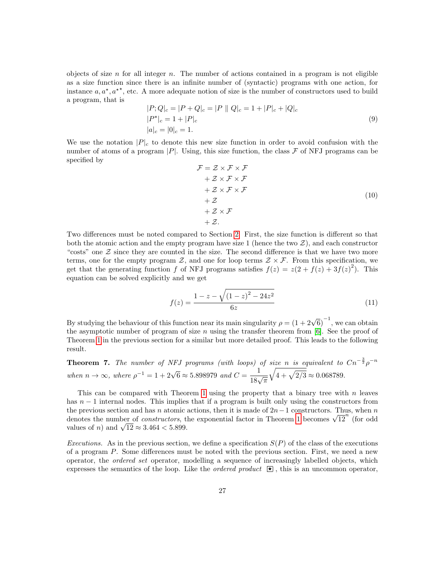objects of size n for all integer n. The number of actions contained in a program is not eligible as a size function since there is an infinite number of (syntactic) programs with one action, for instance  $a, a^*$ ,  $a^{**}$ , etc. A more adequate notion of size is the number of constructors used to build a program, that is

<span id="page-26-0"></span>
$$
|P; Q|_c = |P + Q|_c = |P || Q|_c = 1 + |P|_c + |Q|_c
$$
  
\n
$$
|P^*|_c = 1 + |P|_c
$$
  
\n
$$
|a|_c = |0|_c = 1.
$$
\n(9)

We use the notation  $|P|_c$  to denote this new size function in order to avoid confusion with the number of atoms of a program  $|P|$ . Using, this size function, the class  $\mathcal F$  of NFJ programs can be specified by

$$
\mathcal{F} = \mathcal{Z} \times \mathcal{F} \times \mathcal{F}
$$
  
+ $\mathcal{Z} \times \mathcal{F} \times \mathcal{F}$   
+ $\mathcal{Z} \times \mathcal{F} \times \mathcal{F}$   
+ $\mathcal{Z}$   
+ $\mathcal{Z} \times \mathcal{F}$   
+ $\mathcal{Z}$   
+ $\mathcal{Z} \times \mathcal{F}$   
+ $\mathcal{Z}$ . (10)

Two differences must be noted compared to Section [2.](#page-3-0) First, the size function is different so that both the atomic action and the empty program have size 1 (hence the two  $Z$ ), and each constructor "costs" one  $\mathcal Z$  since they are counted in the size. The second difference is that we have two more terms, one for the empty program  $\mathcal{Z}$ , and one for loop terms  $\mathcal{Z} \times \mathcal{F}$ . From this specification, we get that the generating function f of NFJ programs satisfies  $f(z) = z(2 + f(z) + 3f(z)^2)$ . This equation can be solved explicitly and we get

$$
f(z) = \frac{1 - z - \sqrt{(1 - z)^2 - 24z^2}}{6z} \tag{11}
$$

By studying the behaviour of this function near its main singularity  $\rho = (1 + 2\sqrt{6})^{-1}$ , we can obtain the asymptotic number of program of size n using the transfer theorem from  $[6]$ . See the proof of Theorem [1](#page-8-1) in the previous section for a similar but more detailed proof. This leads to the following result.

**Theorem 7.** The number of NFJ programs (with loops) of size n is equivalent to  $Cn^{-\frac{3}{2}}\rho^{-n}$ when  $n \to \infty$ , where  $\rho^{-1} = 1 + 2\sqrt{6} \approx 5.898979$  and  $C = \frac{1}{18\sqrt{\pi}}$  $\sqrt{4 + \sqrt{2/3}} \approx 0.068789.$ 

This can be compared with Theorem [1](#page-8-1) using the property that a binary tree with  $n$  leaves has  $n-1$  internal nodes. This implies that if a program is built only using the constructors from the previous section and has n atomic actions, then it is made of  $2n-1$  constructors. Thus, when n the previous section and has *n* atomic actions, then it is made of  $2n - 1$  $2n - 1$  constructors. Thus, when *n* denotes the number of *constructors*, the exponential factor in Theorem 1 becomes  $\sqrt{12}^n$  (for odd denotes the number of *constructors*, to<br>values of *n*) and  $\sqrt{12} \approx 3.464 < 5.899$ .

Executions. As in the previous section, we define a specification  $S(P)$  of the class of the executions of a program P. Some differences must be noted with the previous section. First, we need a new operator, the ordered set operator, modelling a sequence of increasingly labelled objects, which expresses the semantics of the loop. Like the *ordered product*  $\mathbb{R}$ , this is an uncommon operator,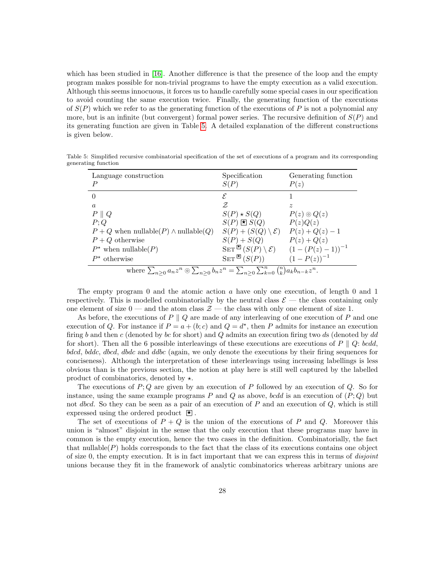which has been studied in [\[16\]](#page-47-3). Another difference is that the presence of the loop and the empty program makes possible for non-trivial programs to have the empty execution as a valid execution. Although this seems innocuous, it forces us to handle carefully some special cases in our specification to avoid counting the same execution twice. Finally, the generating function of the executions of  $S(P)$  which we refer to as the generating function of the executions of P is not a polynomial any more, but is an infinite (but convergent) formal power series. The recursive definition of  $S(P)$  and its generating function are given in Table [5.](#page-27-0) A detailed explanation of the different constructions is given below.

<span id="page-27-0"></span>Table 5: Simplified recursive combinatorial specification of the set of executions of a program and its corresponding generating function

| Language construction<br>P                                                                                           | Specification<br>S(P)                 | Generating function<br>P(z)                                            |  |  |  |  |
|----------------------------------------------------------------------------------------------------------------------|---------------------------------------|------------------------------------------------------------------------|--|--|--|--|
|                                                                                                                      | E                                     |                                                                        |  |  |  |  |
| $\alpha$                                                                                                             | Z                                     | $\widetilde{\mathcal{Z}}$                                              |  |  |  |  |
| $P \parallel Q$                                                                                                      | $S(P) \star S(Q)$                     | $P(z) \odot Q(z)$                                                      |  |  |  |  |
| P;Q                                                                                                                  | $S(P) \boxtimes S(Q)$                 | P(z)Q(z)                                                               |  |  |  |  |
| $P + Q$ when nullable(P) $\land$ nullable(Q)                                                                         | $S(P) + (S(Q) \setminus \mathcal{E})$ | $P(z) + Q(z) - 1$                                                      |  |  |  |  |
| $P+Q$ otherwise                                                                                                      | $S(P) + S(Q)$                         | $P(z) + Q(z)$                                                          |  |  |  |  |
| $P^*$ when nullable(P)                                                                                               |                                       | SET $\mathbb{E}[(S(P) \setminus \mathcal{E}) \quad (1-(P(z)-1))^{-1}]$ |  |  |  |  |
| $P^*$ otherwise                                                                                                      | $\text{SET}^{\boxtimes}(S(P))$        | $(1-P(z))^{-1}$                                                        |  |  |  |  |
| where $\sum_{n>0} a_n z^n \circledcirc \sum_{n>0} b_n z^n = \sum_{n>0} \sum_{k=0}^n {n \choose k} a_k b_{n-k} z^n$ . |                                       |                                                                        |  |  |  |  |

The empty program 0 and the atomic action a have only one execution, of length 0 and 1 respectively. This is modelled combinatorially by the neutral class  $\mathcal{E}$  — the class containing only one element of size  $0$  — and the atom class  $\mathcal{Z}$  — the class with only one element of size 1.

As before, the executions of  $P \parallel Q$  are made of any interleaving of one execution of P and one execution of Q. For instance if  $P = a + (b; c)$  and  $Q = d^*$ , then P admits for instance an execution firing b and then c (denoted by bc for short) and  $Q$  admits an execution firing two ds (denoted by dd for short). Then all the 6 possible interleavings of these executions are executions of  $P \parallel Q$ : bcdd, bdcd, bddc, dbcd, dbdc and ddbc (again, we only denote the executions by their firing sequences for conciseness). Although the interpretation of these interleavings using increasing labellings is less obvious than is the previous section, the notion at play here is still well captured by the labelled product of combinatorics, denoted by  $\star$ .

The executions of  $P$ ;  $Q$  are given by an execution of  $P$  followed by an execution of  $Q$ . So for instance, using the same example programs  $P$  and  $Q$  as above, bodd is an execution of  $(P; Q)$  but not dbcd. So they can be seen as a pair of an execution of  $P$  and an execution of  $Q$ , which is still expressed using the ordered product  $\blacktriangleright$ .

The set of executions of  $P + Q$  is the union of the executions of P and Q. Moreover this union is "almost" disjoint in the sense that the only execution that these programs may have in common is the empty execution, hence the two cases in the definition. Combinatorially, the fact that nullable $(P)$  holds corresponds to the fact that the class of its executions contains one object of size 0, the empty execution. It is in fact important that we can express this in terms of *disjoint* unions because they fit in the framework of analytic combinatorics whereas arbitrary unions are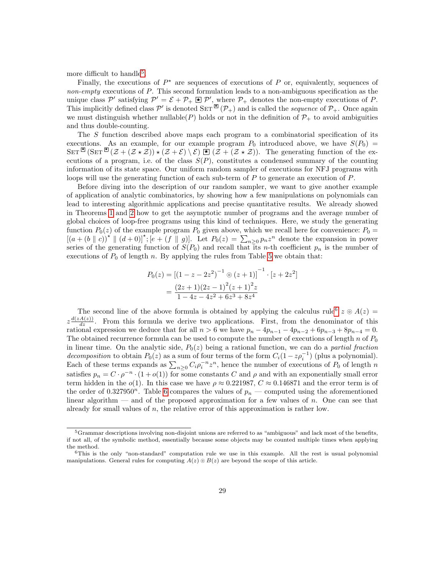more difficult to handle<sup>[5](#page-28-0)</sup>.

Finally, the executions of  $P^*$  are sequences of executions of P or, equivalently, sequences of non-empty executions of P. This second formulation leads to a non-ambiguous specification as the unique class P' satisfying  $\mathcal{P}' = \mathcal{E} + \mathcal{P}_+ \boxtimes \mathcal{P}'$ , where  $\mathcal{P}_+$  denotes the non-empty executions of P. This implicitly defined class P' is denoted SET  $(\mathcal{P}_+)$  and is called the *sequence* of  $\mathcal{P}_+$ . Once again we must distinguish whether nullable(P) holds or not in the definition of  $\mathcal{P}_+$  to avoid ambiguities and thus double-counting.

The S function described above maps each program to a combinatorial specification of its executions. As an example, for our example program  $P_0$  introduced above, we have  $S(P_0)$  =  $\text{SET}^{\boxtimes}(\text{SET}^{\boxtimes}(\mathcal{Z} + (\mathcal{Z} \star \mathcal{Z})) \star (\mathcal{Z} + \mathcal{E}) \setminus \mathcal{E}) \boxtimes (\mathcal{Z} + (\mathcal{Z} \star \mathcal{Z}))$ . The generating function of the executions of a program, i.e. of the class  $S(P)$ , constitutes a condensed summary of the counting information of its state space. Our uniform random sampler of executions for NFJ programs with loops will use the generating function of each sub-term of  $P$  to generate an execution of  $P$ .

Before diving into the description of our random sampler, we want to give another example of application of analytic combinatorics, by showing how a few manipulations on polynomials can lead to interesting algorithmic applications and precise quantitative results. We already showed in Theorems [1](#page-8-1) and [2](#page-8-0) how to get the asymptotic number of programs and the average number of global choices of loop-free programs using this kind of techniques. Here, we study the generating function  $P_0(z)$  of the example program  $P_0$  given above, which we recall here for convenience:  $P_0 =$  $[(a+(b\parallel c))^{\star} \parallel (d+0)]^{\star}; [e+(f\parallel g)]$ . Let  $P_0(z)=\sum_{n\geq 0}p_nz^n$  denote the expansion in power series of the generating function of  $S(P_0)$  and recall that its n-th coefficient  $p_n$  is the number of executions of  $P_0$  of length n. By applying the rules from Table [5](#page-27-0) we obtain that:

$$
P_0(z) = [(1 - z - 2z^2)^{-1} \circ (z + 1)]^{-1} \cdot [z + 2z^2]
$$
  
= 
$$
\frac{(2z + 1)(2z - 1)^2 (z + 1)^2 z}{1 - 4z - 4z^2 + 6z^3 + 8z^4}
$$

The second line of the above formula is obtained by applying the calculus rule<sup>[6](#page-28-1)</sup>  $z \odot A(z)$  =  $z \frac{d(zA(z))}{dz}$ . From this formula we derive two applications. First, from the denominator of this rational expression we deduce that for all  $n > 6$  we have  $p_n - 4p_{n-1} - 4p_{n-2} + 6p_{n-3} + 8p_{n-4} = 0$ . The obtained recurrence formula can be used to compute the number of executions of length n of  $P_0$ in linear time. On the analytic side,  $P_0(z)$  being a rational function, we can do a *partial fraction* decomposition to obtain  $P_0(z)$  as a sum of four terms of the form  $C_i(1-z\rho_i^{-1})$  (plus a polynomial). Each of these terms expands as  $\sum_{n\geq 0} C_i \rho_i^{-n} z^n$ , hence the number of executions of  $P_0$  of length n satisfies  $p_n = C \cdot \rho^{-n} \cdot (1 + o(1))$  for some constants C and  $\rho$  and with an exponentially small error term hidden in the  $o(1)$ . In this case we have  $\rho \approx 0.221987$ ,  $C \approx 0.146871$  and the error term is of the order of 0.327950<sup>n</sup>. Table [6](#page-29-0) compares the values of  $p_n$  — computed using the aforementioned linear algorithm — and of the proposed approximation for a few values of n. One can see that already for small values of  $n$ , the relative error of this approximation is rather low.

<span id="page-28-0"></span><sup>&</sup>lt;sup>5</sup>Grammar descriptions involving non-disjoint unions are referred to as "ambiguous" and lack most of the benefits, if not all, of the symbolic method, essentially because some objects may be counted multiple times when applying the method.

<span id="page-28-1"></span> $6$ This is the only "non-standard" computation rule we use in this example. All the rest is usual polynomial manipulations. General rules for computing  $A(z) \odot B(z)$  are beyond the scope of this article.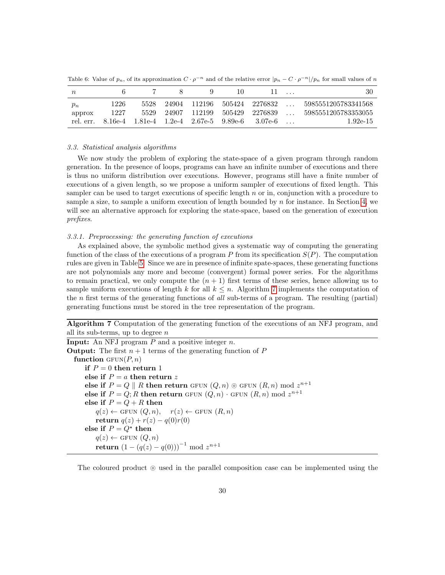<span id="page-29-0"></span>Table 6: Value of  $p_n$ , of its approximation  $C \cdot \rho^{-n}$  and of the relative error  $|p_n - C \cdot \rho^{-n}|/p_n$  for small values of n

| $n_{\rm}$                    |              |              |                              |        |                                                                             | 30                                                       |
|------------------------------|--------------|--------------|------------------------------|--------|-----------------------------------------------------------------------------|----------------------------------------------------------|
| $p_n$<br>approx<br>rel. err. | 1226<br>1227 | 5528<br>5529 | 24904 112196<br>24907 112199 | 505429 | 505424 2276832<br>2276839<br>8.16e-4 1.81e-4 1.2e-4 2.67e-5 9.89e-6 3.07e-6 | 5985551205783341568<br>5985551205783353055<br>$1.92e-15$ |

## 3.3. Statistical analysis algorithms

We now study the problem of exploring the state-space of a given program through random generation. In the presence of loops, programs can have an infinite number of executions and there is thus no uniform distribution over executions. However, programs still have a finite number of executions of a given length, so we propose a uniform sampler of executions of fixed length. This sampler can be used to target executions of specific length  $n$  or in, conjunction with a procedure to sample a size, to sample a uniform execution of length bounded by  $n$  for instance. In Section [4,](#page-36-0) we will see an alternative approach for exploring the state-space, based on the generation of execution prefixes.

#### 3.3.1. Preprocessing: the generating function of executions

As explained above, the symbolic method gives a systematic way of computing the generating function of the class of the executions of a program P from its specification  $S(P)$ . The computation rules are given in Table [5.](#page-27-0) Since we are in presence of infinite spate-spaces, these generating functions are not polynomials any more and become (convergent) formal power series. For the algorithms to remain practical, we only compute the  $(n + 1)$  first terms of these series, hence allowing us to sample uniform executions of length k for all  $k \leq n$ . Algorithm [7](#page-29-1) implements the computation of the n first terms of the generating functions of all sub-terms of a program. The resulting (partial) generating functions must be stored in the tree representation of the program.

Algorithm 7 Computation of the generating function of the executions of an NFJ program, and all its sub-terms, up to degree  $n$ 

<span id="page-29-1"></span>**Input:** An NFJ program  $P$  and a positive integer  $n$ . **Output:** The first  $n + 1$  terms of the generating function of P function  $GFUN(P, n)$ if  $P = 0$  then return 1 else if  $P = a$  then return z else if  $P = Q \parallel R$  then return GFUN  $(Q, n) \odot$  GFUN  $(R, n) \mod z^{n+1}$ else if  $P = Q; R$  then return GFUN  $(Q, n)$  · GFUN  $(R, n)$  mod  $z^{n+1}$ else if  $P = Q + R$  then  $q(z) \leftarrow$  GFUN  $(Q, n), r(z) \leftarrow$  GFUN  $(R, n)$ return  $q(z) + r(z) - q(0)r(0)$ else if  $P = Q^*$  then  $q(z) \leftarrow$  GFUN  $(Q, n)$  ${\bf return} \, \left( 1 - (q(z) - q(0)) \right)^{-1} \, \bmod \, z^{n+1}$ 

The coloured product  $\circ$  used in the parallel composition case can be implemented using the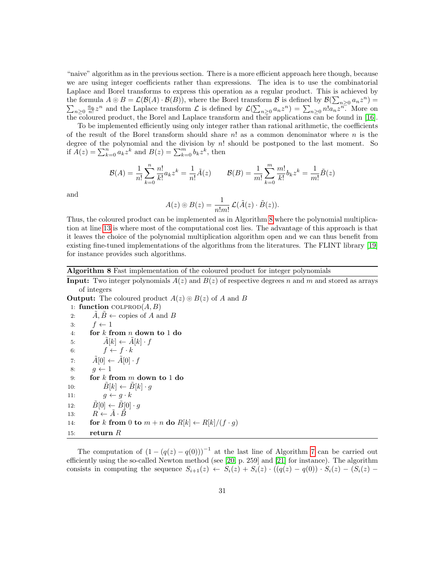"naive" algorithm as in the previous section. There is a more efficient approach here though, because we are using integer coefficients rather than expressions. The idea is to use the combinatorial Laplace and Borel transforms to express this operation as a regular product. This is achieved by the formula  $A \odot B = \mathcal{L}(\mathcal{B}(A) \cdot \mathcal{B}(B))$ , where the Borel transform  $\mathcal{B}$  is defined by  $\mathcal{B}(\sum_{n\geq 0} a_n z^n) =$  $\sum_{n\geq 0} \frac{a_n}{n!} z^n$  and the Laplace transform  $\mathcal{L}$  is defined by  $\mathcal{L}(\sum_{n\geq 0} a_n z^n) = \sum_{n\geq 0} n! a_n z^n$ . More on the coloured product, the Borel and Laplace transform and their applications can be found in [\[16\]](#page-47-3).

To be implemented efficiently using only integer rather than rational arithmetic, the coefficients of the result of the Borel transform should share  $n!$  as a common denominator where  $n$  is the degree of the polynomial and the division by n! should be postponed to the last moment. So if  $\overline{A}(z) = \sum_{k=0}^{n} a_k z^k$  and  $B(z) = \sum_{k=0}^{m} b_k z^k$ , then

$$
\mathcal{B}(A) = \frac{1}{n!} \sum_{k=0}^{n} \frac{n!}{k!} a_k z^k = \frac{1}{n!} \tilde{A}(z) \qquad \mathcal{B}(B) = \frac{1}{m!} \sum_{k=0}^{m} \frac{m!}{k!} b_k z^k = \frac{1}{m!} \tilde{B}(z)
$$

and

$$
A(z) \circledcirc B(z) = \frac{1}{n!m!} \mathcal{L}(\tilde{A}(z) \cdot \tilde{B}(z)).
$$

Thus, the coloured product can be implemented as in Algorithm [8](#page-30-0) where the polynomial multiplication at line [13](#page-30-0) is where most of the computational cost lies. The advantage of this approach is that it leaves the choice of the polynomial multiplication algorithm open and we can thus benefit from existing fine-tuned implementations of the algorithms from the literatures. The FLINT library [\[19\]](#page-47-6) for instance provides such algorithms.

Algorithm 8 Fast implementation of the coloured product for integer polynomials

<span id="page-30-0"></span>**Input:** Two integer polynomials  $A(z)$  and  $B(z)$  of respective degrees n and m and stored as arrays of integers

**Output:** The coloured product  $A(z) \odot B(z)$  of A and B

1: function  $\text{COLPROD}(A, B)$ 

2:  $\hat{A}, \hat{B} \leftarrow$  copies of A and B 3:  $f \leftarrow 1$ 4: for k from n down to 1 do 5:  $\tilde{A}[k] \leftarrow \tilde{A}[k] \cdot f$ 6:  $f \leftarrow f \cdot k$ 7:  $\tilde{A}[0] \leftarrow \tilde{A}[0] \cdot f$ 8:  $g \leftarrow 1$ 9: for k from m down to 1 do 10:  $\tilde{B}[k] \leftarrow \tilde{B}[k] \cdot g$ 11:  $g \leftarrow g \cdot k$ 12:  $\tilde{B}[0] \leftarrow \tilde{B}[0] \cdot q$ 13:  $R \leftarrow \tilde{A} \cdot \tilde{B}$ 14: for k from 0 to  $m + n$  do  $R[k] \leftarrow R[k]/(f \cdot g)$ 15: return  $R$ 

The computation of  $(1 - (q(z) - q(0)))^{-1}$  at the last line of Algorithm [7](#page-29-1) can be carried out efficiently using the so-called Newton method (see [\[20,](#page-47-7) p. 259] and [\[21\]](#page-47-8) for instance). The algorithm consists in computing the sequence  $S_{i+1}(z) \leftarrow S_i(z) + S_i(z) \cdot ((q(z) - q(0)) \cdot S_i(z) - (S_i(z) -$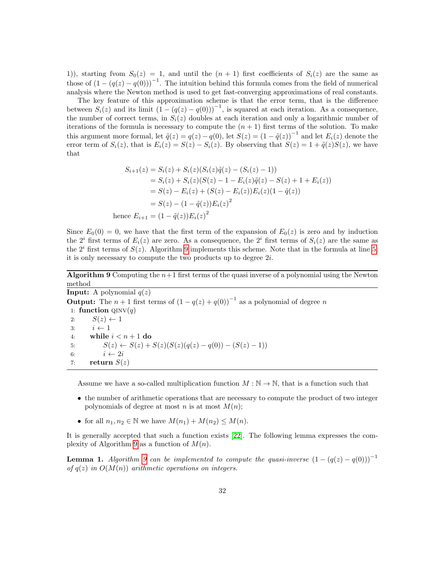1)), starting from  $S_0(z) = 1$ , and until the  $(n + 1)$  first coefficients of  $S_i(z)$  are the same as those of  $(1 - (q(z) - q(0)))^{-1}$ . The intuition behind this formula comes from the field of numerical analysis where the Newton method is used to get fast-converging approximations of real constants.

The key feature of this approximation scheme is that the error term, that is the difference between  $S_i(z)$  and its limit  $(1 - (q(z) - q(0)))^{-1}$ , is squared at each iteration. As a consequence, the number of correct terms, in  $S_i(z)$  doubles at each iteration and only a logarithmic number of iterations of the formula is necessary to compute the  $(n + 1)$  first terms of the solution. To make this argument more formal, let  $\tilde{q}(z) = q(z) - q(0)$ , let  $S(z) = (1 - \tilde{q}(z))^{-1}$  and let  $E_i(z)$  denote the error term of  $S_i(z)$ , that is  $E_i(z) = S(z) - S_i(z)$ . By observing that  $S(z) = 1 + \tilde{q}(z)S(z)$ , we have that

$$
S_{i+1}(z) = S_i(z) + S_i(z)(S_i(z)\tilde{q}(z) - (S_i(z) - 1))
$$
  
\n
$$
= S_i(z) + S_i(z)(S(z) - 1 - E_i(z)\tilde{q}(z) - S(z) + 1 + E_i(z))
$$
  
\n
$$
= S(z) - E_i(z) + (S(z) - E_i(z))E_i(z)(1 - \tilde{q}(z))
$$
  
\n
$$
= S(z) - (1 - \tilde{q}(z))E_i(z)^2
$$
  
\nhence  $E_{i+1} = (1 - \tilde{q}(z))E_i(z)^2$ 

Since  $E_0(0) = 0$ , we have that the first term of the expansion of  $E_0(z)$  is zero and by induction the  $2^{i}$  first terms of  $E_{i}(z)$  are zero. As a consequence, the  $2^{i}$  first terms of  $S_{i}(z)$  are the same as the  $2^{i}$  first terms of  $S(z)$ . Algorithm [9](#page-31-0) implements this scheme. Note that in the formula at line [5,](#page-31-0) it is only necessary to compute the two products up to degree 2i.

**Algorithm 9** Computing the  $n+1$  first terms of the quasi inverse of a polynomial using the Newton method

<span id="page-31-0"></span>**Input:** A polynomial  $q(z)$ **Output:** The  $n + 1$  first terms of  $(1 - q(z) + q(0))^{-1}$  as a polynomial of degree n 1: function  $QINV(q)$ 2:  $S(z) \leftarrow 1$ 3:  $i \leftarrow 1$ 4: while  $i < n+1$  do 5:  $S(z) \leftarrow S(z) + S(z)(S(z)(q(z) - q(0)) - (S(z) - 1))$ 6:  $i \leftarrow 2i$ 7: return  $S(z)$ 

Assume we have a so-called multiplication function  $M : \mathbb{N} \to \mathbb{N}$ , that is a function such that

- the number of arithmetic operations that are necessary to compute the product of two integer polynomials of degree at most n is at most  $M(n)$ ;
- for all  $n_1, n_2 \in \mathbb{N}$  we have  $M(n_1) + M(n_2) \leq M(n)$ .

It is generally accepted that such a function exists [\[22\]](#page-47-9). The following lemma expresses the com-plexity of Algorithm [9](#page-31-0) as a function of  $M(n)$ .

**Lemma 1.** Algorithm [9](#page-31-0) can be implemented to compute the quasi-inverse  $(1 - (q(z) - q(0)))^{-1}$ of  $q(z)$  in  $O(M(n))$  arithmetic operations on integers.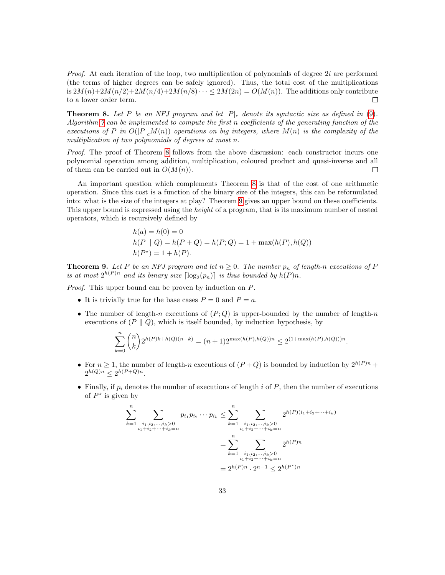*Proof.* At each iteration of the loop, two multiplication of polynomials of degree  $2i$  are performed (the terms of higher degrees can be safely ignored). Thus, the total cost of the multiplications is  $2M(n)+2M(n/2)+2M(n/4)+2M(n/8)\cdots \leq 2M(2n)=O(M(n)).$  The additions only contribute to a lower order term.  $\Box$ 

<span id="page-32-0"></span>**Theorem 8.** Let P be an NFJ program and let  $|P|_c$  denote its syntactic size as defined in [\(9\)](#page-26-0). Algorithm [7](#page-29-1) can be implemented to compute the first n coefficients of the generating function of the executions of P in  $O(|P|_cM(n))$  operations on big integers, where  $M(n)$  is the complexity of the multiplication of two polynomials of degrees at most n.

Proof. The proof of Theorem [8](#page-32-0) follows from the above discussion: each constructor incurs one polynomial operation among addition, multiplication, coloured product and quasi-inverse and all of them can be carried out in  $O(M(n))$ .  $\Box$ 

An important question which complements Theorem [8](#page-32-0) is that of the cost of one arithmetic operation. Since this cost is a function of the binary size of the integers, this can be reformulated into: what is the size of the integers at play? Theorem [9](#page-32-1) gives an upper bound on these coefficients. This upper bound is expressed using the height of a program, that is its maximum number of nested operators, which is recursively defined by

$$
h(a) = h(0) = 0
$$
  
 
$$
h(P || Q) = h(P + Q) = h(P; Q) = 1 + \max(h(P), h(Q))
$$
  
 
$$
h(P^*) = 1 + h(P).
$$

<span id="page-32-1"></span>**Theorem 9.** Let P be an NFJ program and let  $n \geq 0$ . The number  $p_n$  of length-n executions of P is at most  $2^{h(P)n}$  and its binary size  $\lceil \log_2(p_n) \rceil$  is thus bounded by  $h(P)n$ .

Proof. This upper bound can be proven by induction on P.

- It is trivially true for the base cases  $P = 0$  and  $P = a$ .
- The number of length-n executions of  $(P,Q)$  is upper-bounded by the number of length-n executions of  $(P \parallel Q)$ , which is itself bounded, by induction hypothesis, by

$$
\sum_{k=0}^{n} \binom{n}{k} 2^{h(P)k + h(Q)(n-k)} = (n+1)2^{\max(h(P), h(Q))n} \le 2^{(1+\max(h(P), h(Q)))n}
$$

.

- For  $n \geq 1$ , the number of length-n executions of  $(P+Q)$  is bounded by induction by  $2^{h(P)n}$  +  $2^{h(Q)n} \leq 2^{h(P+Q)n}$ .
- Finally, if  $p_i$  denotes the number of executions of length i of P, then the number of executions of  $P^*$  is given by

$$
\sum_{k=1}^{n} \sum_{\substack{i_1, i_2, \dots, i_k > 0 \\ i_1 + i_2 + \dots + i_k = n}} p_{i_1} p_{i_2} \cdots p_{i_k} \le \sum_{k=1}^{n} \sum_{\substack{i_1, i_2, \dots, i_k > 0 \\ i_1 + i_2 + \dots + i_k = n}} 2^{h(P)(i_1 + i_2 + \dots + i_k)}
$$

$$
= \sum_{k=1}^{n} \sum_{\substack{i_1, i_2, \dots, i_k > 0 \\ i_1 + i_2 + \dots + i_k = n}} 2^{h(P)n}
$$

$$
= 2^{h(P)n} \cdot 2^{n-1} \le 2^{h(P)n}
$$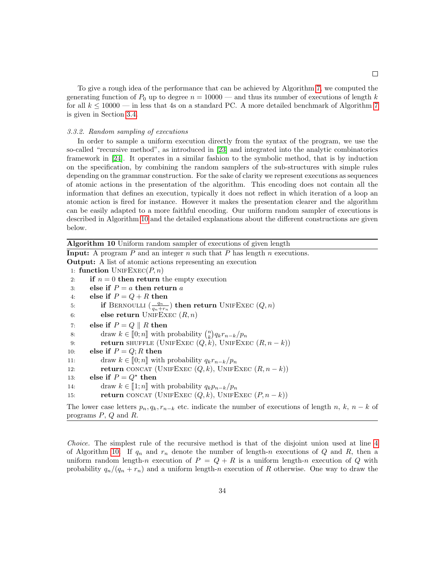To give a rough idea of the performance that can be achieved by Algorithm [7,](#page-29-1) we computed the generating function of  $P_0$  up to degree  $n = 10000$  — and thus its number of executions of length k for all  $k \le 10000$  — in less that 4s on a standard PC. A more detailed benchmark of Algorithm [7](#page-29-1) is given in Section [3.4.](#page-35-0)

#### 3.3.2. Random sampling of executions

In order to sample a uniform execution directly from the syntax of the program, we use the so-called "recursive method", as introduced in [\[23\]](#page-47-10) and integrated into the analytic combinatorics framework in [\[24\]](#page-47-11). It operates in a similar fashion to the symbolic method, that is by induction on the specification, by combining the random samplers of the sub-structures with simple rules depending on the grammar construction. For the sake of clarity we represent executions as sequences of atomic actions in the presentation of the algorithm. This encoding does not contain all the information that defines an execution, typically it does not reflect in which iteration of a loop an atomic action is fired for instance. However it makes the presentation clearer and the algorithm can be easily adapted to a more faithful encoding. Our uniform random sampler of executions is described in Algorithm [10](#page-33-0) and the detailed explanations about the different constructions are given below.

<span id="page-33-0"></span>Algorithm 10 Uniform random sampler of executions of given length **Input:** A program  $P$  and an integer  $n$  such that  $P$  has length  $n$  executions. Output: A list of atomic actions representing an execution 1: function  $UNIFEXEC(P, n)$ 2: if  $n = 0$  then return the empty execution 3: else if  $P = a$  then return a 4: else if  $P = Q + R$  then 5: **if** BERNOULLI  $\left(\frac{q_n}{q_n+r_n}\right)$  then return UNIFEXEC  $(Q, n)$ 6: else return UNIFEXEC  $(R, n)$ 7: else if  $P = Q \parallel R$  then 8: draw  $k \in [0; n]$  with probability  $\binom{n}{k} q_k r_{n-k}/p_n$ <br>potentially contained to the set of the set of the set of the set of the set of the set of the set of the set of the set of the set of the set of the set of the set o 9: **return** SHUFFLE (UNIFEXEC  $(Q, k)$ , UNIFEXEC  $(R, n - k)$ ) 10: else if  $P = Q; R$  then 11: draw  $k \in [0; n]$  with probability  $q_k r_{n-k}/p_n$ <br>12: **return** CONCAT (UNIFEXEC  $(Q, k)$ , UNIFE **return** CONCAT (UNIFEXEC  $(Q, k)$ , UNIFEXEC  $(R, n - k)$ ) 13: else if  $P = Q^*$  then 14: draw  $k \in [1; n]$  with probability  $q_k p_{n-k}/p_n$ <br>15: **return** CONCAT (UNIFEXEC  $(Q, k)$ , UNIFE return CONCAT (UNIFEXEC  $(Q, k)$ , UNIFEXEC  $(P, n - k)$ ) The lower case letters  $p_n, q_k, r_{n-k}$  etc. indicate the number of executions of length n, k, n – k of

programs P, Q and R.

Choice. The simplest rule of the recursive method is that of the disjoint union used at line [4](#page-33-0) of Algorithm [10.](#page-33-0) If  $q_n$  and  $r_n$  denote the number of length-n executions of Q and R, then a uniform random length-n execution of  $P = Q + R$  is a uniform length-n execution of Q with probability  $q_n/(q_n + r_n)$  and a uniform length-n execution of R otherwise. One way to draw the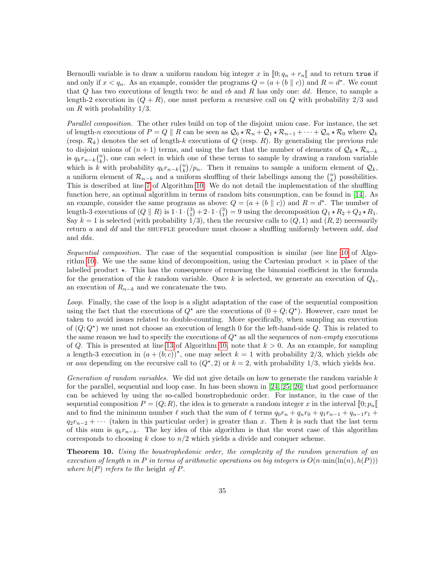Bernoulli variable is to draw a uniform random big integer x in  $[0; q_n + r_n]$  and to return true if and only if  $x < q_n$ . As an example, consider the programs  $Q = (a + (b \parallel c))$  and  $R = d^*$ . We count that  $Q$  has two executions of length two: bc and cb and R has only one: dd. Hence, to sample a length-2 execution in  $(Q + R)$ , one must perform a recursive call on Q with probability 2/3 and on R with probability  $1/3$ .

Parallel composition. The other rules build on top of the disjoint union case. For instance, the set of length-n executions of  $P = Q \parallel R$  can be seen as  $Q_0 \star \mathcal{R}_n + Q_1 \star \mathcal{R}_{n-1} + \cdots + Q_n \star \mathcal{R}_0$  where  $Q_k$ (resp.  $\mathcal{R}_k$ ) denotes the set of length-k executions of Q (resp. R). By generalising the previous rule to disjoint unions of  $(n + 1)$  terms, and using the fact that the number of elements of  $\mathcal{Q}_k \star \mathcal{R}_{n-k}$ is  $q_k r_{n-k} \binom{n}{k}$ , one can select in which one of these terms to sample by drawing a random variable which is k with probability  $q_k r_{n-k} {n \choose k} / p_n$ . Then it remains to sample a uniform element of  $\mathcal{Q}_k$ , a uniform element of  $\mathcal{R}_{n-k}$  and a uniform shuffling of their labellings among the  $\binom{n}{k}$  possibilities. This is described at line [7](#page-33-0) of Algorithm [10.](#page-33-0) We do not detail the implementation of the shuffling function here, an optimal algorithm in terms of random bits consumption, can be found in [\[14\]](#page-47-1). As an example, consider the same programs as above:  $Q = (a + (b \parallel c))$  and  $R = d^*$ . The number of length-3 executions of  $(Q \parallel R)$  is  $1 \cdot 1 \cdot {3 \choose 1} + 2 \cdot 1 \cdot {3 \choose 1} = 9$  using the decomposition  $Q_1 \star R_2 + Q_2 \star R_1$ . Say  $k = 1$  is selected (with probability 1/3), then the recursive calls to  $(Q, 1)$  and  $(R, 2)$  necessarily return a and dd and the SHUFFLE procedure must choose a shuffling uniformly between  $add, dad$ and dda.

Sequential composition. The case of the sequential composition is similar (see line [10](#page-33-0) of Algo-rithm [10\)](#page-33-0). We use the same kind of decomposition, using the Cartesian product  $\times$  in place of the labelled product  $\star$ . This has the consequence of removing the binomial coefficient in the formula for the generation of the k random variable. Once k is selected, we generate an execution of  $Q_k$ , an execution of  $R_{n-k}$  and we concatenate the two.

Loop. Finally, the case of the loop is a slight adaptation of the case of the sequential composition using the fact that the executions of  $Q^*$  are the executions of  $(0+Q;Q^*)$ . However, care must be taken to avoid issues related to double-counting. More specifically, when sampling an execution of  $(Q; Q^{\star})$  we must not choose an execution of length 0 for the left-hand-side Q. This is related to the same reason we had to specify the executions of  $Q^*$  as all the sequences of non-empty executions of Q. This is presented at line [13](#page-33-0) of Algorithm [10,](#page-33-0) note that  $k > 0$ . As an example, for sampling a length-3 execution in  $(a + (b, c))^*$ , one may select  $k = 1$  with probability 2/3, which yields abc or aaa depending on the recursive call to  $(Q^*, 2)$  or  $k = 2$ , with probability 1/3, which yields bca.

Generation of random variables. We did not give details on how to generate the random variable  $k$ for the parallel, sequential and loop case. In has been shown in [\[24,](#page-47-11) [25,](#page-47-12) [26\]](#page-47-13) that good performance can be achieved by using the so-called boustrophedonic order. For instance, in the case of the sequential composition  $P = (Q; R)$ , the idea is to generate a random integer x in the interval  $[0; p<sub>n</sub>]$ and to find the minimum number  $\ell$  such that the sum of  $\ell$  terms  $q_0r_n + q_nr_0 + q_1r_{n-1} + q_{n-1}r_1 +$  $q_2r_{n-2} + \cdots$  (taken in this particular order) is greater than x. Then k is such that the last term of this sum is  $q_k r_{n-k}$ . The key idea of this algorithm is that the worst case of this algorithm corresponds to choosing k close to  $n/2$  which yields a divide and conquer scheme.

Theorem 10. Using the boustrophedonic order, the complexity of the random generation of an execution of length n in P in terms of arithmetic operations on big integers is  $O(n \cdot \min(\ln(n), h(P)))$ where  $h(P)$  refers to the height of P.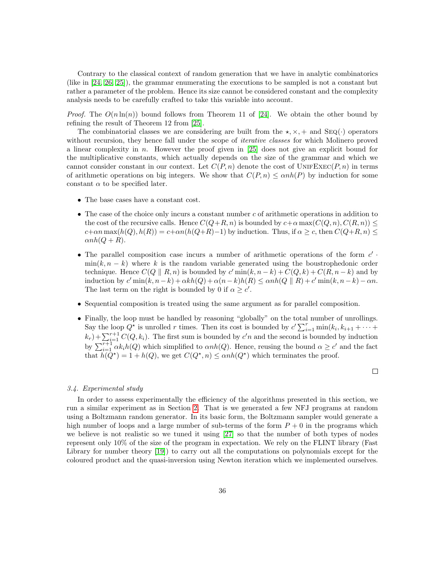Contrary to the classical context of random generation that we have in analytic combinatorics (like in [\[24,](#page-47-11) [26,](#page-47-13) [25\]](#page-47-12)), the grammar enumerating the executions to be sampled is not a constant but rather a parameter of the problem. Hence its size cannot be considered constant and the complexity analysis needs to be carefully crafted to take this variable into account.

*Proof.* The  $O(n \ln(n))$  bound follows from Theorem 11 of [\[24\]](#page-47-11). We obtain the other bound by refining the result of Theorem 12 from [\[25\]](#page-47-12).

The combinatorial classes we are considering are built from the  $\star$ ,  $\times$ ,  $+$  and SEQ( $\cdot$ ) operators without recursion, they hence fall under the scope of *iterative classes* for which Molinero proved a linear complexity in n. However the proof given in  $[25]$  does not give an explicit bound for the multiplicative constants, which actually depends on the size of the grammar and which we cannot consider constant in our context. Let  $C(P, n)$  denote the cost of UNIFEXEC $(P, n)$  in terms of arithmetic operations on big integers. We show that  $C(P, n) \leq \alpha nh(P)$  by induction for some constant  $\alpha$  to be specified later.

- The base cases have a constant cost.
- The case of the choice only incurs a constant number  $c$  of arithmetic operations in addition to the cost of the recursive calls. Hence  $C(Q+R, n)$  is bounded by  $c+\alpha \max(C(Q, n), C(R, n)) \leq$  $c+\alpha n \max(h(Q), h(R)) = c+\alpha n(h(Q+R)-1)$  by induction. Thus, if  $\alpha \geq c$ , then  $C(Q+R, n) \leq$  $\alpha nh(Q + R).$
- The parallel composition case incurs a number of arithmetic operations of the form  $c'$ .  $\min(k, n - k)$  where k is the random variable generated using the boustrophedonic order technique. Hence  $C(Q \parallel R, n)$  is bounded by  $c'$  min $(k, n - k) + C(Q, k) + C(R, n - k)$  and by induction by  $c' \min(k, n-k) + \alpha kh(Q) + \alpha(n-k)h(R) \leq \alpha nh(Q \parallel R) + c' \min(k, n-k) - \alpha n$ . The last term on the right is bounded by 0 if  $\alpha \geq c'$ .
- Sequential composition is treated using the same argument as for parallel composition.
- Finally, the loop must be handled by reasoning "globally" on the total number of unrollings. Say the loop  $Q^*$  is unrolled r times. Then its cost is bounded by  $c' \sum_{i=1}^r \min(k_i, k_{i+1} + \cdots +$  $(k_r) + \sum_{i=1}^{r+1} C(Q, k_i)$ . The first sum is bounded by c'n and the second is bounded by induction by  $\sum_{i=1}^{r+1} \alpha k_i h(Q)$  which simplified to  $\alpha nh(Q)$ . Hence, reusing the bound  $\alpha \geq c'$  and the fact that  $\dot{h}(Q^*) = 1 + h(Q)$ , we get  $C(Q^*, n) \leq \alpha nh(Q^*)$  which terminates the proof.

## $\Box$

#### <span id="page-35-0"></span>3.4. Experimental study

In order to assess experimentally the efficiency of the algorithms presented in this section, we run a similar experiment as in Section [2.](#page-3-0) That is we generated a few NFJ programs at random using a Boltzmann random generator. In its basic form, the Boltzmann sampler would generate a high number of loops and a large number of sub-terms of the form  $P + 0$  in the programs which we believe is not realistic so we tuned it using [\[27\]](#page-47-14) so that the number of both types of nodes represent only 10% of the size of the program in expectation. We rely on the FLINT library (Fast Library for number theory [\[19\]](#page-47-6)) to carry out all the computations on polynomials except for the coloured product and the quasi-inversion using Newton iteration which we implemented ourselves.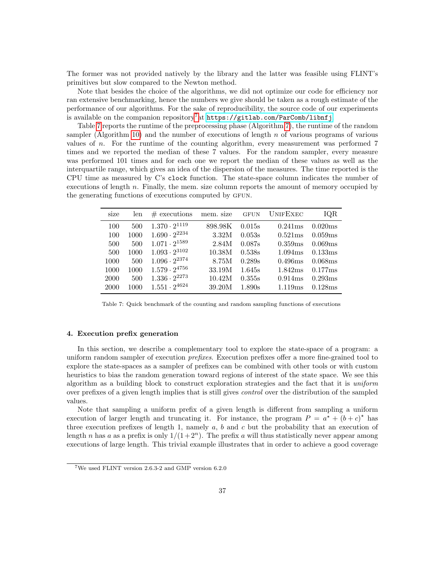The former was not provided natively by the library and the latter was feasible using FLINT's primitives but slow compared to the Newton method.

Note that besides the choice of the algorithms, we did not optimize our code for efficiency nor ran extensive benchmarking, hence the numbers we give should be taken as a rough estimate of the performance of our algorithms. For the sake of reproducibility, the source code of our experiments is available on the companion repository<sup>[7](#page-36-1)</sup>at <https://gitlab.com/ParComb/libnfj>.

Table [7](#page-36-2) reports the runtime of the preprocessing phase (Algorithm [7\)](#page-29-1), the runtime of the random sampler (Algorithm [10\)](#page-33-0) and the number of executions of length  $n$  of various programs of various values of n. For the runtime of the counting algorithm, every measurement was performed 7 times and we reported the median of these 7 values. For the random sampler, every measure was performed 101 times and for each one we report the median of these values as well as the interquartile range, which gives an idea of the dispersion of the measures. The time reported is the CPU time as measured by C's clock function. The state-space column indicates the number of executions of length n. Finally, the mem. size column reports the amount of memory occupied by the generating functions of executions computed by gfun.

<span id="page-36-2"></span>

| size | len  | $\#$ executions        | mem. size | <b>GFUN</b> | UNIFEXEC | IQR     |
|------|------|------------------------|-----------|-------------|----------|---------|
| 100  | 500  | $1.370 \cdot 2^{1119}$ | 898.98K   | 0.015s      | 0.241ms  | 0.020ms |
| 100  | 1000 | $1.690 \cdot 2^{2234}$ | 3.32M     | 0.053s      | 0.521ms  | 0.059ms |
| 500  | 500  | $1.071 \cdot 2^{1589}$ | 2.84M     | 0.087s      | 0.359ms  | 0.069ms |
| 500  | 1000 | $1.093 \cdot 2^{3102}$ | 10.38M    | 0.538s      | 1.094ms  | 0.133ms |
| 1000 | 500  | $1.096 \cdot 2^{2374}$ | 8.75M     | 0.289s      | 0.496ms  | 0.068ms |
| 1000 | 1000 | $1.579 \cdot 2^{4756}$ | 33.19M    | 1.645s      | 1.842ms  | 0.177ms |
| 2000 | 500  | $1.336 \cdot 2^{2273}$ | 10.42M    | 0.355s      | 0.914ms  | 0.293ms |
| 2000 | 1000 | $1.551 \cdot 2^{4624}$ | 39.20M    | 1.890s      | 1.119ms  | 0.128ms |

Table 7: Quick benchmark of the counting and random sampling functions of executions

# <span id="page-36-0"></span>4. Execution prefix generation

In this section, we describe a complementary tool to explore the state-space of a program: a uniform random sampler of execution prefixes. Execution prefixes offer a more fine-grained tool to explore the state-spaces as a sampler of prefixes can be combined with other tools or with custom heuristics to bias the random generation toward regions of interest of the state space. We see this algorithm as a building block to construct exploration strategies and the fact that it is uniform over prefixes of a given length implies that is still gives control over the distribution of the sampled values.

Note that sampling a uniform prefix of a given length is different from sampling a uniform execution of larger length and truncating it. For instance, the program  $P = a^* + (b+c)^*$  has three execution prefixes of length 1, namely  $a, b$  and  $c$  but the probability that an execution of length n has a as a prefix is only  $1/(1+2^n)$ . The prefix a will thus statistically never appear among executions of large length. This trivial example illustrates that in order to achieve a good coverage

<span id="page-36-1"></span><sup>7</sup>We used FLINT version 2.6.3-2 and GMP version 6.2.0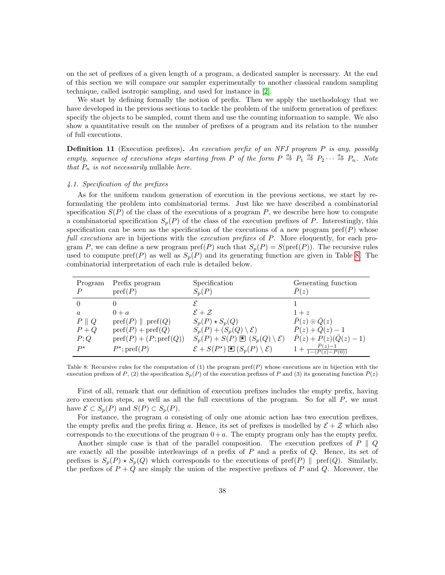on the set of prefixes of a given length of a program, a dedicated sampler is necessary. At the end of this section we will compare our sampler experimentally to another classical random sampling technique, called isotropic sampling, and used for instance in [\[2\]](#page-46-1).

We start by defining formally the notion of prefix. Then we apply the methodology that we have developed in the previous sections to tackle the problem of the uniform generation of prefixes: specify the objects to be sampled, count them and use the counting information to sample. We also show a quantitative result on the number of prefixes of a program and its relation to the number of full executions.

**Definition 11** (Execution prefixes). An execution prefix of an NFJ program P is any, possibly empty, sequence of executions steps starting from P of the form  $P \stackrel{a_1}{\Rightarrow} P_1 \stackrel{a_2}{\Rightarrow} P_2 \cdots \stackrel{a_n}{\Rightarrow} P_n$ . Note that  $P_n$  is not necessarily nullable here.

# 4.1. Specification of the prefixes

As for the uniform random generation of execution in the previous sections, we start by reformulating the problem into combinatorial terms. Just like we have described a combinatorial specification  $S(P)$  of the class of the executions of a program P, we describe here how to compute a combinatorial specification  $S_p(P)$  of the class of the execution prefixes of P. Interestingly, this specification can be seen as the specification of the executions of a new program pref $(P)$  whose full executions are in bijections with the execution prefixes of P. More eloquently, for each program P, we can define a new program  $\text{pref}(P)$  such that  $S_p(P) = S(\text{pref}(P))$ . The recursive rules used to compute pref $(P)$  as well as  $S_p(P)$  and its generating function are given in Table [8.](#page-37-0) The combinatorial interpretation of each rule is detailed below.

<span id="page-37-0"></span>

| Program<br>P    | Prefix program<br>$\text{pref}(P)$        | Specification<br>$S_p(P)$                                       | Generating function<br>P(z)             |
|-----------------|-------------------------------------------|-----------------------------------------------------------------|-----------------------------------------|
| $\Omega$        |                                           |                                                                 |                                         |
| $\alpha$        | $0 + a$                                   | $\mathcal{E}+\mathcal{Z}$                                       | $1 + z$                                 |
| $P \parallel Q$ | $\text{pref}(P) \parallel \text{pref}(Q)$ | $S_p(P) \star S_p(Q)$                                           | $\overline{P}(z) \odot \overline{Q}(z)$ |
| $P+Q$           | $\text{pref}(P)+\text{pref}(Q)$           | $S_p(P) + (S_p(Q) \setminus \mathcal{E})$                       | $\bar{P}(z) + \bar{Q}(z) - 1$           |
| P;Q             | $pref(P)+(P;pref(Q))$                     | $S_p(P) + S(P) \boxtimes (S_p(Q) \setminus \mathcal{E})$        | $\bar{P}(z) + P(z)(\bar{Q}(z) - 1)$     |
| $P^{\star}$     | $P^*;$ pref $(P)$                         | $\mathcal{E} + S(P^*) \boxtimes (S_p(P) \setminus \mathcal{E})$ | $P(z)-1$<br>$(P(z)-P(0))$               |

Table 8: Recursive rules for the computation of  $(1)$  the program pref $(P)$  whose executions are in bijection with the execution prefixes of P, (2) the specification  $S_p(P)$  of the execution prefixes of P and (3) its generating function  $\bar{P}(z)$ 

First of all, remark that our definition of execution prefixes includes the empty prefix, having zero execution steps, as well as all the full executions of the program. So for all  $P$ , we must have  $\mathcal{E} \subset S_p(P)$  and  $S(P) \subset S_p(P)$ .

For instance, the program  $\alpha$  consisting of only one atomic action has two execution prefixes, the empty prefix and the prefix firing a. Hence, its set of prefixes is modelled by  $\mathcal{E} + \mathcal{Z}$  which also corresponds to the executions of the program  $0 + a$ . The empty program only has the empty prefix.

Another simple case is that of the parallel composition. The execution prefixes of  $P \parallel Q$ are exactly all the possible interleavings of a prefix of  $P$  and a prefix of  $Q$ . Hence, its set of prefixes is  $S_p(P) \star S_p(Q)$  which corresponds to the executions of pref(P)  $\parallel$  pref(Q). Similarly, the prefixes of  $P + Q$  are simply the union of the respective prefixes of P and Q. Moreover, the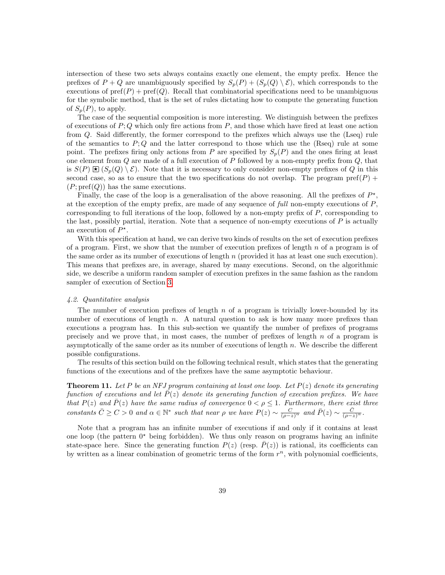intersection of these two sets always contains exactly one element, the empty prefix. Hence the prefixes of  $P + Q$  are unambiguously specified by  $S_p(P) + (S_p(Q) \setminus \mathcal{E})$ , which corresponds to the executions of  $\text{pref}(P)$  +  $\text{pref}(Q)$ . Recall that combinatorial specifications need to be unambiguous for the symbolic method, that is the set of rules dictating how to compute the generating function of  $S_n(P)$ , to apply.

The case of the sequential composition is more interesting. We distinguish between the prefixes of executions of  $P$ ; Q which only fire actions from  $P$ , and those which have fired at least one action from Q. Said differently, the former correspond to the prefixes which always use the (Lseq) rule of the semantics to  $P; Q$  and the latter correspond to those which use the (Rseq) rule at some point. The prefixes firing only actions from P are specified by  $S_p(P)$  and the ones firing at least one element from  $Q$  are made of a full execution of  $P$  followed by a non-empty prefix from  $Q$ , that is  $S(P) \boxtimes (S_p(Q) \setminus \mathcal{E})$ . Note that it is necessary to only consider non-empty prefixes of Q in this second case, so as to ensure that the two specifications do not overlap. The program pref(P) +  $(P; \text{pref}(Q))$  has the same executions.

Finally, the case of the loop is a generalisation of the above reasoning. All the prefixes of  $P^*$ , at the exception of the empty prefix, are made of any sequence of full non-empty executions of  $P$ , corresponding to full iterations of the loop, followed by a non-empty prefix of P, corresponding to the last, possibly partial, iteration. Note that a sequence of non-empty executions of  $P$  is actually an execution of  $P^*$ .

With this specification at hand, we can derive two kinds of results on the set of execution prefixes of a program. First, we show that the number of execution prefixes of length  $n$  of a program is of the same order as its number of executions of length  $n$  (provided it has at least one such execution). This means that prefixes are, in average, shared by many executions. Second, on the algorithmic side, we describe a uniform random sampler of execution prefixes in the same fashion as the random sampler of execution of Section [3.](#page-23-0)

# 4.2. Quantitative analysis

The number of execution prefixes of length  $n$  of a program is trivially lower-bounded by its number of executions of length n. A natural question to ask is how many more prefixes than executions a program has. In this sub-section we quantify the number of prefixes of programs precisely and we prove that, in most cases, the number of prefixes of length  $n$  of a program is asymptotically of the same order as its number of executions of length  $n$ . We describe the different possible configurations.

The results of this section build on the following technical result, which states that the generating functions of the executions and of the prefixes have the same asymptotic behaviour.

<span id="page-38-0"></span>**Theorem 11.** Let P be an NFJ program containing at least one loop. Let  $P(z)$  denote its generating function of executions and let  $\bar{P}(z)$  denote its generating function of execution prefixes. We have that  $P(z)$  and  $\overline{P}(z)$  have the same radius of convergence  $0 < \rho \leq 1$ . Furthermore, there exist three constants  $\overline{C} \geq C > 0$  and  $\alpha \in \mathbb{N}^*$  such that near  $\rho$  we have  $P(z) \sim \frac{C}{(\rho - z)^{\alpha}}$  and  $\overline{P}(z) \sim \frac{\overline{C}}{(\rho - z)^{\alpha}}$ .

Note that a program has an infinite number of executions if and only if it contains at least one loop (the pattern  $0^*$  being forbidden). We thus only reason on programs having an infinite state-space here. Since the generating function  $P(z)$  (resp.  $P(z)$ ) is rational, its coefficients can by written as a linear combination of geometric terms of the form  $r^n$ , with polynomial coefficients,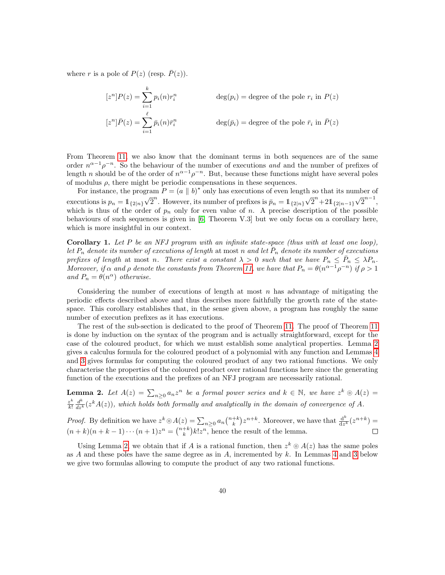where r is a pole of  $P(z)$  (resp.  $\overline{P}(z)$ ).

$$
[z^n]P(z) = \sum_{i=1}^k p_i(n)r_i^n
$$
 deg(p<sub>i</sub>) = degree of the pole r<sub>i</sub> in P(z)  
\n
$$
[z^n]\overline{P}(z) = \sum_{i=1}^\ell \overline{p}_i(n)\overline{r}_i^n
$$
 deg(p<sub>i</sub>) = degree of the pole  $\overline{r}_i$  in  $\overline{P}(z)$ 

From Theorem [11,](#page-38-0) we also know that the dominant terms in both sequences are of the same order  $n^{\alpha-1} \rho^{-n}$ . So the behaviour of the number of executions and and the number of prefixes of length *n* should be of the order of  $n^{\alpha-1}\rho^{-n}$ . But, because these functions might have several poles of modulus  $\rho$ , there might be periodic compensations in these sequences.

For instance, the program  $P = (a \parallel b)^*$  only has executions of even length so that its number of executions is  $p_n = 1_{\{2|n\}} \sqrt{ }$  $\overline{2}^n$ . However, its number of prefixes is  $\overline{p}_n = 1_{\{2|n\}} \sqrt{n}$  $\frac{1}{2}$ <sup>n</sup> +21<sub>{2|n−1}</sub>  $\sqrt{2}$  $\overline{2}^{n-1},$ which is thus of the order of  $p_n$  only for even value of n. A precise description of the possible behaviours of such sequences is given in [\[6,](#page-46-5) Theorem V.3] but we only focus on a corollary here, which is more insightful in our context.

**Corollary 1.** Let P be an NFJ program with an infinite state-space (thus with at least one loop), let  $P_n$  denote its number of executions of length at most n and let  $\overline{P}_n$  denote its number of executions prefixes of length at most n. There exist a constant  $\lambda > 0$  such that we have  $P_n \leq \overline{P}_n \leq \lambda P_n$ . Moreover, if  $\alpha$  and  $\rho$  denote the constants from Theorem [11,](#page-38-0) we have that  $P_n = \theta(n^{\alpha-1}\rho^{-n})$  if  $\rho > 1$ and  $P_n = \theta(n^{\alpha})$  otherwise.

Considering the number of executions of length at most  $n$  has advantage of mitigating the periodic effects described above and thus describes more faithfully the growth rate of the statespace. This corollary establishes that, in the sense given above, a program has roughly the same number of execution prefixes as it has executions.

The rest of the sub-section is dedicated to the proof of Theorem [11.](#page-38-0) The proof of Theorem [11](#page-38-0) is done by induction on the syntax of the program and is actually straightforward, except for the case of the coloured product, for which we must establish some analytical properties. Lemma [2](#page-39-0) gives a calculus formula for the coloured product of a polynomial with any function and Lemmas [4](#page-40-0) and [3](#page-40-1) gives formulas for computing the coloured product of any two rational functions. We only characterise the properties of the coloured product over rational functions here since the generating function of the executions and the prefixes of an NFJ program are necessarily rational.

<span id="page-39-0"></span>**Lemma 2.** Let  $A(z) = \sum_{n\geq 0} a_n z^n$  be a formal power series and  $k \in \mathbb{N}$ , we have  $z^k \odot A(z) =$  $z^k$  $rac{z^k}{k!} \frac{d^k}{dz^k}$  $\frac{d^{k}}{dz^{k}}(z^{k}A(z))$ , which holds both formally and analytically in the domain of convergence of A.

*Proof.* By definition we have  $z^k \odot A(z) = \sum_{n \geq 0} a_n {n+k \choose k} z^{n+k}$ . Moreover, we have that  $\frac{d^k}{dz^k}$  $\frac{\mathrm{d}^k}{\mathrm{d}z^k}(z^{n+k}) =$  $(n+k)(n+k-1)\cdots(n+1)z^n = \binom{n+k}{k}k!z^n$ , hence the result of the lemma.

Using Lemma [2,](#page-39-0) we obtain that if A is a rational function, then  $z^k \odot A(z)$  has the same poles as  $A$  and these poles have the same degree as in  $A$ , incremented by  $k$ . In Lemmas [4](#page-40-0) and [3](#page-40-1) below we give two formulas allowing to compute the product of any two rational functions.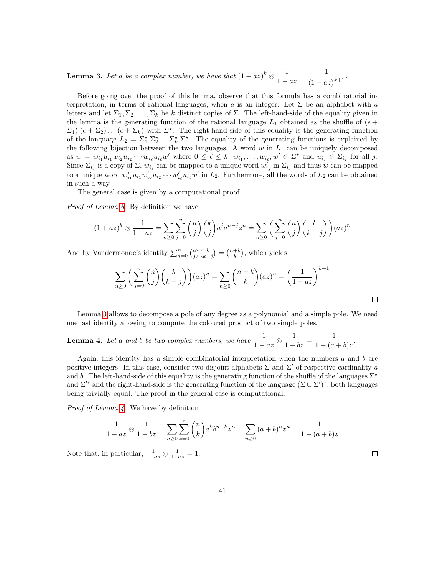<span id="page-40-1"></span>**Lemma 3.** Let a be a complex number, we have that  $(1 + az)^k \odot \frac{1}{1 - az}$  $\frac{1}{1-az} = \frac{1}{(1-a)}$  $\frac{1}{(1-az)^{k+1}}$ .

Before going over the proof of this lemma, observe that this formula has a combinatorial interpretation, in terms of rational languages, when a is an integer. Let  $\Sigma$  be an alphabet with a letters and let  $\Sigma_1, \Sigma_2, \ldots, \Sigma_k$  be k distinct copies of  $\Sigma$ . The left-hand-side of the equality given in the lemma is the generating function of the rational language  $L_1$  obtained as the shuffle of  $(\epsilon +$  $\Sigma_1$ ). $(\epsilon + \Sigma_2) \dots (\epsilon + \Sigma_k)$  with  $\Sigma^*$ . The right-hand-side of this equality is the generating function of the language  $L_2 = \sum_1^{\star} \sum_2^{\star} \ldots \sum_k^{\star} \sum_{k}^{\star}$ . The equality of the generating functions is explained by the following bijection between the two languages. A word  $w$  in  $L_1$  can be uniquely decomposed as  $w = w_{i_1} u_{i_1} w_{i_2} u_{i_2} \cdots w_{i_\ell} u_{i_\ell} w'$  where  $0 \leq \ell \leq k$ ,  $w_{i_1}, \ldots, w_{i_\ell}, w' \in \Sigma^*$  and  $u_{i_j} \in \Sigma_{i_j}$  for all j. Since  $\Sigma_{i_j}$  is a copy of  $\Sigma$ ,  $w_{i_j}$  can be mapped to a unique word  $w'_{i_j}$  in  $\Sigma_{i_j}$  and thus w can be mapped to a unique word  $w'_{i_1}u_{i_1}w'_{i_2}u_{i_2}\cdots w'_{i_\ell}u_{i_\ell}w'$  in  $L_2$ . Furthermore, all the words of  $L_2$  can be obtained in such a way.

The general case is given by a computational proof.

Proof of Lemma [3.](#page-40-1) By definition we have

$$
(1 + az)^k \circledcirc \frac{1}{1 - az} = \sum_{n \ge 0} \sum_{j=0}^n \binom{n}{j} \binom{k}{j} a^j a^{n-j} z^n = \sum_{n \ge 0} \left( \sum_{j=0}^n \binom{n}{j} \binom{k}{k-j} \right) (az)^n
$$

And by Vandermonde's identity  $\sum_{j=0}^{n} {n \choose j} {k \choose k-j} = {n+k \choose k}$ , which yields

$$
\sum_{n\geq 0} \left( \sum_{j=0}^n \binom{n}{j} \binom{k}{k-j} \right) (az)^n = \sum_{n\geq 0} \binom{n+k}{k} (az)^n = \left( \frac{1}{1-az} \right)^{k+1}
$$

Lemma [3](#page-40-1) allows to decompose a pole of any degree as a polynomial and a simple pole. We need one last identity allowing to compute the coloured product of two simple poles.

<span id="page-40-0"></span>**Lemma 4.** Let a and b be two complex numbers, we have  $\frac{1}{1 - az}$  $\circledcirc \frac{1}{1 - bz} = \frac{1}{1 - (a)}$  $\frac{1}{1-(a+b)z}.$ 

Again, this identity has a simple combinatorial interpretation when the numbers  $a$  and  $b$  are positive integers. In this case, consider two disjoint alphabets  $\Sigma$  and  $\Sigma'$  of respective cardinality a and b. The left-hand-side of this equality is the generating function of the shuffle of the languages  $\Sigma^*$ and  $\Sigma^{\prime\star}$  and the right-hand-side is the generating function of the language  $(\Sigma \cup \Sigma')^*$ , both languages being trivially equal. The proof in the general case is computational.

41

Proof of Lemma [4.](#page-40-0) We have by definition

$$
\frac{1}{1 - az} \circledcirc \frac{1}{1 - bz} = \sum_{n \ge 0} \sum_{k=0}^{n} {n \choose k} a^k b^{n-k} z^n = \sum_{n \ge 0} (a + b)^n z^n = \frac{1}{1 - (a + b)z}
$$

Note that, in particular,  $\frac{1}{1-az} \circledcirc \frac{1}{1+az} = 1$ .

 $\Box$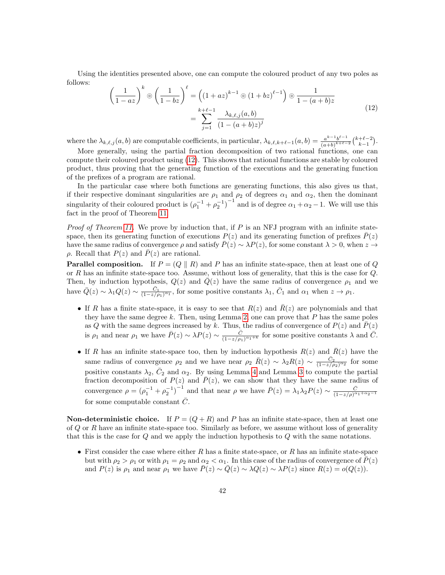Using the identities presented above, one can compute the coloured product of any two poles as follows:

<span id="page-41-0"></span>
$$
\left(\frac{1}{1-az}\right)^k \odot \left(\frac{1}{1-bz}\right)^{\ell} = \left((1+az)^{k-1} \odot (1+bz)^{\ell-1}\right) \odot \frac{1}{1-(a+b)z} = \sum_{j=1}^{k+\ell-1} \frac{\lambda_{k,\ell,j}(a,b)}{(1-(a+b)z)^j}
$$
\n(12)

where the  $\lambda_{k,\ell,j} (a, b)$  are computable coefficients, in particular,  $\lambda_{k,\ell,k+\ell-1}(a, b) = \frac{a^{k-1}b^{\ell-1}}{(a+b)^{k+\ell-1}}$  $\frac{a^{k-1}b^{\ell-1}}{(a+b)^{k+\ell-2}} {k+\ell-2 \choose k-1}.$ 

More generally, using the partial fraction decomposition of two rational functions, one can compute their coloured product using [\(12\)](#page-41-0). This shows that rational functions are stable by coloured product, thus proving that the generating function of the executions and the generating function of the prefixes of a program are rational.

In the particular case where both functions are generating functions, this also gives us that, if their respective dominant singularities are  $\rho_1$  and  $\rho_2$  of degrees  $\alpha_1$  and  $\alpha_2$ , then the dominant singularity of their coloured product is  $(\rho_1^{-1} + \rho_2^{-1})^{-1}$  and is of degree  $\alpha_1 + \alpha_2 - 1$ . We will use this fact in the proof of Theorem [11.](#page-38-0)

*Proof of Theorem [11.](#page-38-0)* We prove by induction that, if  $P$  is an NFJ program with an infinite statespace, then its generating function of executions  $P(z)$  and its generating function of prefixes  $\bar{P}(z)$ have the same radius of convergence  $\rho$  and satisfy  $\bar{P}(z) \sim \lambda P(z)$ , for some constant  $\lambda > 0$ , when  $z \to z$  $ρ.$  Recall that  $P(z)$  and  $\overline{P(z)}$  are rational.

**Parallel composition.** If  $P = (Q \parallel R)$  and P has an infinite state-space, then at least one of Q or R has an infinite state-space too. Assume, without loss of generality, that this is the case for Q. Then, by induction hypothesis,  $Q(z)$  and  $Q(z)$  have the same radius of convergence  $\rho_1$  and we have  $\overline{Q}(z) \sim \lambda_1 Q(z) \sim \frac{\overline{C}_1}{(1-z/\rho_1)^{\alpha_1}}$ , for some positive constants  $\lambda_1$ ,  $\overline{C}_1$  and  $\alpha_1$  when  $z \to \rho_1$ .

- If R has a finite state-space, it is easy to see that  $R(z)$  and  $R(z)$  are polynomials and that they have the same degree  $k$ . Then, using Lemma [2,](#page-39-0) one can prove that  $P$  has the same poles as Q with the same degrees increased by k. Thus, the radius of convergence of  $P(z)$  and  $\overline{P}(z)$ is  $\rho_1$  and near  $\rho_1$  we have  $\bar{P}(z) \sim \lambda P(z) \sim \frac{\bar{C}}{(1-z/\rho_0)}$  $\frac{\bar{C}}{(1-z/\rho_1)^{\alpha_1+k}}$  for some positive constants  $\lambda$  and  $\bar{C}$ .
- If R has an infinite state-space too, then by induction hypothesis  $R(z)$  and  $\overline{R}(z)$  have the same radius of convergence  $\rho_2$  and we have near  $\rho_2$   $\bar{R}(z) \sim \lambda_2 R(z) \sim \frac{\bar{C}_2}{(1-z/\rho_2)^{\alpha_2}}$  for some positive constants  $\lambda_2$ ,  $\bar{C}_2$  and  $\alpha_2$ . By using Lemma [4](#page-40-0) and Lemma [3](#page-40-1) to compute the partial fraction decomposition of  $P(z)$  and  $\overline{P}(z)$ , we can show that they have the same radius of convergence  $\rho = (\rho_1^{-1} + \rho_2^{-1})^{-1}$  and that near  $\rho$  we have  $\bar{P}(z) = \lambda_1 \lambda_2 P(z) \sim \frac{\bar{C}}{(1 - z/\rho)^{\alpha}}$  $\frac{(1-z/\rho)^{\alpha_1+\alpha_2-1}}{(\rho)^{\alpha_1+\alpha_2-1}}$ for some computable constant  $\overline{C}$ .

**Non-deterministic choice.** If  $P = (Q + R)$  and P has an infinite state-space, then at least one of  $Q$  or  $R$  have an infinite state-space too. Similarly as before, we assume without loss of generality that this is the case for Q and we apply the induction hypothesis to Q with the same notations.

• First consider the case where either  $R$  has a finite state-space, or  $R$  has an infinite state-space but with  $\rho_2 > \rho_1$  or with  $\rho_1 = \rho_2$  and  $\alpha_2 < \alpha_1$ . In this case of the radius of convergence of  $P(z)$ and  $P(z)$  is  $\rho_1$  and near  $\rho_1$  we have  $\overline{P}(z) \sim \overline{Q}(z) \sim \lambda Q(z) \sim \lambda P(z)$  since  $R(z) = o(Q(z))$ .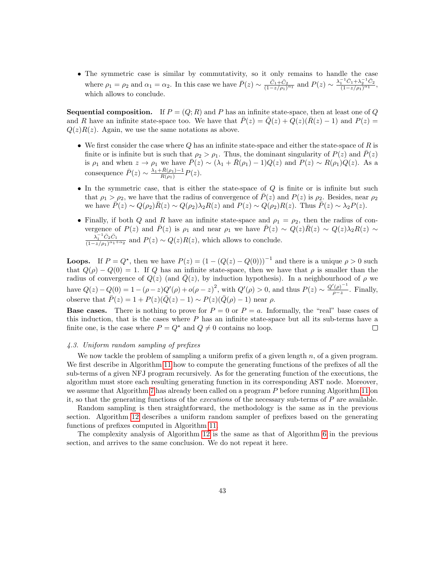• The symmetric case is similar by commutativity, so it only remains to handle the case where  $\rho_1 = \rho_2$  and  $\alpha_1 = \alpha_2$ . In this case we have  $\bar{P}(z) \sim \frac{\bar{C}_1 + \bar{C}_2}{(1 - z/\rho_1)^{\alpha_1}}$  and  $P(z) \sim \frac{\lambda_1^{-1} \bar{C}_1 + \lambda_2^{-1} \bar{C}_2}{(1 - z/\rho_1)^{\alpha_1}}$ , which allows to conclude.

**Sequential composition.** If  $P = (Q, R)$  and P has an infinite state-space, then at least one of Q and R have an infinite state-space too. We have that  $\overline{P}(z) = \overline{Q}(z) + Q(z)(\overline{R}(z) - 1)$  and  $P(z) =$  $Q(z)R(z)$ . Again, we use the same notations as above.

- We first consider the case where Q has an infinite state-space and either the state-space of R is finite or is infinite but is such that  $\rho_2 > \rho_1$ . Thus, the dominant singularity of  $P(z)$  and  $\overline{P}(z)$ is  $\rho_1$  and when  $z \to \rho_1$  we have  $\bar{P}(z) \sim (\lambda_1 + \bar{R}(\rho_1) - 1)Q(z)$  and  $P(z) \sim R(\rho_1)Q(z)$ . As a consequence  $\bar{P}(z) \sim \frac{\lambda_1 + \bar{R}(\rho_1) - 1}{R(\rho_1)}$  $rac{\pi(\rho_1)-1}{R(\rho_1)}P(z).$
- In the symmetric case, that is either the state-space of  $Q$  is finite or is infinite but such that  $\rho_1 > \rho_2$ , we have that the radius of convergence of  $\overline{P}(z)$  and  $P(z)$  is  $\rho_2$ . Besides, near  $\rho_2$ we have  $\bar{P}(z) \sim Q(\rho_2)\bar{R}(z) \sim Q(\rho_2)\lambda_2 R(z)$  and  $P(z) \sim Q(\rho_2)R(z)$ . Thus  $\bar{P}(z) \sim \lambda_2 P(z)$ .
- Finally, if both Q and R have an infinite state-space and  $\rho_1 = \rho_2$ , then the radius of convergence of  $P(z)$  and  $\overline{P}(z)$  is  $\rho_1$  and near  $\rho_1$  we have  $\overline{P}(z) \sim Q(z)\overline{R}(z) \sim Q(z)\lambda_2R(z) \sim$  $\lambda_1^{-1}\bar{C}_2\bar{C}_1$  $\frac{\lambda_1 C_2 C_1}{(1-z/\rho_1)^{\alpha_1+\alpha_2}}$  and  $P(z) \sim Q(z)R(z)$ , which allows to conclude.

**Loops.** If  $P = Q^*$ , then we have  $P(z) = (1 - (Q(z) - Q(0)))^{-1}$  and there is a unique  $\rho > 0$  such that  $Q(\rho) - Q(0) = 1$ . If Q has an infinite state-space, then we have that  $\rho$  is smaller than the radius of convergence of  $Q(z)$  (and  $\overline{Q}(z)$ , by induction hypothesis). In a neighbourhood of  $\rho$  we have  $Q(z) - Q(0) = 1 - (\rho - z)Q'(\rho) + o(\rho - z)^2$ , with  $Q'(\rho) > 0$ , and thus  $P(z) \sim \frac{Q'(\rho)^{-1}}{z - z}$  $\frac{(\rho)}{\rho-z}$ . Finally, observe that  $\overline{P}(z) = 1 + P(z)(\overline{Q}(z) - 1) \sim P(z)(\overline{Q}(\rho) - 1)$  near  $\rho$ .

**Base cases.** There is nothing to prove for  $P = 0$  or  $P = a$ . Informally, the "real" base cases of this induction, that is the cases where  $P$  has an infinite state-space but all its sub-terms have a finite one, is the case where  $P = Q^*$  and  $Q \neq 0$  contains no loop.  $\Box$ 

## 4.3. Uniform random sampling of prefixes

We now tackle the problem of sampling a uniform prefix of a given length  $n$ , of a given program. We first describe in Algorithm [11](#page-43-0) how to compute the generating functions of the prefixes of all the sub-terms of a given NFJ program recursively. As for the generating function of the executions, the algorithm must store each resulting generating function in its corresponding AST node. Moreover, we assume that Algorithm [7](#page-29-1) has already been called on a program P before running Algorithm [11](#page-43-0) on it, so that the generating functions of the executions of the necessary sub-terms of P are available.

Random sampling is then straightforward, the methodology is the same as in the previous section. Algorithm [12](#page-43-1) describes a uniform random sampler of prefixes based on the generating functions of prefixes computed in Algorithm [11.](#page-43-0)

The complexity analysis of Algorithm [12](#page-43-1) is the same as that of Algorithm [6](#page-22-0) in the previous section, and arrives to the same conclusion. We do not repeat it here.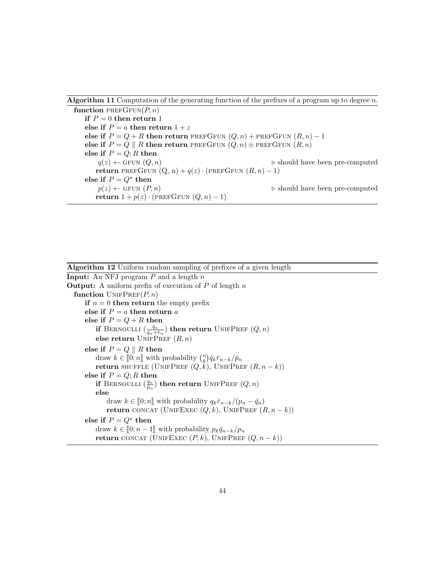# **Algorithm 11** Computation of the generating function of the prefixes of a program up to degree  $n$ .

<span id="page-43-0"></span>function PREFGFUN $(P, n)$ if  $P = 0$  then return 1 else if  $P = a$  then return  $1 + z$ else if  $P = Q + R$  then return PREFGFUN  $(Q, n)$  + PREFGFUN  $(R, n) - 1$ else if  $P = Q \parallel R$  then return PREFGFUN  $(Q, n) \odot$  PREFGFUN  $(R, n)$ else if  $P = Q; R$  then  $q(z) \leftarrow$  GFUN  $(Q, n)$  . Should have been pre-computed return PREFGFUN  $(Q, n) + q(z) \cdot (PREFG$ FUN  $(R, n) - 1)$ else if  $P = Q^*$  then  $p(z) \leftarrow$  GFUN  $(P, n)$  . Should have been pre-computed return  $1 + p(z) \cdot (PREFGFUN (Q, n) - 1)$ 

<span id="page-43-1"></span>Algorithm 12 Uniform random sampling of prefixes of a given length **Input:** An NFJ program  $P$  and a length  $n$ **Output:** A uniform prefix of execution of  $P$  of length  $n$ function  $UNIFPREF(P, n)$ if  $n = 0$  then return the empty prefix else if  $P = a$  then return a else if  $P = Q + R$  then if Bernoulli  $(\frac{\bar{q}_n}{\bar{q}_n+\bar{r}_n})$  then return UnifPref  $(Q,n)$ else return UNIFPREF  $(R, n)$ else if  $P = Q \parallel R$  then draw  $k \in [0; n]$  with probability  $\binom{n}{k} \overline{q}_k \overline{r}_{n-k}/\overline{p}_n$ <br>return SULEELE (UNIERDEE (O k) UNIERDE return shuffle (UnifPref  $(Q, k)$ , UnifPref  $(R, n - k)$ ) else if  $P = Q; R$  then if Bernoulli  $(\frac{\bar{q}_n}{\bar{p}_n})$  then return UnifPref  $(Q, n)$ else draw  $k \in [0; n]$  with probability  $q_k \bar{r}_{n-k}/(p_n - \bar{q}_n)$ return CONCAT (UNIFEXEC  $(Q, k)$ , UNIFPREF  $(R, n - k)$ ) else if  $P = Q^*$  then draw  $k \in [0; n-1]$  with probability  $p_k \bar{q}_{n-k}/p_n$ return CONCAT (UNIFEXEC  $(P, k)$ , UNIFPREF  $(Q, n - k)$ )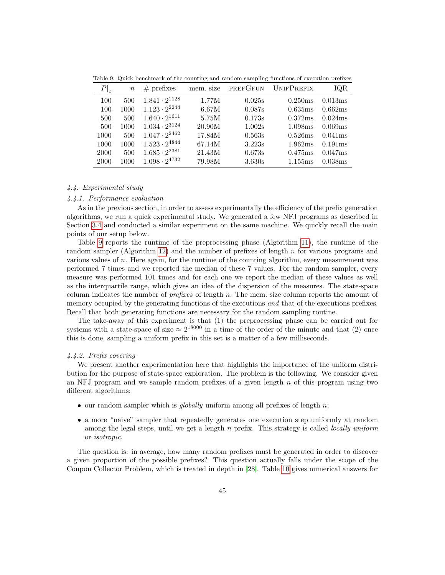| $\left. P\right\vert _{c}$ | $\boldsymbol{n}$ | $#$ prefixes           | mem. size | PREFGFUN | <b>UNIFPREFIX</b>   | IOR     |
|----------------------------|------------------|------------------------|-----------|----------|---------------------|---------|
| 100                        | 500              | $1.841 \cdot 2^{1128}$ | 1.77M     | 0.025s   | 0.250ms             | 0.013ms |
| 100                        | 1000             | $1.123 \cdot 2^{2244}$ | 6.67M     | 0.087s   | 0.635ms             | 0.662ms |
| 500                        | 500              | $1.640 \cdot 2^{1611}$ | 5.75M     | 0.173s   | 0.372ms             | 0.024ms |
| 500                        | 1000             | $1.034 \cdot 2^{3124}$ | 20.90M    | 1.002s   | 1.098ms             | 0.069ms |
| 1000                       | 500              | $1.047 \cdot 2^{2462}$ | 17.84M    | 0.563s   | 0.526ms             | 0.041ms |
| 1000                       | 1000             | $1.523 \cdot 2^{4844}$ | 67.14M    | 3.223s   | 1.962ms             | 0.191ms |
| 2000                       | 500              | $1.685 \cdot 2^{2381}$ | 21.43M    | 0.673s   | 0.475ms             | 0.047ms |
| 2000                       | 1000             | $1.098 \cdot 2^{4732}$ | 79.98M    | 3.630s   | 1.155 <sub>ms</sub> | 0.038ms |

<span id="page-44-0"></span>Table 9: Quick benchmark of the counting and random sampling functions of execution prefixes

## 4.4. Experimental study

## 4.4.1. Performance evaluation

As in the previous section, in order to assess experimentally the efficiency of the prefix generation algorithms, we run a quick experimental study. We generated a few NFJ programs as described in Section [3.4](#page-35-0) and conducted a similar experiment on the same machine. We quickly recall the main points of our setup below.

Table [9](#page-44-0) reports the runtime of the preprocessing phase (Algorithm [11\)](#page-43-0), the runtime of the random sampler (Algorithm [12\)](#page-43-1) and the number of prefixes of length n for various programs and various values of n. Here again, for the runtime of the counting algorithm, every measurement was performed 7 times and we reported the median of these 7 values. For the random sampler, every measure was performed 101 times and for each one we report the median of these values as well as the interquartile range, which gives an idea of the dispersion of the measures. The state-space column indicates the number of *prefixes* of length  $n$ . The mem. size column reports the amount of memory occupied by the generating functions of the executions and that of the executions prefixes. Recall that both generating functions are necessary for the random sampling routine.

The take-away of this experiment is that (1) the preprocessing phase can be carried out for systems with a state-space of size  $\approx 2^{18000}$  in a time of the order of the minute and that (2) once this is done, sampling a uniform prefix in this set is a matter of a few milliseconds.

## 4.4.2. Prefix covering

We present another experimentation here that highlights the importance of the uniform distribution for the purpose of state-space exploration. The problem is the following. We consider given an NFJ program and we sample random prefixes of a given length  $n$  of this program using two different algorithms:

- our random sampler which is *globally* uniform among all prefixes of length  $n$ ;
- a more "naive" sampler that repeatedly generates one execution step uniformly at random among the legal steps, until we get a length n prefix. This strategy is called *locally uniform* or isotropic.

The question is: in average, how many random prefixes must be generated in order to discover a given proportion of the possible prefixes? This question actually falls under the scope of the Coupon Collector Problem, which is treated in depth in [\[28\]](#page-47-15). Table [10](#page-45-0) gives numerical answers for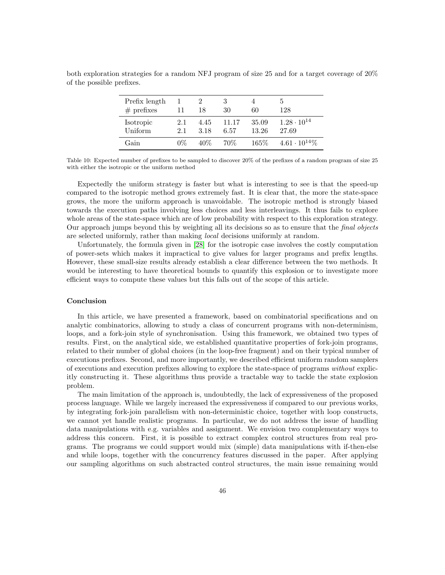<span id="page-45-0"></span>

| Prefix length<br>$#$ prefixes |            | 18           | 30            | 60             | 128                           |
|-------------------------------|------------|--------------|---------------|----------------|-------------------------------|
| Isotropic<br>Uniform          | 2.1<br>2.1 | 4.45<br>3.18 | 11.17<br>6.57 | 35.09<br>13.26 | $1.28 \cdot 10^{14}$<br>27.69 |
| Gain                          | በ%         | $40\%$       | $70\%$        | 165\%          | $4.61 \cdot 10^{14}\%$        |

both exploration strategies for a random NFJ program of size 25 and for a target coverage of 20% of the possible prefixes.

Table 10: Expected number of prefixes to be sampled to discover 20% of the prefixes of a random program of size 25 with either the isotropic or the uniform method

Expectedly the uniform strategy is faster but what is interesting to see is that the speed-up compared to the isotropic method grows extremely fast. It is clear that, the more the state-space grows, the more the uniform approach is unavoidable. The isotropic method is strongly biased towards the execution paths involving less choices and less interleavings. It thus fails to explore whole areas of the state-space which are of low probability with respect to this exploration strategy. Our approach jumps beyond this by weighting all its decisions so as to ensure that the *final objects* are selected uniformly, rather than making local decisions uniformly at random.

Unfortunately, the formula given in [\[28\]](#page-47-15) for the isotropic case involves the costly computation of power-sets which makes it impractical to give values for larger programs and prefix lengths. However, these small-size results already establish a clear difference between the two methods. It would be interesting to have theoretical bounds to quantify this explosion or to investigate more efficient ways to compute these values but this falls out of the scope of this article.

## Conclusion

In this article, we have presented a framework, based on combinatorial specifications and on analytic combinatorics, allowing to study a class of concurrent programs with non-determinism, loops, and a fork-join style of synchronisation. Using this framework, we obtained two types of results. First, on the analytical side, we established quantitative properties of fork-join programs, related to their number of global choices (in the loop-free fragment) and on their typical number of executions prefixes. Second, and more importantly, we described efficient uniform random samplers of executions and execution prefixes allowing to explore the state-space of programs without explicitly constructing it. These algorithms thus provide a tractable way to tackle the state explosion problem.

The main limitation of the approach is, undoubtedly, the lack of expressiveness of the proposed process language. While we largely increased the expressiveness if compared to our previous works, by integrating fork-join parallelism with non-deterministic choice, together with loop constructs, we cannot yet handle realistic programs. In particular, we do not address the issue of handling data manipulations with e.g. variables and assignment. We envision two complementary ways to address this concern. First, it is possible to extract complex control structures from real programs. The programs we could support would mix (simple) data manipulations with if-then-else and while loops, together with the concurrency features discussed in the paper. After applying our sampling algorithms on such abstracted control structures, the main issue remaining would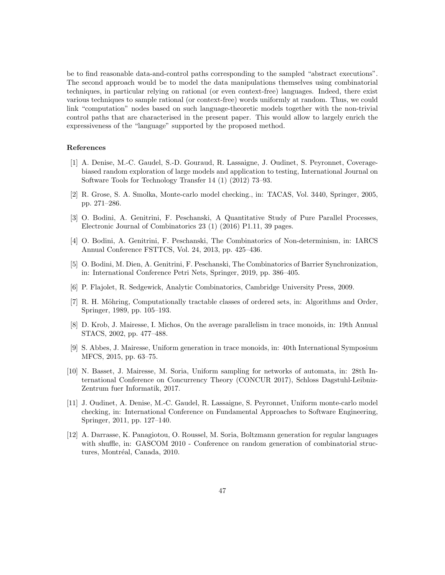be to find reasonable data-and-control paths corresponding to the sampled "abstract executions". The second approach would be to model the data manipulations themselves using combinatorial techniques, in particular relying on rational (or even context-free) languages. Indeed, there exist various techniques to sample rational (or context-free) words uniformly at random. Thus, we could link "computation" nodes based on such language-theoretic models together with the non-trivial control paths that are characterised in the present paper. This would allow to largely enrich the expressiveness of the "language" supported by the proposed method.

# References

- <span id="page-46-0"></span>[1] A. Denise, M.-C. Gaudel, S.-D. Gouraud, R. Lassaigne, J. Oudinet, S. Peyronnet, Coveragebiased random exploration of large models and application to testing, International Journal on Software Tools for Technology Transfer 14 (1) (2012) 73–93.
- <span id="page-46-1"></span>[2] R. Grose, S. A. Smolka, Monte-carlo model checking., in: TACAS, Vol. 3440, Springer, 2005, pp. 271–286.
- <span id="page-46-2"></span>[3] O. Bodini, A. Genitrini, F. Peschanski, A Quantitative Study of Pure Parallel Processes, Electronic Journal of Combinatorics 23 (1) (2016) P1.11, 39 pages.
- <span id="page-46-3"></span>[4] O. Bodini, A. Genitrini, F. Peschanski, The Combinatorics of Non-determinism, in: IARCS Annual Conference FSTTCS, Vol. 24, 2013, pp. 425–436.
- <span id="page-46-4"></span>[5] O. Bodini, M. Dien, A. Genitrini, F. Peschanski, The Combinatorics of Barrier Synchronization, in: International Conference Petri Nets, Springer, 2019, pp. 386–405.
- <span id="page-46-5"></span>[6] P. Flajolet, R. Sedgewick, Analytic Combinatorics, Cambridge University Press, 2009.
- <span id="page-46-6"></span>[7] R. H. Möhring, Computationally tractable classes of ordered sets, in: Algorithms and Order, Springer, 1989, pp. 105–193.
- <span id="page-46-7"></span>[8] D. Krob, J. Mairesse, I. Michos, On the average parallelism in trace monoids, in: 19th Annual STACS, 2002, pp. 477–488.
- <span id="page-46-8"></span>[9] S. Abbes, J. Mairesse, Uniform generation in trace monoids, in: 40th International Symposium MFCS, 2015, pp. 63–75.
- <span id="page-46-9"></span>[10] N. Basset, J. Mairesse, M. Soria, Uniform sampling for networks of automata, in: 28th International Conference on Concurrency Theory (CONCUR 2017), Schloss Dagstuhl-Leibniz-Zentrum fuer Informatik, 2017.
- <span id="page-46-10"></span>[11] J. Oudinet, A. Denise, M.-C. Gaudel, R. Lassaigne, S. Peyronnet, Uniform monte-carlo model checking, in: International Conference on Fundamental Approaches to Software Engineering, Springer, 2011, pp. 127–140.
- <span id="page-46-11"></span>[12] A. Darrasse, K. Panagiotou, O. Roussel, M. Soria, Boltzmann generation for regular languages with shuffle, in: GASCOM 2010 - Conference on random generation of combinatorial structures, Montréal, Canada, 2010.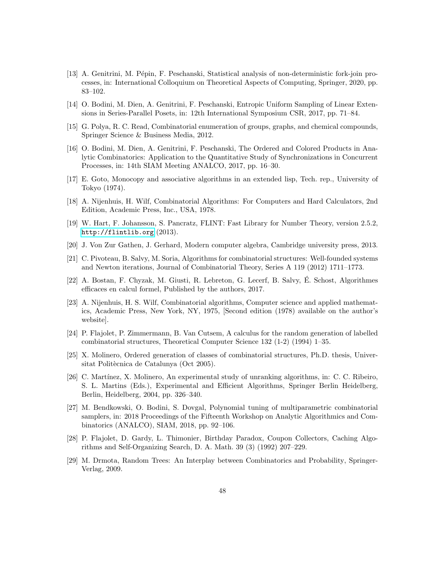- <span id="page-47-0"></span>[13] A. Genitrini, M. Pépin, F. Peschanski, Statistical analysis of non-deterministic fork-join processes, in: International Colloquium on Theoretical Aspects of Computing, Springer, 2020, pp. 83–102.
- <span id="page-47-1"></span>[14] O. Bodini, M. Dien, A. Genitrini, F. Peschanski, Entropic Uniform Sampling of Linear Extensions in Series-Parallel Posets, in: 12th International Symposium CSR, 2017, pp. 71–84.
- <span id="page-47-2"></span>[15] G. Polya, R. C. Read, Combinatorial enumeration of groups, graphs, and chemical compounds, Springer Science & Business Media, 2012.
- <span id="page-47-3"></span>[16] O. Bodini, M. Dien, A. Genitrini, F. Peschanski, The Ordered and Colored Products in Analytic Combinatorics: Application to the Quantitative Study of Synchronizations in Concurrent Processes, in: 14th SIAM Meeting ANALCO, 2017, pp. 16–30.
- <span id="page-47-4"></span>[17] E. Goto, Monocopy and associative algorithms in an extended lisp, Tech. rep., University of Tokyo (1974).
- <span id="page-47-5"></span>[18] A. Nijenhuis, H. Wilf, Combinatorial Algorithms: For Computers and Hard Calculators, 2nd Edition, Academic Press, Inc., USA, 1978.
- <span id="page-47-6"></span>[19] W. Hart, F. Johansson, S. Pancratz, FLINT: Fast Library for Number Theory, version 2.5.2, <http://flintlib.org> (2013).
- <span id="page-47-7"></span>[20] J. Von Zur Gathen, J. Gerhard, Modern computer algebra, Cambridge university press, 2013.
- <span id="page-47-8"></span>[21] C. Pivoteau, B. Salvy, M. Soria, Algorithms for combinatorial structures: Well-founded systems and Newton iterations, Journal of Combinatorial Theory, Series A 119 (2012) 1711–1773.
- <span id="page-47-9"></span>[22] A. Bostan, F. Chyzak, M. Giusti, R. Lebreton, G. Lecerf, B. Salvy, E. Schost, Algorithmes ´ efficaces en calcul formel, Published by the authors, 2017.
- <span id="page-47-10"></span>[23] A. Nijenhuis, H. S. Wilf, Combinatorial algorithms, Computer science and applied mathematics, Academic Press, New York, NY, 1975, [Second edition (1978) available on the author's website].
- <span id="page-47-11"></span>[24] P. Flajolet, P. Zimmermann, B. Van Cutsem, A calculus for the random generation of labelled combinatorial structures, Theoretical Computer Science 132 (1-2) (1994) 1–35.
- <span id="page-47-12"></span>[25] X. Molinero, Ordered generation of classes of combinatorial structures, Ph.D. thesis, Universitat Politècnica de Catalunya (Oct 2005).
- <span id="page-47-13"></span>[26] C. Martínez, X. Molinero, An experimental study of unranking algorithms, in: C. C. Ribeiro, S. L. Martins (Eds.), Experimental and Efficient Algorithms, Springer Berlin Heidelberg, Berlin, Heidelberg, 2004, pp. 326–340.
- <span id="page-47-14"></span>[27] M. Bendkowski, O. Bodini, S. Dovgal, Polynomial tuning of multiparametric combinatorial samplers, in: 2018 Proceedings of the Fifteenth Workshop on Analytic Algorithmics and Combinatorics (ANALCO), SIAM, 2018, pp. 92–106.
- <span id="page-47-15"></span>[28] P. Flajolet, D. Gardy, L. Thimonier, Birthday Paradox, Coupon Collectors, Caching Algorithms and Self-Organizing Search, D. A. Math. 39 (3) (1992) 207–229.
- <span id="page-47-16"></span>[29] M. Drmota, Random Trees: An Interplay between Combinatorics and Probability, Springer-Verlag, 2009.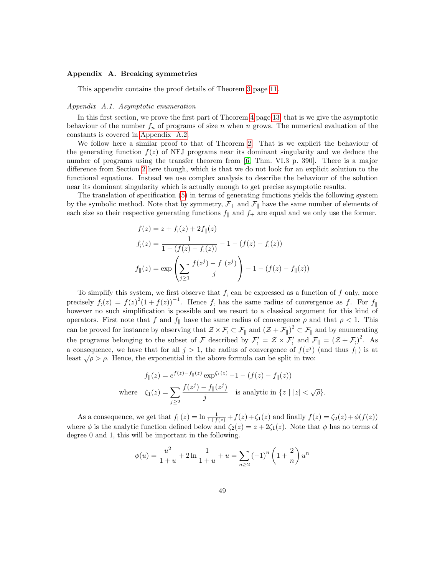#### <span id="page-48-0"></span>Appendix A. Breaking symmetries

This appendix contains the proof details of Theorem [3](#page-10-0) page [11.](#page-10-0)

#### <span id="page-48-1"></span>Appendix A.1. Asymptotic enumeration

In this first section, we prove the first part of Theorem [4](#page-12-3) page [13,](#page-12-3) that is we give the asymptotic behaviour of the number  $f_n$  of programs of size n when n grows. The numerical evaluation of the constants is covered in [Appendix A.2.](#page-49-0)

We follow here a similar proof to that of Theorem [2.](#page-8-0) That is we explicit the behaviour of the generating function  $f(z)$  of NFJ programs near its dominant singularity and we deduce the number of programs using the transfer theorem from [\[6,](#page-46-5) Thm. VI.3 p. 390]. There is a major difference from Section [2](#page-3-0) here though, which is that we do not look for an explicit solution to the functional equations. Instead we use complex analysis to describe the behaviour of the solution near its dominant singularity which is actually enough to get precise asymptotic results.

The translation of specification [\(5\)](#page-12-1) in terms of generating functions yields the following system by the symbolic method. Note that by symmetry,  $\mathcal{F}_+$  and  $\mathcal{F}_{\parallel}$  have the same number of elements of each size so their respective generating functions  $f_{\parallel}$  and  $f_{+}$  are equal and we only use the former.

$$
f(z) = z + f_{;}(z) + 2f_{\parallel}(z)
$$
  
\n
$$
f_{;}(z) = \frac{1}{1 - (f(z) - f_{;}(z))} - 1 - (f(z) - f_{;}(z))
$$
  
\n
$$
f_{\parallel}(z) = \exp\left(\sum_{j\geq 1} \frac{f(z^{j}) - f_{\parallel}(z^{j})}{j}\right) - 1 - (f(z) - f_{\parallel}(z))
$$

To simplify this system, we first observe that  $f_i$  can be expressed as a function of  $f$  only, more precisely  $f_1(z) = f(z)^2(1+f(z))^{-1}$ . Hence f; has the same radius of convergence as f. For  $f_{\parallel}$ however no such simplification is possible and we resort to a classical argument for this kind of operators. First note that f and  $f_{\parallel}$  have the same radius of convergence  $\rho$  and that  $\rho < 1$ . This can be proved for instance by observing that  $\mathcal{Z} \times \mathcal{F} \subset \mathcal{F}_{\parallel}$  and  $(\mathcal{Z} + \mathcal{F}_{\parallel})^2 \subset \mathcal{F}_{\parallel}$  and by enumerating the programs belonging to the subset of F described by  $\mathcal{F}'_j = \mathcal{Z} \times \mathcal{F}'_j$  and  $\mathcal{F}_{\parallel} = (\mathcal{Z} + \mathcal{F}_j)^2$ . As a consequence, we have that for all  $j > 1$ , the radius of convergence of  $f(z<sup>j</sup>)$  (and thus  $f_{\parallel}$ ) is at least  $\sqrt{\rho} > \rho$ . Hence, the exponential in the above formula can be split in two:

$$
f_{\parallel}(z) = e^{f(z) - f_{\parallel}(z)} \exp^{(\zeta_1(z))} - 1 - (f(z) - f_{\parallel}(z))
$$
  
where  $\zeta_1(z) = \sum_{j \ge 2} \frac{f(z^j) - f_{\parallel}(z^j)}{j}$  is analytic in  $\{z \mid |z| < \sqrt{\rho}\}.$ 

As a consequence, we get that  $f_{\parallel}(z) = \ln \frac{1}{1+f(z)} + f(z) + \zeta_1(z)$  and finally  $f(z) = \zeta_2(z) + \phi(f(z))$ where  $\phi$  is the analytic function defined below and  $\zeta_2(z) = z + 2\zeta_1(z)$ . Note that  $\phi$  has no terms of degree 0 and 1, this will be important in the following.

$$
\phi(u) = \frac{u^2}{1+u} + 2\ln\frac{1}{1+u} + u = \sum_{n\geq 2} (-1)^n \left(1 + \frac{2}{n}\right) u^n
$$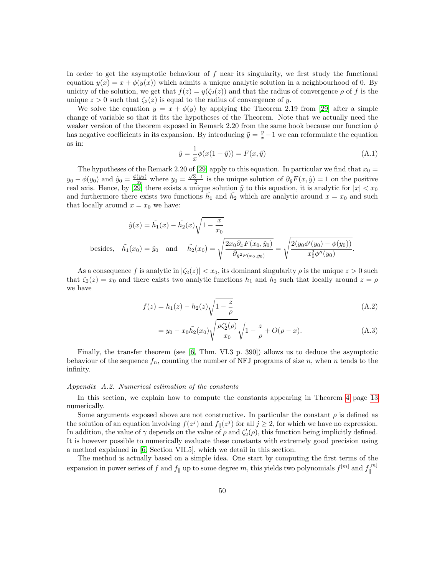In order to get the asymptotic behaviour of  $f$  near its singularity, we first study the functional equation  $y(x) = x + \phi(y(x))$  which admits a unique analytic solution in a neighbourhood of 0. By unicity of the solution, we get that  $f(z) = y(\zeta_2(z))$  and that the radius of convergence  $\rho$  of f is the unique  $z > 0$  such that  $\zeta_2(z)$  is equal to the radius of convergence of y.

We solve the equation  $y = x + \phi(y)$  by applying the Theorem 2.19 from [\[29\]](#page-47-16) after a simple change of variable so that it fits the hypotheses of the Theorem. Note that we actually need the weaker version of the theorem exposed in Remark 2.20 from the same book because our function  $\phi$ has negative coefficients in its expansion. By introducing  $\tilde{y} = \frac{y}{x} - 1$  we can reformulate the equation as in:

$$
\tilde{y} = \frac{1}{x}\phi(x(1+\tilde{y})) = F(x, \tilde{y})
$$
\n(A.1)

.

The hypotheses of the Remark 2.20 of [\[29\]](#page-47-16) apply to this equation. In particular we find that  $x_0 =$  $y_0 - \phi(y_0)$  and  $\tilde{y}_0 = \frac{\phi(y_0)}{x_0}$ where  $y_0 = \frac{\sqrt{3}-1}{2}$  is the unique solution of  $\partial_{\bar{y}}F(x, \tilde{y}) = 1$  on the positive real axis. Hence, by [\[29\]](#page-47-16) there exists a unique solution  $\tilde{y}$  to this equation, it is analytic for  $|x| < x_0$ and furthermore there exists two functions  $\tilde{h_1}$  and  $\tilde{h_2}$  which are analytic around  $x = x_0$  and such that locally around  $x = x_0$  we have:

$$
\tilde{y}(x) = \tilde{h_1}(x) - \tilde{h_2}(x)\sqrt{1 - \frac{x}{x_0}}
$$
  
sides,  $\tilde{h_1}(x_0) = \tilde{y}_0$  and  $\tilde{h_2}(x_0) = \sqrt{\frac{2x_0\partial_x F(x_0, \tilde{y}_0)}{\partial_{\tilde{y}^2 F(x_0, \tilde{y}_0)}}} = \sqrt{\frac{2(y_0\phi'(y_0) - \phi(y_0))}{x_0^2\phi''(y_0)}}$ 

As a consequence f is analytic in  $|\zeta_2(z)| < x_0$ , its dominant singularity  $\rho$  is the unique  $z > 0$  such that  $\zeta_2(z) = x_0$  and there exists two analytic functions  $h_1$  and  $h_2$  such that locally around  $z = \rho$ we have

$$
f(z) = h_1(z) - h_2(z)\sqrt{1 - \frac{z}{\rho}}
$$
 (A.2)

$$
= y_0 - x_0 \tilde{h_2}(x_0) \sqrt{\frac{\rho \zeta_2'(\rho)}{x_0}} \sqrt{1 - \frac{z}{\rho}} + O(\rho - x). \tag{A.3}
$$

Finally, the transfer theorem (see [\[6,](#page-46-5) Thm. VI.3 p. 390]) allows us to deduce the asymptotic behaviour of the sequence  $f_n$ , counting the number of NFJ programs of size n, when n tends to the infinity.

# <span id="page-49-0"></span>Appendix A.2. Numerical estimation of the constants

bes

In this section, we explain how to compute the constants appearing in Theorem [4](#page-12-3) page [13](#page-12-3) numerically.

Some arguments exposed above are not constructive. In particular the constant  $\rho$  is defined as the solution of an equation involving  $f(z^j)$  and  $f(x^j)$  for all  $j \geq 2$ , for which we have no expression. In addition, the value of  $\gamma$  depends on the value of  $\rho$  and  $\zeta_2'(\rho)$ , this function being implicitly defined. It is however possible to numerically evaluate these constants with extremely good precision using a method explained in [\[6,](#page-46-5) Section VII.5], which we detail in this section.

The method is actually based on a simple idea. One start by computing the first terms of the expansion in power series of f and  $f_{\parallel}$  up to some degree m, this yields two polynomials  $f^{[m]}$  and  $f^{[m]}_{\parallel}$  $\parallel$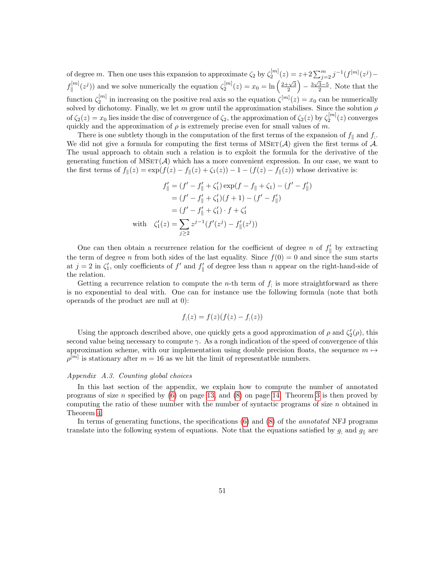of degree m. Then one uses this expansion to approximate  $\zeta_2$  by  $\zeta_2^{[m]}(z) = z + 2 \sum_{j=2}^m j^{-1} (f^{[m]}(z^j)$  $f_{\shortparallel}^{[m]}$  $\kappa_{\parallel}^{[m]}(z^j)$  and we solve numerically the equation  $\zeta_2^{[m]}(z) = x_0 = \ln\left(\frac{2+\sqrt{3}}{2}\right) - \frac{3\sqrt{3}-5}{2}$ . Note that the function  $\zeta_2^{[m]}$  in increasing on the positive real axis so the equation  $\zeta^{[m]}(z) = x_0$  can be numerically solved by dichotomy. Finally, we let m grow until the approximation stabilises. Since the solution  $\rho$ of  $\zeta_2(z) = x_0$  lies inside the disc of convergence of  $\zeta_2$ , the approximation of  $\zeta_2(z)$  by  $\zeta_2^{[m]}(z)$  converges quickly and the approximation of  $\rho$  is extremely precise even for small values of m.

There is one subtlety though in the computation of the first terms of the expansion of  $f_{\parallel}$  and  $f_{\parallel}$ . We did not give a formula for computing the first terms of  $MSET(\mathcal{A})$  given the first terms of  $\mathcal{A}$ . The usual approach to obtain such a relation is to exploit the formula for the derivative of the generating function of  $MSET(\mathcal{A})$  which has a more convenient expression. In our case, we want to the first terms of  $f_{\parallel}(z) = \exp(f(z) - f_{\parallel}(z) + \zeta_1(z)) - 1 - (f(z) - f_{\parallel}(z))$  whose derivative is:

$$
f'_{\parallel} = (f' - f'_{\parallel} + \zeta'_1) \exp(f - f_{\parallel} + \zeta_1) - (f' - f'_{\parallel})
$$
  
=  $(f' - f'_{\parallel} + \zeta'_1)(f + 1) - (f' - f'_{\parallel})$   
=  $(f' - f'_{\parallel} + \zeta'_1) \cdot f + \zeta'_1$   
with  $\zeta'_1(z) = \sum_{j \ge 2} z^{j-1} (f'(z^j) - f'_{\parallel}(z^j))$ 

One can then obtain a recurrence relation for the coefficient of degree n of  $f'_{\parallel}$  by extracting the term of degree n from both sides of the last equality. Since  $f(0) = 0$  and since the sum starts at  $j = 2$  in  $\zeta'_1$ , only coefficients of f' and  $f'_\parallel$  of degree less than n appear on the right-hand-side of the relation.

Getting a recurrence relation to compute the *n*-th term of  $f_i$  is more straightforward as there is no exponential to deal with. One can for instance use the following formula (note that both operands of the product are null at 0):

$$
f_{,}(z) = f(z)(f(z) - f_{,}(z))
$$

Using the approach described above, one quickly gets a good approximation of  $\rho$  and  $\zeta_2'(\rho)$ , this second value being necessary to compute  $\gamma$ . As a rough indication of the speed of convergence of this approximation scheme, with our implementation using double precision floats, the sequence  $m \mapsto$  $\rho^{[m]}$  is stationary after  $m = 16$  as we hit the limit of representatble numbers.

# <span id="page-50-0"></span>Appendix A.3. Counting global choices

In this last section of the appendix, we explain how to compute the number of annotated programs of size n specified by  $(6)$  on page [13,](#page-12-2) and  $(8)$  on page [14.](#page-13-0) Theorem [3](#page-10-0) is then proved by computing the ratio of these number with the number of syntactic programs of size  $n$  obtained in Theorem [4.](#page-12-3)

In terms of generating functions, the specifications  $(6)$  and  $(8)$  of the *annotated* NFJ programs translate into the following system of equations. Note that the equations satisfied by  $g_i$  and  $g_{\parallel}$  are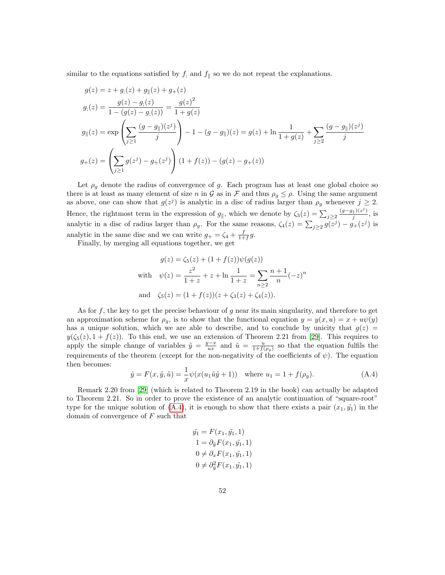similar to the equations satisfied by  $f_i$  and  $f_{\parallel}$  so we do not repeat the explanations.

$$
g(z) = z + g_1(z) + g_{\parallel}(z) + g_+(z)
$$
  
\n
$$
g_1(z) = \frac{g(z) - g_1(z)}{1 - (g(z) - g_1(z))} = \frac{g(z)^2}{1 + g(z)}
$$
  
\n
$$
g_{\parallel}(z) = \exp\left(\sum_{j\geq 1} \frac{(g - g_{\parallel})(z^j)}{j}\right) - 1 - (g - g_{\parallel})(z) = g(z) + \ln\frac{1}{1 + g(z)} + \sum_{j\geq 2} \frac{(g - g_{\parallel})(z^j)}{j}
$$
  
\n
$$
g_+(z) = \left(\sum_{j\geq 1} g(z^j) - g_+(z^j)\right) (1 + f(z)) - (g(z) - g_+(z))
$$

Let  $\rho_q$  denote the radius of convergence of g. Each program has at least one global choice so there is at least as many element of size n in G as in F and thus  $\rho_g \leq \rho$ . Using the same argument as above, one can show that  $g(z^j)$  is analytic in a disc of radius larger than  $\rho_g$  whenever  $j \geq 2$ . Hence, the rightmost term in the expression of  $g_{\parallel}$ , which we denote by  $\zeta_3(z) = \sum_{j\geq 2} \frac{(g-g_{\parallel})(z^j)}{j}$  $\frac{d}{j}$ , is analytic in a disc of radius larger than  $\rho_g$ . For the same reasons,  $\zeta_4(z) = \sum_{j\geq 2} g(z^j) - g_+(z^j)$  is analytic in the same disc and we can write  $g_+ = \zeta_4 + \frac{f}{1+f}g$ .

Finally, by merging all equations together, we get

$$
g(z) = \zeta_5(z) + (1 + f(z))\psi(g(z))
$$
  
with 
$$
\psi(z) = \frac{z^2}{1+z} + z + \ln\frac{1}{1+z} = \sum_{n\geq 2} \frac{n+1}{n} (-z)^n
$$
  
and 
$$
\zeta_5(z) = (1 + f(z))(z + \zeta_3(z) + \zeta_4(z)).
$$

As for  $f$ , the key to get the precise behaviour of  $g$  near its main singularity, and therefore to get an approximation scheme for  $\rho_q$ , is to show that the functional equation  $y = y(x, u) = x + u\psi(y)$ has a unique solution, which we are able to describe, and to conclude by unicity that  $g(z)$  $y(\zeta_5(z), 1 + f(z))$ . To this end, we use an extension of Theorem 2.21 from [\[29\]](#page-47-16). This requires to apply the simple change of variables  $\tilde{y} = \frac{y-x}{ux}$  and  $\tilde{u} = \frac{u}{1+f(\rho_g)}$  so that the equation fulfils the requirements of the theorem (except for the non-negativity of the coefficients of  $\psi$ ). The equation then becomes:

<span id="page-51-0"></span>
$$
\tilde{y} = F(x, \tilde{y}, \tilde{u}) = \frac{1}{x} \psi(x(u_1 \tilde{u}\tilde{y} + 1))
$$
 where  $u_1 = 1 + f(\rho_g)$ . (A.4)

Remark 2.20 from [\[29\]](#page-47-16) (which is related to Theorem 2.19 in the book) can actually be adapted to Theorem 2.21. So in order to prove the existence of an analytic continuation of "square-root" type for the unique solution of  $(A.4)$ , it is enough to show that there exists a pair  $(x_1, \tilde{y_1})$  in the domain of convergence of  $F$  such that

$$
\tilde{y}_1 = F(x_1, \tilde{y}_1, 1) \n1 = \partial_{\tilde{y}} F(x_1, \tilde{y}_1, 1) \n0 \neq \partial_x F(x_1, \tilde{y}_1, 1) \n0 \neq \partial_{\tilde{y}}^2 F(x_1, \tilde{y}_1, 1)
$$